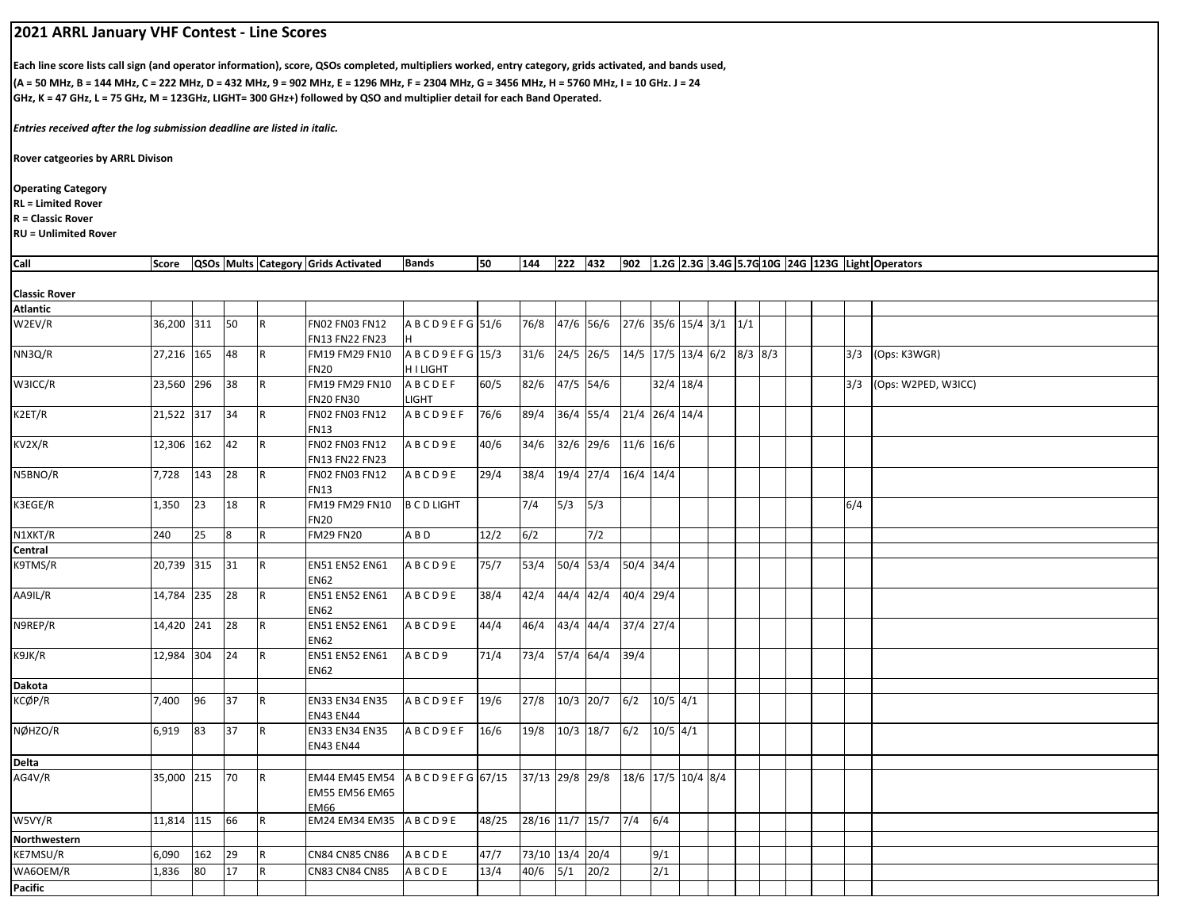## **2021 ARRL January VHF Contest ‐ Line Scores**

**Each line score lists call sign (and operator information), score, QSOs completed, multipliers worked, entry category, grids activated, and bands used, (A = 50 MHz, B = 144 MHz, C = 222 MHz, D = 432 MHz, 9 = 902 MHz, E = 1296 MHz, F = 2304 MHz, G = 3456 MHz, H = 5760 MHz, I = 10 GHz. J = 24 GHz, K = 47 GHz, L = 75 GHz, M = 123GHz, LIGHT= 300 GHz+) followed by QSO and multiplier detail for each Band Operated.**

*Entries received after the log submission deadline are listed in italic.*

**Rover catgeories by ARRL Divison**

**Operating Category**

**RL = Limited Rover**

**R = Classic Rover**

**RU = Unlimited Rover**

| Call                 |            |     |    |             | Score   QSOs   Mults   Category   Grids Activated              | <b>Bands</b>                    | 50    | 144                     |               |                                  |                              |            |             |  |  |     | 222 432 902 1.2G 2.3G 3.4G 5.7G 10G 24G 123G Light Operators |
|----------------------|------------|-----|----|-------------|----------------------------------------------------------------|---------------------------------|-------|-------------------------|---------------|----------------------------------|------------------------------|------------|-------------|--|--|-----|--------------------------------------------------------------|
| <b>Classic Rover</b> |            |     |    |             |                                                                |                                 |       |                         |               |                                  |                              |            |             |  |  |     |                                                              |
| <b>Atlantic</b>      |            |     |    |             |                                                                |                                 |       |                         |               |                                  |                              |            |             |  |  |     |                                                              |
| W2EV/R               | 36,200 311 |     | 50 | IR.         | FN02 FN03 FN12<br><b>FN13 FN22 FN23</b>                        | A B C D 9 E F G 51/6            |       | 76/8                    |               | 47/6 56/6 27/6 35/6 15/4 3/1 1/1 |                              |            |             |  |  |     |                                                              |
| NN3Q/R               | 27,216 165 |     | 48 | IR.         | FM19 FM29 FN10<br><b>FN20</b>                                  | ABCD9EFG 15/3<br><b>HILIGHT</b> |       | 31/6                    | 24/5 26/5     |                                  | $14/5$ 17/5 13/4 6/2 8/3 8/3 |            |             |  |  |     | 3/3 (Ops: K3WGR)                                             |
| W3ICC/R              | 23,560 296 |     | 38 | R.          | FM19 FM29 FN10<br><b>FN20 FN30</b>                             | ABCDEF<br><b>LIGHT</b>          | 60/5  | 82/6                    | 47/5 54/6     |                                  |                              |            | $32/4$ 18/4 |  |  |     | 3/3 (Ops: W2PED, W3ICC)                                      |
| K2ET/R               | 21,522 317 |     | 34 | R           | FN02 FN03 FN12<br><b>FN13</b>                                  | ABCD9EF                         | 76/6  | 89/4                    |               | 36/4 55/4 21/4 26/4 14/4         |                              |            |             |  |  |     |                                                              |
| KV2X/R               | 12,306 162 |     | 42 | IR.         | FN02 FN03 FN12<br><b>FN13 FN22 FN23</b>                        | ABCD9E                          | 40/6  | 34/6                    |               | 32/6 29/6 11/6 16/6              |                              |            |             |  |  |     |                                                              |
| N5BNO/R              | 7,728      | 143 | 28 | IR.         | FN02 FN03 FN12<br><b>FN13</b>                                  | ABCD9E                          | 29/4  | 38/4                    | 19/4 27/4     |                                  | 16/4 14/4                    |            |             |  |  |     |                                                              |
| K3EGE/R              | 1,350      | 23  | 18 | IR.         | FM19 FM29 FN10<br><b>FN20</b>                                  | <b>B C D LIGHT</b>              |       | 7/4                     | 5/3           | 5/3                              |                              |            |             |  |  | 6/4 |                                                              |
| N1XKT/R              | 240        | 25  | 8  | $\mathsf R$ | <b>FM29 FN20</b>                                               | ABD                             | 12/2  | 6/2                     |               | 7/2                              |                              |            |             |  |  |     |                                                              |
| Central              |            |     |    |             |                                                                |                                 |       |                         |               |                                  |                              |            |             |  |  |     |                                                              |
| K9TMS/R              | 20,739 315 |     | 31 | R           | <b>EN51 EN52 EN61</b><br><b>EN62</b>                           | ABCD9E                          | 75/7  | 53/4                    | 50/4 53/4     |                                  | 50/4 34/4                    |            |             |  |  |     |                                                              |
| AA9IL/R              | 14,784 235 |     | 28 | IR.         | <b>EN51 EN52 EN61</b><br>EN62                                  | ABCD9E                          | 38/4  | 42/4                    | $44/4$ $42/4$ |                                  | 40/4 29/4                    |            |             |  |  |     |                                                              |
| N9REP/R              | 14,420 241 |     | 28 | IR.         | <b>EN51 EN52 EN61</b><br><b>EN62</b>                           | ABCD9E                          | 44/4  | 46/4                    |               | 43/4 44/4 37/4 27/4              |                              |            |             |  |  |     |                                                              |
| K9JK/R               | 12,984 304 |     | 24 | IR.         | <b>EN51 EN52 EN61</b><br>EN62                                  | ABCD9                           | 71/4  | 73/4 57/4 64/4 39/4     |               |                                  |                              |            |             |  |  |     |                                                              |
| Dakota               |            |     |    |             |                                                                |                                 |       |                         |               |                                  |                              |            |             |  |  |     |                                                              |
| KCØP/R               | 7,400      | 96  | 37 | IR.         | <b>EN33 EN34 EN35</b><br><b>EN43 EN44</b>                      | <b>ABCD9EF</b>                  | 19/6  | 27/8                    |               | $10/3$ 20/7 6/2                  |                              | $10/5$ 4/1 |             |  |  |     |                                                              |
| NØHZO/R              | 6,919      | 83  | 37 | R           | <b>EN33 EN34 EN35</b><br><b>EN43 EN44</b>                      | ABCD9EF                         | 16/6  | 19/8                    |               | $10/3$ 18/7 6/2                  |                              | $10/5$ 4/1 |             |  |  |     |                                                              |
| Delta                |            |     |    |             |                                                                |                                 |       |                         |               |                                  |                              |            |             |  |  |     |                                                              |
| AG4V/R               | 35,000 215 |     | 70 | R           | EM44 EM45 EM54 ABCD9EFG 67/15<br><b>EM55 EM56 EM65</b><br>EM66 |                                 |       | 37/13 29/8 29/8         |               |                                  | 18/6 17/5 10/4 8/4           |            |             |  |  |     |                                                              |
| W5VY/R               | 11,814 115 |     | 66 | R           | EM24 EM34 EM35 ABCD9E                                          |                                 | 48/25 | 28/16 11/7 15/7 7/4 6/4 |               |                                  |                              |            |             |  |  |     |                                                              |
| <b>Northwestern</b>  |            |     |    |             |                                                                |                                 |       |                         |               |                                  |                              |            |             |  |  |     |                                                              |
| KE7MSU/R             | 6,090      | 162 | 29 | R           | <b>CN84 CN85 CN86</b>                                          | ABCDE                           | 47/7  | 73/10 13/4 20/4         |               |                                  |                              | 9/1        |             |  |  |     |                                                              |
| WA6OEM/R             | 1,836      | 80  | 17 | R           | <b>CN83 CN84 CN85</b>                                          | ABCDE                           | 13/4  | 40/6                    | 5/1           | 20/2                             |                              | 2/1        |             |  |  |     |                                                              |
| Pacific              |            |     |    |             |                                                                |                                 |       |                         |               |                                  |                              |            |             |  |  |     |                                                              |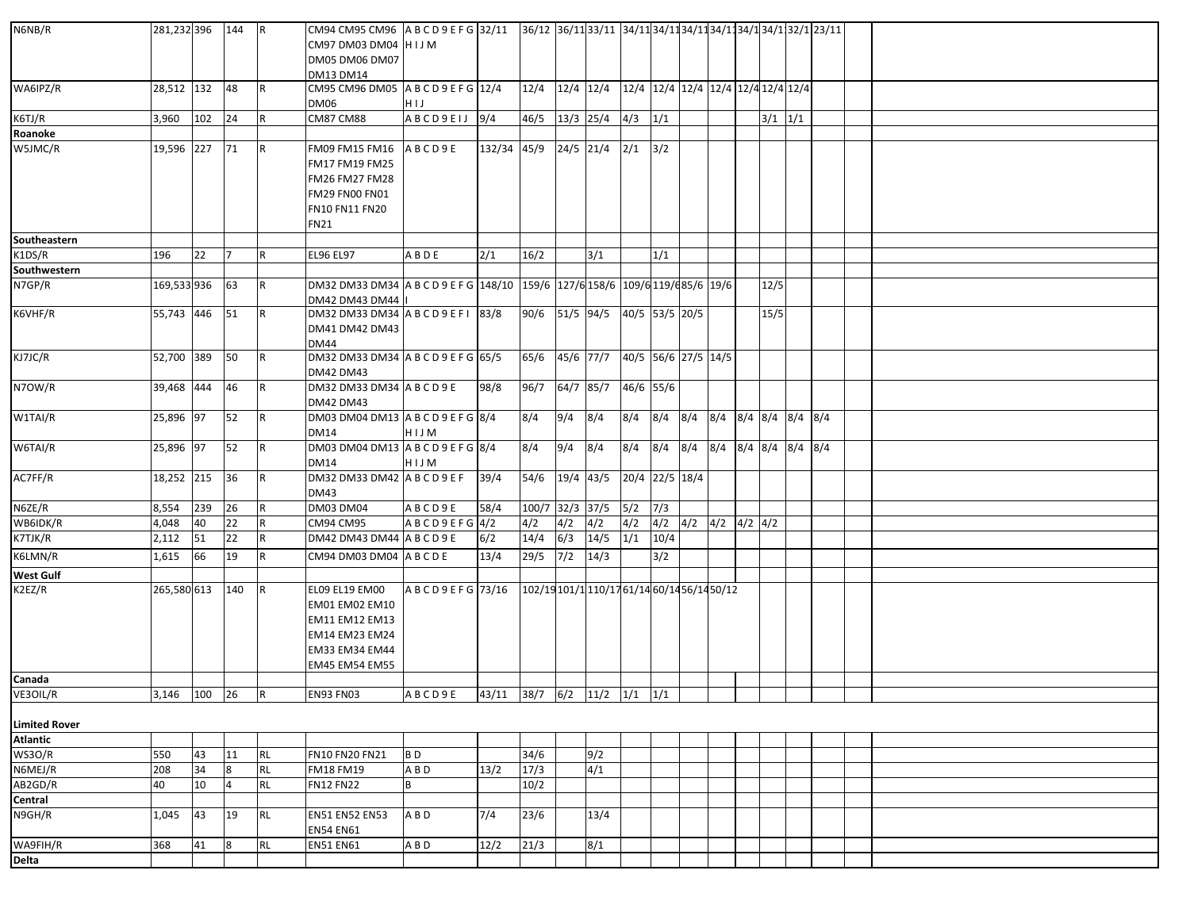| N6NB/R               | 281,232 396 144 |     |                | <b>R</b>  | CM97 DM03 DM04 HIJM                                                                                          |                                      |                                 |                                             |            |                               |                |             |                               |                     |             |  |  |
|----------------------|-----------------|-----|----------------|-----------|--------------------------------------------------------------------------------------------------------------|--------------------------------------|---------------------------------|---------------------------------------------|------------|-------------------------------|----------------|-------------|-------------------------------|---------------------|-------------|--|--|
|                      |                 |     |                |           | DM05 DM06 DM07                                                                                               |                                      |                                 |                                             |            |                               |                |             |                               |                     |             |  |  |
| WA6IPZ/R             | 28,512 132      |     | 48             | R         | <b>DM13 DM14</b><br>CM95 CM96 DM05 A B C D 9 E F G 12/4                                                      |                                      |                                 | 12/4                                        |            |                               |                |             |                               |                     |             |  |  |
|                      |                 |     |                |           | DM06                                                                                                         | HIJ                                  |                                 |                                             |            |                               |                |             |                               |                     |             |  |  |
| K6TJ/R               | 3,960           | 102 | 24             | R.        | <b>CM87 CM88</b>                                                                                             | ABCD9EIJ 9/4                         |                                 | 46/5                                        | 13/3 25/4  |                               | $4/3$ $1/1$    |             |                               |                     | $3/1$ $1/1$ |  |  |
| Roanoke              |                 |     |                |           |                                                                                                              |                                      |                                 |                                             |            |                               |                |             |                               |                     |             |  |  |
| W5JMC/R              | 19,596 227 71   |     |                | <b>R</b>  | FM09 FM15 FM16<br>FM17 FM19 FM25<br>FM26 FM27 FM28<br><b>FM29 FN00 FN01</b><br>FN10 FN11 FN20<br><b>FN21</b> | ABCD9E                               | $132/34$ 45/9 24/5 21/4 2/1 3/2 |                                             |            |                               |                |             |                               |                     |             |  |  |
| Southeastern         |                 |     |                |           |                                                                                                              |                                      |                                 |                                             |            |                               |                |             |                               |                     |             |  |  |
| K1DS/R               | 196             | 22  | 17             | R         | <b>EL96 EL97</b>                                                                                             | A B D E                              | 2/1                             | 16/2                                        |            | 3/1                           |                | 1/1         |                               |                     |             |  |  |
| Southwestern         |                 |     |                |           |                                                                                                              |                                      |                                 |                                             |            |                               |                |             |                               |                     |             |  |  |
| N7GP/R               | 169,533 936     |     | 63             | IR.       | DM32 DM33 DM34 A B C D 9 E F G 148/10 159/6 127/6 158/6 109/6 119/6 85/6 19/6<br>DM42 DM43 DM44              |                                      |                                 |                                             |            |                               |                |             |                               |                     | 12/5        |  |  |
| K6VHF/R              | 55,743 446 51   |     |                | R         | DM32 DM33 DM34 A B C D 9 E F I 83/8<br>DM41 DM42 DM43<br><b>DM44</b>                                         |                                      |                                 | 90/6                                        |            | 51/5 94/5 40/5 53/5 20/5      |                |             |                               |                     | 15/5        |  |  |
| KJ7JC/R              | 52,700 389 50   |     |                | R         | DM32 DM33 DM34 A B C D 9 E F G 65/5<br>DM42 DM43                                                             |                                      |                                 | 65/6                                        |            | 45/6 77/7 40/5 56/6 27/5 14/5 |                |             |                               |                     |             |  |  |
| N7OW/R               | 39,468 444      |     | 46             | R         | DM32 DM33 DM34 A B C D 9 E<br>DM42 DM43                                                                      |                                      | 98/8                            | 96/7                                        | 64/7 85/7  |                               | 46/6 55/6      |             |                               |                     |             |  |  |
| W1TAI/R              | 25,896 97       |     | 52             | IR.       | DM03 DM04 DM13 ABCD9EFG 8/4<br><b>DM14</b>                                                                   | HIJM                                 |                                 | 8/4                                         | 9/4        | 8/4                           | 8/4            | $8/4$ $8/4$ |                               | 8/4 8/4 8/4 8/4 8/4 |             |  |  |
| W6TAI/R              | 25,896 97       |     | 52             | R         | DM03 DM04 DM13 A B C D 9 E F G 8/4<br>DM14                                                                   | HIJM                                 |                                 | 8/4                                         | 9/4        | 8/4                           | 8/4            |             | 8/4 8/4 8/4 8/4 8/4 8/4 8/4   |                     |             |  |  |
| AC7FF/R              | 18,252 215      |     | 36             | IR.       | DM32 DM33 DM42 ABCD9EF<br>DM43                                                                               |                                      | 39/4                            | 54/6 19/4 43/5                              |            |                               | 20/4 22/5 18/4 |             |                               |                     |             |  |  |
| N6ZE/R               | 8,554           | 239 | 26             | R         | <b>DM03 DM04</b>                                                                                             | ABCD9E                               | 58/4                            | 100/7 32/3 37/5                             |            |                               | 5/2            | 7/3         |                               |                     |             |  |  |
| WB6IDK/R             | 4,048           | 40  | 22             | l R       | CM94 CM95                                                                                                    | ABCD9EFG4/2                          |                                 | 4/2                                         | 4/2        | 4/2                           | 4/2            |             | $4/2$ $4/2$ $4/2$ $4/2$ $4/2$ |                     |             |  |  |
| $\overline{K7TJ}K/R$ | 2,112           | 51  | 22             | R         | DM42 DM43 DM44 A B C D 9 E                                                                                   |                                      | 6/2                             | 14/4                                        | 6/3        | 14/5                          | 1/1            | 10/4        |                               |                     |             |  |  |
| K6LMN/R              | 1,615           | 66  | 19             | R         | CM94 DM03 DM04 ABCDE                                                                                         |                                      | 13/4                            | 29/5                                        | $7/2$ 14/3 |                               |                | 3/2         |                               |                     |             |  |  |
| <b>West Gulf</b>     |                 |     |                |           |                                                                                                              |                                      |                                 |                                             |            |                               |                |             |                               |                     |             |  |  |
| K2EZ/R               | 265,580 613     |     | 140            | IR.       | EL09 EL19 EM00<br>EM01 EM02 EM10<br>EM11 EM12 EM13<br>EM14 EM23 EM24<br>EM33 EM34 EM44<br>EM45 EM54 EM55     | ABCD9EFG 73/16                       |                                 | 102/19 101/1 110/17 61/14 60/14 56/14 50/12 |            |                               |                |             |                               |                     |             |  |  |
| Canada               |                 |     |                |           |                                                                                                              |                                      |                                 |                                             |            |                               |                |             |                               |                     |             |  |  |
| VE3OIL/R             | 3,146 100 26    |     |                | R         | <b>EN93 FN03</b>                                                                                             | $ABCD9E$ 43/11 38/7 6/2 11/2 1/1 1/1 |                                 |                                             |            |                               |                |             |                               |                     |             |  |  |
| <b>Limited Rover</b> |                 |     |                |           |                                                                                                              |                                      |                                 |                                             |            |                               |                |             |                               |                     |             |  |  |
| <b>Atlantic</b>      |                 |     |                |           |                                                                                                              |                                      |                                 |                                             |            |                               |                |             |                               |                     |             |  |  |
| WS3O/R               | 550             | 43  | 11             | <b>RL</b> | FN10 FN20 FN21                                                                                               | BD                                   |                                 | 34/6                                        |            | 9/2                           |                |             |                               |                     |             |  |  |
| N6MEJ/R              | 208             | 34  | 8              | <b>RL</b> | <b>FM18 FM19</b>                                                                                             | ABD                                  | 13/2                            | 17/3                                        |            | 4/1                           |                |             |                               |                     |             |  |  |
| AB2GD/R              | 40              | 10  | $\overline{4}$ | <b>RL</b> | <b>FN12 FN22</b>                                                                                             | В                                    |                                 | 10/2                                        |            |                               |                |             |                               |                     |             |  |  |
| Central              |                 |     |                |           |                                                                                                              |                                      |                                 |                                             |            |                               |                |             |                               |                     |             |  |  |
| N9GH/R               | 1,045           | 43  | 19             | <b>RL</b> | <b>EN51 EN52 EN53</b><br><b>EN54 EN61</b>                                                                    | A B D                                | 7/4                             | 23/6                                        |            | 13/4                          |                |             |                               |                     |             |  |  |
| WA9FIH/R             | 368             | 41  | 8              | RL        | <b>EN51 EN61</b>                                                                                             | A B D                                | 12/2                            | 21/3                                        |            | 8/1                           |                |             |                               |                     |             |  |  |
| Delta                |                 |     |                |           |                                                                                                              |                                      |                                 |                                             |            |                               |                |             |                               |                     |             |  |  |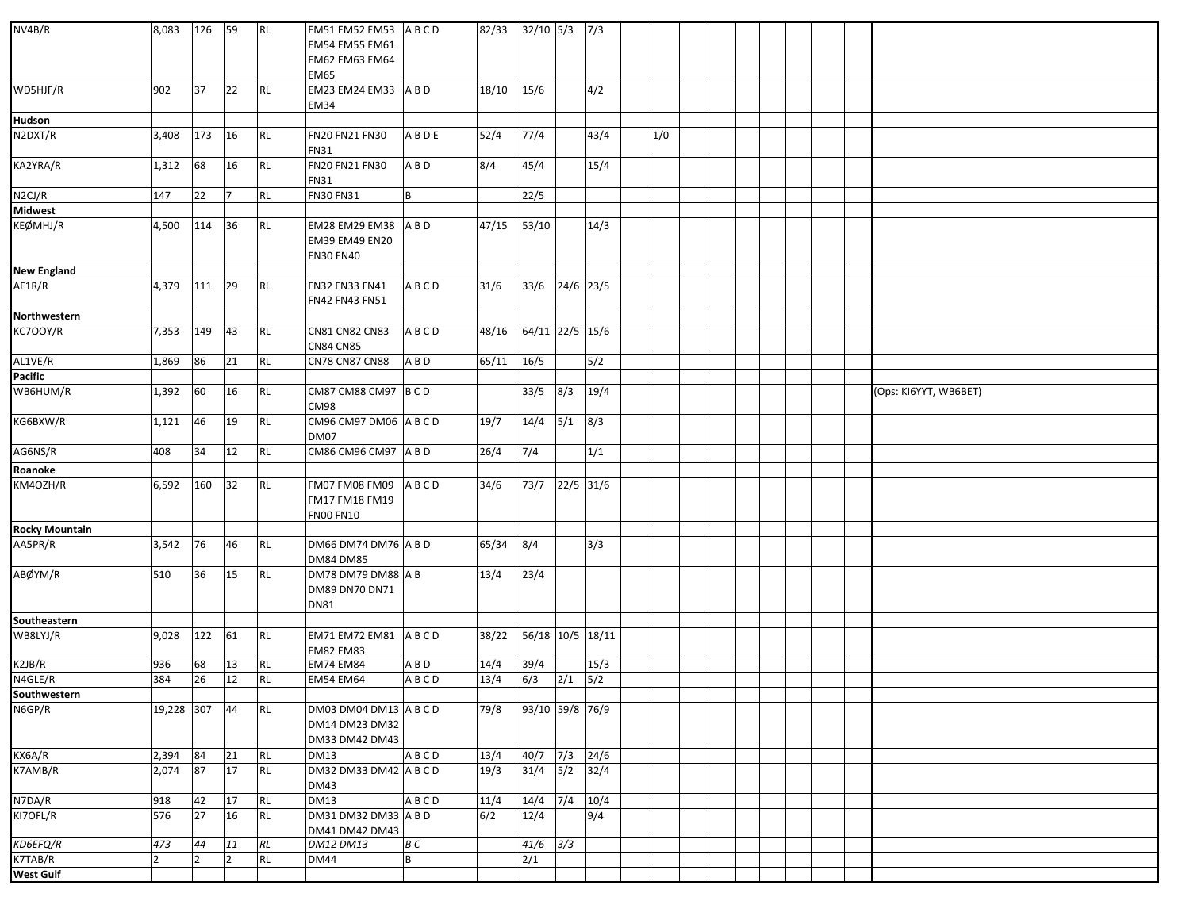| NV4B/R                  | 8,083        | 126            | 59             | RL        | EM51 EM52 EM53 ABCD<br><b>EM54 EM55 EM61</b><br>EM62 EM63 EM64<br><b>EM65</b> |             | 82/33 | $32/10$ 5/3      |           | 7/3  |     |  |  |  |                       |
|-------------------------|--------------|----------------|----------------|-----------|-------------------------------------------------------------------------------|-------------|-------|------------------|-----------|------|-----|--|--|--|-----------------------|
| WD5HJF/R                | 902          | 37             | 22             | RL        | EM23 EM24 EM33 A B D<br><b>EM34</b>                                           |             | 18/10 | 15/6             |           | 4/2  |     |  |  |  |                       |
| Hudson                  |              |                |                |           |                                                                               |             |       |                  |           |      |     |  |  |  |                       |
| N2DXT/R                 | 3,408        | 173            | 16             | <b>RL</b> | FN20 FN21 FN30<br><b>FN31</b>                                                 | A B D E     | 52/4  | 77/4             |           | 43/4 | 1/0 |  |  |  |                       |
| KA2YRA/R                | 1,312        | 68             | 16             | <b>RL</b> | FN20 FN21 FN30<br><b>FN31</b>                                                 | A B D       | 8/4   | 45/4             |           | 15/4 |     |  |  |  |                       |
| N2CJ/R                  | 147          | 22             | 17             | <b>RL</b> | FN30 FN31                                                                     | B           |       | 22/5             |           |      |     |  |  |  |                       |
| <b>Midwest</b>          |              |                |                |           |                                                                               |             |       |                  |           |      |     |  |  |  |                       |
| KEØMHJ/R                | 4,500        | 114            | 36             | <b>RL</b> | EM28 EM29 EM38<br>EM39 EM49 EN20<br><b>EN30 EN40</b>                          | A B D       | 47/15 | 53/10            |           | 14/3 |     |  |  |  |                       |
| <b>New England</b>      |              |                |                |           |                                                                               |             |       |                  |           |      |     |  |  |  |                       |
| AF1R/R                  | 4,379        | 111            | 29             | <b>RL</b> | FN32 FN33 FN41<br>FN42 FN43 FN51                                              | ABCD        | 31/6  | 33/6             | 24/6 23/5 |      |     |  |  |  |                       |
| Northwestern            |              |                |                |           |                                                                               |             |       |                  |           |      |     |  |  |  |                       |
| KC700Y/R                | 7,353        | 149            | 43             | <b>RL</b> | CN81 CN82 CN83<br><b>CN84 CN85</b>                                            | ABCD        | 48/16 | 64/11 22/5 15/6  |           |      |     |  |  |  |                       |
| AL1VE/R                 | 1,869        | 86             | 21             | RL        | <b>CN78 CN87 CN88</b>                                                         | ABD         | 65/11 | 16/5             |           | 5/2  |     |  |  |  |                       |
| <b>Pacific</b>          |              |                |                |           |                                                                               |             |       |                  |           |      |     |  |  |  |                       |
| WB6HUM/R                | 1,392        | 60             | 16             | <b>RL</b> | CM87 CM88 CM97 B C D<br><b>CM98</b>                                           |             |       | 33/5             | 8/3       | 19/4 |     |  |  |  | (Ops: KI6YYT, WB6BET) |
| KG6BXW/R                | 1,121        | 46             | 19             | <b>RL</b> | CM96 CM97 DM06 ABCD<br>DM07                                                   |             | 19/7  | 14/4             | 5/1       | 8/3  |     |  |  |  |                       |
| AG6NS/R                 | 408          | 34             | 12             | <b>RL</b> | CM86 CM96 CM97 A B D                                                          |             | 26/4  | 7/4              |           | 1/1  |     |  |  |  |                       |
| Roanoke                 |              |                |                |           |                                                                               |             |       |                  |           |      |     |  |  |  |                       |
| KM4OZH/R                | 6,592        | 160            | 32             | <b>RL</b> | <b>FM07 FM08 FM09</b><br>FM17 FM18 FM19<br><b>FN00 FN10</b>                   | ABCD        | 34/6  | 73/7             | 22/5 31/6 |      |     |  |  |  |                       |
| <b>Rocky Mountain</b>   |              |                |                |           |                                                                               |             |       |                  |           |      |     |  |  |  |                       |
| AA5PR/R                 | 3,542        | 76             | 46             | <b>RL</b> | DM66 DM74 DM76 A B D<br><b>DM84 DM85</b>                                      |             | 65/34 | 8/4              |           | 3/3  |     |  |  |  |                       |
| ABØYM/R                 | 510          | 36             | 15             | <b>RL</b> | DM78 DM79 DM88 A B<br>DM89 DN70 DN71<br><b>DN81</b>                           |             | 13/4  | 23/4             |           |      |     |  |  |  |                       |
| <b>Southeastern</b>     |              |                |                |           |                                                                               |             |       |                  |           |      |     |  |  |  |                       |
| WB8LYJ/R                | 9,028        | 122            | 61             | <b>RL</b> | EM71 EM72 EM81 ABCD<br><b>EM82 EM83</b>                                       |             | 38/22 | 56/18 10/5 18/11 |           |      |     |  |  |  |                       |
| K2JB/R                  | 936          | 68             | 13             | <b>RL</b> | <b>EM74 EM84</b>                                                              | A B D       | 14/4  | 39/4             |           | 15/3 |     |  |  |  |                       |
| N4GLE/R<br>Southwestern | 384          | 26             | 12             | <b>RL</b> | <b>EM54 EM64</b>                                                              | ABCD        | 13/4  | 6/3              | 2/1       | 5/2  |     |  |  |  |                       |
|                         |              |                |                |           |                                                                               |             |       |                  |           |      |     |  |  |  |                       |
| N6GP/R                  | 19,228 307   |                | 44             | <b>RL</b> | DM03 DM04 DM13 A B C D<br>DM14 DM23 DM32<br>DM33 DM42 DM43                    |             | 79/8  | 93/10 59/8 76/9  |           |      |     |  |  |  |                       |
| KX6A/R                  | 2,394        | 84             | 21             | RL        | <b>DM13</b>                                                                   | ABCD        | 13/4  | 40/7             | 7/3       | 24/6 |     |  |  |  |                       |
| K7AMB/R                 | 2,074        | 87             | 17             | <b>RL</b> | DM32 DM33 DM42 A B C D<br><b>DM43</b>                                         |             | 19/3  | 31/4             | 5/2       | 32/4 |     |  |  |  |                       |
| N7DA/R                  | 918          | 42             | $17\,$         | <b>RL</b> | $\overline{DM13}$                                                             | <b>ABCD</b> | 11/4  | 14/4             | 7/4       | 10/4 |     |  |  |  |                       |
| KI7OFL/R                | 576          | 27             | 16             | <b>RL</b> | DM31 DM32 DM33 A B D<br>DM41 DM42 DM43                                        |             | 6/2   | 12/4             |           | 9/4  |     |  |  |  |                       |
| KD6EFQ/R                | 473          | 44             | 11             | $\cal RL$ | DM12 DM13                                                                     | B C         |       | 41/6             | 3/3       |      |     |  |  |  |                       |
| K7TAB/R<br>West Gulf    | <sup>2</sup> | $\overline{2}$ | $\overline{2}$ | <b>RL</b> | <b>DM44</b>                                                                   | B           |       | $\overline{2/1}$ |           |      |     |  |  |  |                       |
|                         |              |                |                |           |                                                                               |             |       |                  |           |      |     |  |  |  |                       |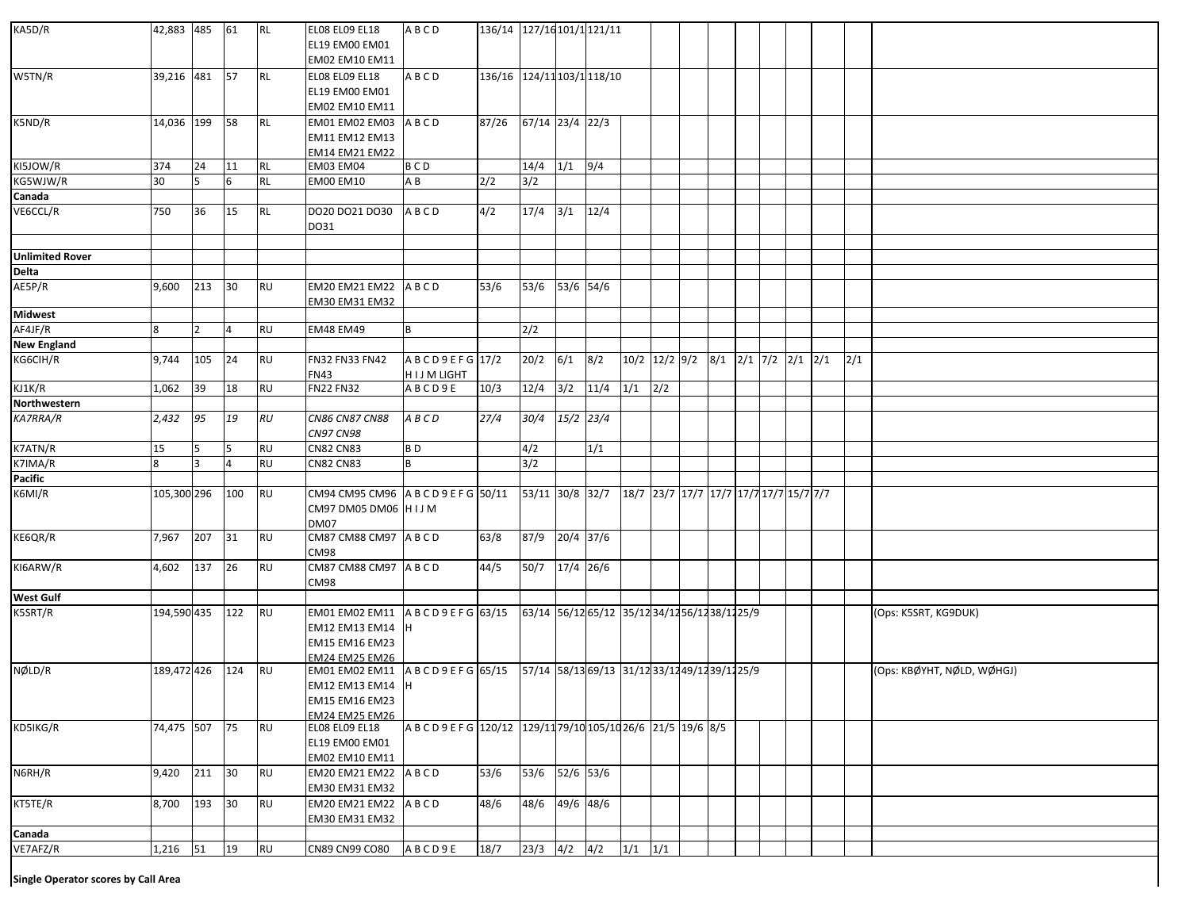| KA5D/R                              | 42,883 485    |                | 61             | <b>RL</b> | <b>ELO8 ELO9 EL18</b><br>EL19 EM00 EM01<br>EM02 EM10 EM11                                    | ABCD                                                          | 136/14 127/16 101/1 121/11 |                                                        |             |            |                                                   |     |  |  |  |     |                            |
|-------------------------------------|---------------|----------------|----------------|-----------|----------------------------------------------------------------------------------------------|---------------------------------------------------------------|----------------------------|--------------------------------------------------------|-------------|------------|---------------------------------------------------|-----|--|--|--|-----|----------------------------|
| W5TN/R                              | 39,216 481 57 |                |                | <b>RL</b> | <b>ELO8 ELO9 EL18</b><br>EL19 EM00 EM01<br>EM02 EM10 EM11                                    | ABCD                                                          | 136/16 124/11 103/1 118/10 |                                                        |             |            |                                                   |     |  |  |  |     |                            |
| K5ND/R                              | 14,036 199    |                | 58             | RL        | EM01 EM02 EM03<br>EM11 EM12 EM13<br>EM14 EM21 EM22                                           | ABCD                                                          | 87/26                      | 67/14 23/4 22/3                                        |             |            |                                                   |     |  |  |  |     |                            |
| KI5JOW/R                            | 374           | 24             | 11             | <b>RL</b> | EM03 EM04                                                                                    | <b>BCD</b>                                                    |                            | $14/4$ $1/1$ $9/4$                                     |             |            |                                                   |     |  |  |  |     |                            |
| KG5WJW/R                            | 30            | 5              | 6              | <b>RL</b> | EM00 EM10                                                                                    | ΑB                                                            | 2/2                        | 3/2                                                    |             |            |                                                   |     |  |  |  |     |                            |
| Canada                              |               |                |                |           |                                                                                              |                                                               |                            |                                                        |             |            |                                                   |     |  |  |  |     |                            |
| VE6CCL/R                            | 750           | 36             | 15             | <b>RL</b> | DO20 DO21 DO30<br>DO31                                                                       | ABCD                                                          | 4/2                        | 17/4                                                   | 3/1         | 12/4       |                                                   |     |  |  |  |     |                            |
| <b>Unlimited Rover</b>              |               |                |                |           |                                                                                              |                                                               |                            |                                                        |             |            |                                                   |     |  |  |  |     |                            |
| Delta                               |               |                |                |           |                                                                                              |                                                               |                            |                                                        |             |            |                                                   |     |  |  |  |     |                            |
| AE5P/R                              | 9,600         | 213 30         |                | <b>RU</b> | EM20 EM21 EM22 ABCD<br>EM30 EM31 EM32                                                        |                                                               | $53/6$                     | 53/6                                                   | 53/6 54/6   |            |                                                   |     |  |  |  |     |                            |
| <b>Midwest</b>                      |               |                |                |           |                                                                                              |                                                               |                            |                                                        |             |            |                                                   |     |  |  |  |     |                            |
| AF4JF/R                             | 8             |                | 4              | <b>RU</b> | <b>EM48 EM49</b>                                                                             | B                                                             |                            | 2/2                                                    |             |            |                                                   |     |  |  |  |     |                            |
| <b>New England</b>                  |               |                |                |           |                                                                                              |                                                               |                            |                                                        |             |            |                                                   |     |  |  |  |     |                            |
| KG6CIH/R                            | 9,744         | 105            | 24             | <b>RU</b> | FN32 FN33 FN42<br>FN43                                                                       | ABCD9EFG 17/2<br>HIJM LIGHT                                   |                            | 20/2                                                   | 6/1         | 8/2        | $10/2$ $12/2$ $9/2$ $8/1$ $2/1$ $7/2$ $2/1$ $2/1$ |     |  |  |  | 2/1 |                            |
| KJ1K/R<br>Northwestern              | 1,062         | 39             | 18             | <b>RU</b> | <b>FN22 FN32</b>                                                                             | ABCD9E                                                        | 10/3                       | 12/4                                                   |             | $3/2$ 11/4 | $1/1$ $2/2$                                       |     |  |  |  |     |                            |
|                                     |               |                |                |           |                                                                                              |                                                               |                            |                                                        |             |            |                                                   |     |  |  |  |     |                            |
| <b>KA7RRA/R</b>                     | 2,432         | 95             | 19             | RU        | <b>CN86 CN87 CN88</b><br><b>CN97 CN98</b>                                                    | ABCD                                                          | 27/4                       | 30/4                                                   | $15/2$ 23/4 |            |                                                   |     |  |  |  |     |                            |
| K7ATN/R                             | 15            |                | 5              | <b>RU</b> | <b>CN82 CN83</b>                                                                             | BD                                                            |                            | 4/2                                                    |             | 1/1        |                                                   |     |  |  |  |     |                            |
| K7IMA/R                             | 8             | 3              | $\overline{4}$ | RU        | <b>CN82 CN83</b>                                                                             | B                                                             |                            | 3/2                                                    |             |            |                                                   |     |  |  |  |     |                            |
| Pacific                             |               |                |                |           |                                                                                              |                                                               |                            |                                                        |             |            |                                                   |     |  |  |  |     |                            |
| K6MI/R                              | 105,300 296   |                | 100            | <b>RU</b> | CM94 CM95 CM96 A B C D 9 E F G 50/11<br>CM97 DM05 DM06 HIJM<br>DM07                          |                                                               |                            | 53/11 30/8 32/7 18/7 23/7 17/7 17/7 17/7 17/7 15/7 7/7 |             |            |                                                   |     |  |  |  |     |                            |
| KE6QR/R                             | 7,967         | 207 31         |                | <b>RU</b> | CM87 CM88 CM97 ABCD<br>CM98                                                                  |                                                               | 63/8                       | 87/9                                                   | 20/4 37/6   |            |                                                   |     |  |  |  |     |                            |
| KI6ARW/R                            | 4,602         | 137 26         |                | RU        | CM87 CM88 CM97 ABCD<br>CM98                                                                  |                                                               | 44/5                       | 50/7                                                   | 17/4 26/6   |            |                                                   |     |  |  |  |     |                            |
| <b>West Gulf</b>                    |               |                |                |           |                                                                                              |                                                               |                            |                                                        |             |            |                                                   |     |  |  |  |     |                            |
| K5SRT/R                             | 194,590 435   |                | 122            | <b>RU</b> | EM01 EM02 EM11<br>EM12 EM13 EM14 H<br><b>EM15 EM16 EM23</b><br>EM24 EM25 EM26                | ABCD9EFG 63/15                                                |                            | 63/14 56/12 65/12 35/12 34/12 56/12 38/12 25/9         |             |            |                                                   |     |  |  |  |     | (Ops: K5SRT, KG9DUK)       |
| NØLD/R                              | 189,472 426   |                | 124            | RU        | EM01 EM02 EM11 ABCD9EFG 65/15<br>EM12 EM13 EM14 H<br>EM15 EM16 EM23<br><b>EM24 EM25 EM26</b> |                                                               |                            | 57/14 58/13 69/13 31/12 33/12 49/12 39/12 25/9         |             |            |                                                   |     |  |  |  |     | (Ops: KBØYHT, NØLD, WØHGJ) |
| KD5IKG/R                            | 74,475 507    |                | 75             | <b>RU</b> | <b>ELO8 ELO9 EL18</b><br>EL19 EM00 EM01<br>EM02 EM10 EM11                                    | A B C D 9 E F G 120/12 129/11 79/10 105/10 26/6 21/5 19/6 8/5 |                            |                                                        |             |            |                                                   |     |  |  |  |     |                            |
| N6RH/R                              | 9,420         | $211 \quad 30$ |                | <b>RU</b> | EM20 EM21 EM22<br>EM30 EM31 EM32                                                             | ABCD                                                          | 53/6                       | 53/6                                                   | 52/6 53/6   |            |                                                   |     |  |  |  |     |                            |
| KT5TE/R                             | 8,700         | 193            | 30             | <b>RU</b> | EM20 EM21 EM22<br>EM30 EM31 EM32                                                             | ABCD                                                          | 48/6                       | 48/6                                                   | 49/6 48/6   |            |                                                   |     |  |  |  |     |                            |
| Canada<br>VE7AFZ/R                  |               |                |                |           |                                                                                              |                                                               |                            |                                                        |             |            |                                                   |     |  |  |  |     |                            |
|                                     | 1,216         | 51             | 19             | <b>RU</b> | CN89 CN99 CO80                                                                               | ABCD9E                                                        | 18/7                       | 23/3                                                   | 4/2         | 4/2        | 1/1                                               | 1/1 |  |  |  |     |                            |
| Single Operator scores by Call Area |               |                |                |           |                                                                                              |                                                               |                            |                                                        |             |            |                                                   |     |  |  |  |     |                            |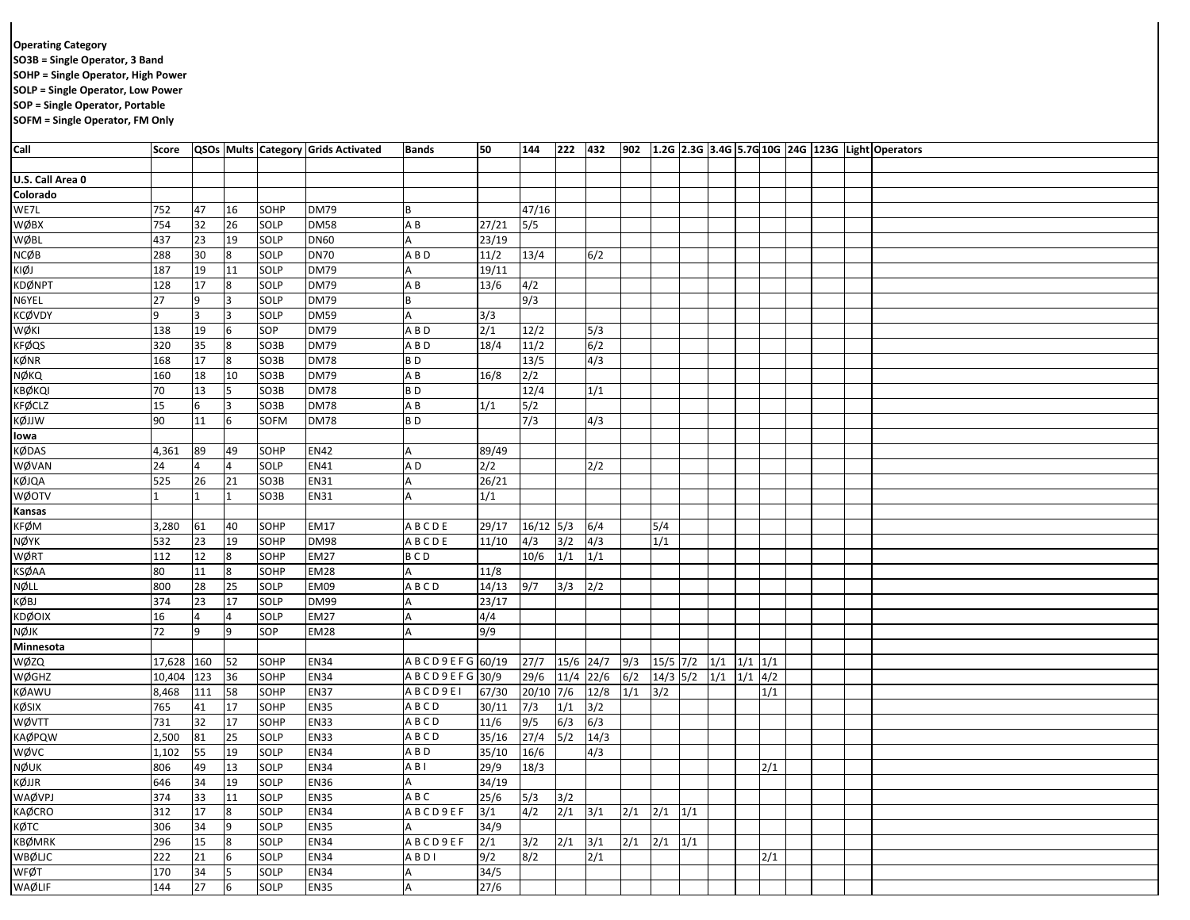## **Operating Category**

**SO3B = Single Operator, 3 Band**

**SOHP = Single Operator, High Power**

**SOLP = Single Operator, Low Power**

**SOP = Single Operator, Portable**

**SOFM = Single Operator, FM Only**

| Call             |        |     |          |                   | Score   QSOs   Mults   Category   Grids Activated | <b>Bands</b>   | 50             | 144   | 222 432     |      |     |                              |  |                   |     |  | 902 1.2G 2.3G 3.4G 5.7G 10G 24G 123G Light Operators |
|------------------|--------|-----|----------|-------------------|---------------------------------------------------|----------------|----------------|-------|-------------|------|-----|------------------------------|--|-------------------|-----|--|------------------------------------------------------|
|                  |        |     |          |                   |                                                   |                |                |       |             |      |     |                              |  |                   |     |  |                                                      |
| U.S. Call Area 0 |        |     |          |                   |                                                   |                |                |       |             |      |     |                              |  |                   |     |  |                                                      |
| Colorado         |        |     |          |                   |                                                   |                |                |       |             |      |     |                              |  |                   |     |  |                                                      |
| WE7L             | 752    | 47  | 16       | SOHP              | <b>DM79</b>                                       | B              |                | 47/16 |             |      |     |                              |  |                   |     |  |                                                      |
| WØBX             | 754    | 32  | 26       | SOLP              | <b>DM58</b>                                       | A B            | 27/21          | 5/5   |             |      |     |                              |  |                   |     |  |                                                      |
| <b>WØBL</b>      | 437    | 23  | 19       | SOLP              | <b>DN60</b>                                       |                | 23/19          |       |             |      |     |                              |  |                   |     |  |                                                      |
| <b>NCØB</b>      | 288    | 30  | 8        | SOLP              | <b>DN70</b>                                       | A B D          | $\frac{11}{2}$ | 13/4  |             | 6/2  |     |                              |  |                   |     |  |                                                      |
| KIØJ             | 187    | 19  | 11       | SOLP              | <b>DM79</b>                                       |                | 19/11          |       |             |      |     |                              |  |                   |     |  |                                                      |
| KDØNPT           | 128    | 17  | 8        | SOLP              | <b>DM79</b>                                       | A B            | 13/6           | 4/2   |             |      |     |                              |  |                   |     |  |                                                      |
| N6YEL            | 27     | 9   | 3        | SOLP              | <b>DM79</b>                                       |                |                | 9/3   |             |      |     |                              |  |                   |     |  |                                                      |
| KCØVDY           | 9      | 3   | 3        | SOLP              | <b>DM59</b>                                       | A              | 3/3            |       |             |      |     |                              |  |                   |     |  |                                                      |
| WØKI             | 138    | 19  | 6        | SOP               | <b>DM79</b>                                       | A B D          | 2/1            | 12/2  |             | 5/3  |     |                              |  |                   |     |  |                                                      |
| <b>KFØQS</b>     | 320    | 35  | 8        | SO3B              | <b>DM79</b>                                       | A B D          | 18/4           | 11/2  |             | 6/2  |     |                              |  |                   |     |  |                                                      |
| KØNR             | 168    | 17  | 8        | SO3B              | <b>DM78</b>                                       | BD             |                | 13/5  |             | 4/3  |     |                              |  |                   |     |  |                                                      |
| NØKQ             | 160    | 18  | 10       | SO <sub>3</sub> B | <b>DM79</b>                                       | A B            | 16/8           | 2/2   |             |      |     |                              |  |                   |     |  |                                                      |
| KBØKQI           | 70     | 13  |          | SO3B              | <b>DM78</b>                                       | B <sub>D</sub> |                | 12/4  |             | 1/1  |     |                              |  |                   |     |  |                                                      |
| <b>KFØCLZ</b>    | 15     | 6   |          | SO3B              | <b>DM78</b>                                       | A B            | 1/1            | 5/2   |             |      |     |                              |  |                   |     |  |                                                      |
| KØJJW            | 90     | 11  | 6        | SOFM              | <b>DM78</b>                                       | BD             |                | 7/3   |             | 4/3  |     |                              |  |                   |     |  |                                                      |
| lowa             |        |     |          |                   |                                                   |                |                |       |             |      |     |                              |  |                   |     |  |                                                      |
| KØDAS            | 4,361  | 89  | 49       | SOHP              | <b>EN42</b>                                       |                | 89/49          |       |             |      |     |                              |  |                   |     |  |                                                      |
| WØVAN            | 24     |     |          | SOLP              | EN41                                              | A D            | 2/2            |       |             | 2/2  |     |                              |  |                   |     |  |                                                      |
| KØJQA            | 525    | 26  | 21       | SO3B              | EN31                                              |                | 26/21          |       |             |      |     |                              |  |                   |     |  |                                                      |
| WØOTV            |        |     |          | SO3B              | EN31                                              |                | 1/1            |       |             |      |     |                              |  |                   |     |  |                                                      |
| Kansas           |        |     |          |                   |                                                   |                |                |       |             |      |     |                              |  |                   |     |  |                                                      |
| KFØM             | 3,280  | 61  | 40       | SOHP              | EM17                                              | <b>ABCDE</b>   | 29/17          | 16/12 | 5/3         | 6/4  |     | 5/4                          |  |                   |     |  |                                                      |
| NØYK             | 532    | 23  | 19       | SOHP              | <b>DM98</b>                                       | A B C D E      | 11/10          | 4/3   | 3/2         | 4/3  |     | 1/1                          |  |                   |     |  |                                                      |
| WØRT             | 112    | 12  |          | SOHP              | <b>EM27</b>                                       | <b>BCD</b>     |                | 10/6  | 1/1         | 1/1  |     |                              |  |                   |     |  |                                                      |
| KSØAA            | 80     | 11  |          | SOHP              | EM28                                              |                | 11/8           |       |             |      |     |                              |  |                   |     |  |                                                      |
| NØLL             | 800    | 28  | 25       | SOLP              | <b>EM09</b>                                       | ABCD           | 14/13          | 9/7   | 3/3         | 2/2  |     |                              |  |                   |     |  |                                                      |
| KØBJ             | 374    | 23  | 17       | SOLP              | DM99                                              |                | 23/17          |       |             |      |     |                              |  |                   |     |  |                                                      |
| KDØOIX           | $16\,$ |     |          | SOLP              | <b>EM27</b>                                       |                | 4/4            |       |             |      |     |                              |  |                   |     |  |                                                      |
| NØJK             | 72     | 9   | 9        | SOP               | EM28                                              |                | 9/9            |       |             |      |     |                              |  |                   |     |  |                                                      |
| Minnesota        |        |     |          |                   |                                                   |                |                |       |             |      |     |                              |  |                   |     |  |                                                      |
| WØZQ             | 17,628 | 160 | 52       | SOHP              | <b>EN34</b>                                       | ABCD9EFG       | 60/19          | 27/7  | 15/6 24/7   |      | 9/3 | $15/5$ 7/2                   |  | $1/1$ $1/1$ $1/1$ |     |  |                                                      |
| <b>WØGHZ</b>     | 10,404 | 123 | 36       | <b>SOHP</b>       | <b>EN34</b>                                       | ABCD9EFG 30/9  |                | 29/6  | 11/4 22/6   |      | 6/2 | $14/3$ 5/2 $1/1$ $1/1$ $4/2$ |  |                   |     |  |                                                      |
| KØAWU            | 8,468  | 111 | 58       | SOHP              | <b>EN37</b>                                       | ABCD9EI        | 67/30          | 20/10 | 7/6         | 12/8 | 1/1 | 3/2                          |  |                   | 1/1 |  |                                                      |
| KØSIX            | 765    | 41  | 17       | SOHP              | <b>EN35</b>                                       | ABCD           | 30/11          | 7/3   | 1/1         | 3/2  |     |                              |  |                   |     |  |                                                      |
| WØVTT            | 731    | 32  | 17       | SOHP              | <b>EN33</b>                                       | ABCD           | 11/6           | 9/5   | 6/3         | 6/3  |     |                              |  |                   |     |  |                                                      |
| KAØPQW           | 2,500  | 81  | 25       | SOLP              | <b>EN33</b>                                       | ABCD           | 35/16          | 27/4  | 5/2         | 14/3 |     |                              |  |                   |     |  |                                                      |
| wøvc             | 1,102  | 55  | 19       | SOLP              | <b>EN34</b>                                       | A B D          | 35/10          | 16/6  |             | 4/3  |     |                              |  |                   |     |  |                                                      |
| NØUK             | 806    | 49  | 13       | SOLP              | <b>EN34</b>                                       | A B I          | 29/9           | 18/3  |             |      |     |                              |  |                   | 2/1 |  |                                                      |
| KØJJR            | 646    | 34  | 19       | SOLP              | <b>EN36</b>                                       |                | 34/19          |       |             |      |     |                              |  |                   |     |  |                                                      |
| WAØVPJ           | 374    | 33  | 11       | SOLP              | <b>EN35</b>                                       | A B C          | 25/6           | 5/3   | 3/2         |      |     |                              |  |                   |     |  |                                                      |
| KAØCRO           | 312    | 17  |          | SOLP              | <b>EN34</b>                                       | A B C D 9 E F  | 3/1            | 4/2   | $2/1$ $3/1$ |      | 2/1 | $2/1$ $1/1$                  |  |                   |     |  |                                                      |
| кØтс             | 306    | 34  | <b>q</b> | SOLP              | <b>EN35</b>                                       |                | 34/9           |       |             |      |     |                              |  |                   |     |  |                                                      |
| KBØMRK           | 296    | 15  |          | SOLP              | <b>EN34</b>                                       | ABCD9EF        | 2/1            | 3/2   | 2/1         | 3/1  | 2/1 | $2/1$ $1/1$                  |  |                   |     |  |                                                      |
| <b>WBØLJC</b>    | 222    | 21  |          | SOLP              | <b>EN34</b>                                       | ABDI           | 9/2            | 8/2   |             | 2/1  |     |                              |  |                   | 2/1 |  |                                                      |
| <b>WFØT</b>      | 170    | 34  |          | SOLP              | <b>EN34</b>                                       |                | 34/5           |       |             |      |     |                              |  |                   |     |  |                                                      |
|                  | 144    | 27  | 6        | SOLP              | <b>EN35</b>                                       |                | 27/6           |       |             |      |     |                              |  |                   |     |  |                                                      |
| WAØLIF           |        |     |          |                   |                                                   |                |                |       |             |      |     |                              |  |                   |     |  |                                                      |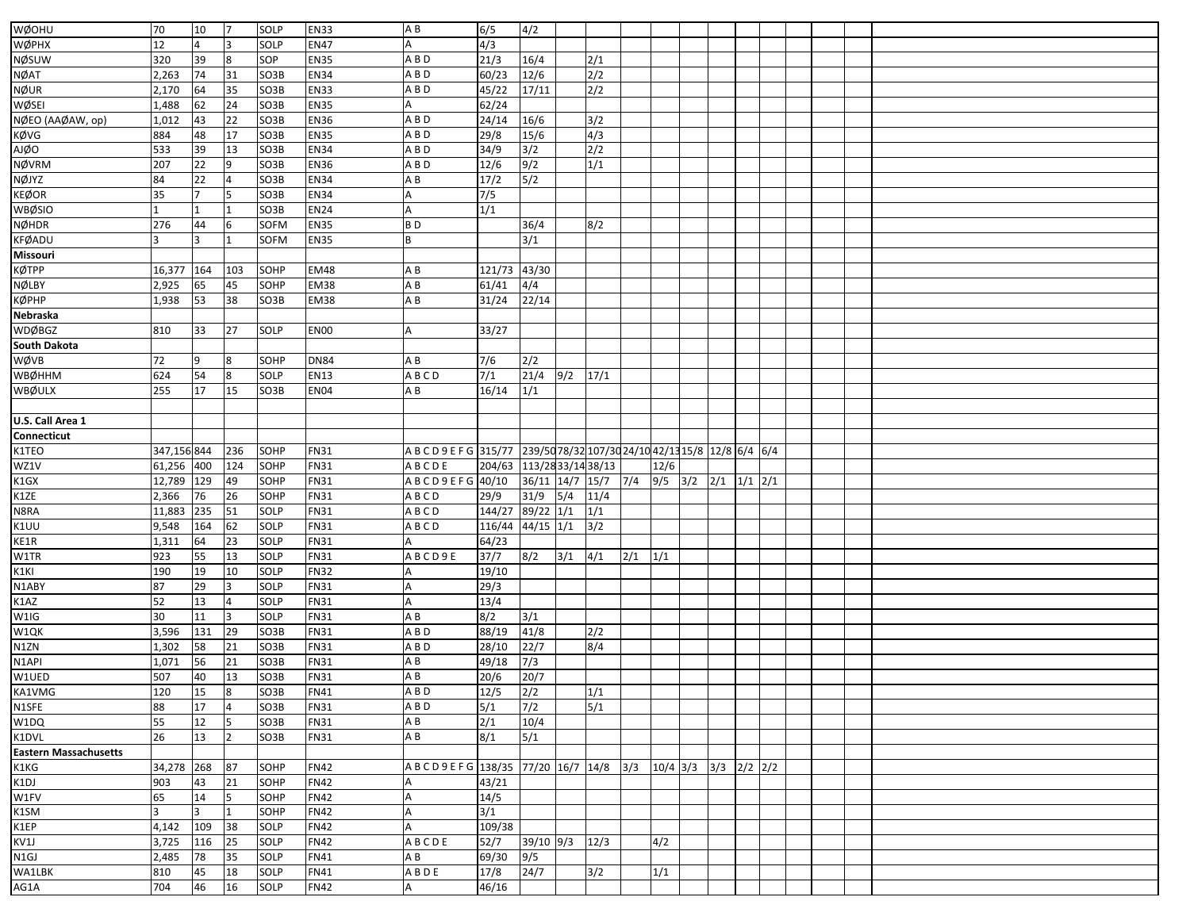| WØOHU                        | 70          | 10                   | 17             | SOLP         | <b>EN33</b> | AB                                                                       | 6/5                       | 4/2             |            |                  |     |             |                   |  |  |  |
|------------------------------|-------------|----------------------|----------------|--------------|-------------|--------------------------------------------------------------------------|---------------------------|-----------------|------------|------------------|-----|-------------|-------------------|--|--|--|
| WØPHX                        | 12          |                      |                | SOLP         | <b>EN47</b> |                                                                          | 4/3                       |                 |            |                  |     |             |                   |  |  |  |
| NØSUW                        | 320         | 39                   | 8              | SOP          | <b>EN35</b> | ABD                                                                      | 21/3                      | 16/4            |            | 2/1              |     |             |                   |  |  |  |
| NØAT                         | 2,263       | 74                   | 31             | SO3B         | <b>EN34</b> | A B D                                                                    | 60/23                     | 12/6            |            | 2/2              |     |             |                   |  |  |  |
| NØUR                         | 2,170       | 64                   | 35             | SO3B         | <b>EN33</b> | A B D                                                                    | 45/22                     | 17/11           |            | $\overline{2/2}$ |     |             |                   |  |  |  |
|                              | 1,488       |                      | 24             | SO3B         | <b>EN35</b> |                                                                          | 62/24                     |                 |            |                  |     |             |                   |  |  |  |
| WØSEI                        |             | 62                   |                |              |             |                                                                          |                           |                 |            |                  |     |             |                   |  |  |  |
| NØEO (AAØAW, op)             | 1,012       | 43                   | 22             | SO3B         | <b>EN36</b> | A B D                                                                    | 24/14                     | 16/6            |            | 3/2              |     |             |                   |  |  |  |
| KØVG                         | 884         | 48                   | 17             | SO3B         | <b>EN35</b> | A B D                                                                    | 29/8                      | $15/6$          |            | 4/3              |     |             |                   |  |  |  |
| <b>AJØO</b>                  | 533         | 39                   | 13             | SO3B         | <b>EN34</b> | A B D                                                                    | 34/9                      | 3/2             |            | 2/2              |     |             |                   |  |  |  |
| <b>NØVRM</b>                 | 207         | 22                   | 9              | SO3B         | <b>EN36</b> | A B D                                                                    | 12/6                      | 9/2             |            | 1/1              |     |             |                   |  |  |  |
| NØJYZ                        | 84          | 22                   |                | SO3B         | <b>EN34</b> | A B                                                                      | 17/2                      | 5/2             |            |                  |     |             |                   |  |  |  |
| KEØOR                        | 35          | $\overline{7}$       | 5              | SO3B         | <b>EN34</b> |                                                                          | 7/5                       |                 |            |                  |     |             |                   |  |  |  |
| WBØSIO                       |             |                      |                | SO3B         | EN24        |                                                                          | 1/1                       |                 |            |                  |     |             |                   |  |  |  |
| NØHDR                        | 276         | 44                   |                | SOFM         | <b>EN35</b> | B <sub>D</sub>                                                           |                           | 36/4            |            | 8/2              |     |             |                   |  |  |  |
| <b>KFØADU</b>                |             | 3                    |                | <b>SOFM</b>  | <b>EN35</b> | B                                                                        |                           | 3/1             |            |                  |     |             |                   |  |  |  |
| Missouri                     |             |                      |                |              |             |                                                                          |                           |                 |            |                  |     |             |                   |  |  |  |
| КØТРР                        | 16,377      | 164                  | 103            | SOHP         | <b>EM48</b> | AB                                                                       | 121/73 43/30              |                 |            |                  |     |             |                   |  |  |  |
| NØLBY                        | 2,925       | 65                   | 45             | SOHP         | <b>EM38</b> | A B                                                                      | 61/41                     | 4/4             |            |                  |     |             |                   |  |  |  |
| КØРНР                        | 1,938       | 53                   | 38             | SO3B         | EM38        | ΑB                                                                       | 31/24                     | 22/14           |            |                  |     |             |                   |  |  |  |
| Nebraska                     |             |                      |                |              |             |                                                                          |                           |                 |            |                  |     |             |                   |  |  |  |
| <b>WDØBGZ</b>                | 810         | 33                   | 27             | SOLP         | <b>EN00</b> | А                                                                        | 33/27                     |                 |            |                  |     |             |                   |  |  |  |
| South Dakota                 |             |                      |                |              |             |                                                                          |                           |                 |            |                  |     |             |                   |  |  |  |
| WØVB                         | 72          | 9                    | 8              | SOHP         | <b>DN84</b> | A B                                                                      | 7/6                       | 2/2             |            |                  |     |             |                   |  |  |  |
| WBØHHM                       | 624         | 54                   | 8              | SOLP         | <b>EN13</b> | A B C D                                                                  | 7/1                       | 21/4            | $9/2$ 17/1 |                  |     |             |                   |  |  |  |
| WBØULX                       | 255         | 17                   | 15             | SO3B         | <b>EN04</b> | ΑB                                                                       | 16/14                     | 1/1             |            |                  |     |             |                   |  |  |  |
|                              |             |                      |                |              |             |                                                                          |                           |                 |            |                  |     |             |                   |  |  |  |
|                              |             |                      |                |              |             |                                                                          |                           |                 |            |                  |     |             |                   |  |  |  |
| U.S. Call Area 1             |             |                      |                |              |             |                                                                          |                           |                 |            |                  |     |             |                   |  |  |  |
| Connecticut                  |             |                      |                |              |             |                                                                          |                           |                 |            |                  |     |             |                   |  |  |  |
| K1TEO                        | 347,156 844 |                      | 236            | SOHP         | <b>FN31</b> | A B C D 9 E F G 315/77 239/50 78/32 107/30 24/10 42/13 15/8 12/8 6/4 6/4 |                           |                 |            |                  |     |             |                   |  |  |  |
| WZ1V                         | 61,256 400  |                      | 124            | SOHP         | <b>FN31</b> | ABCDE                                                                    | 204/63 113/28 33/14 38/13 |                 |            |                  |     | 12/6        |                   |  |  |  |
| K1GX                         | 12,789      | 129                  | 49             | SOHP         | <b>FN31</b> | A B C D 9 E F G 40/10                                                    |                           | 36/11 14/7 15/7 |            |                  | 7/4 | $9/5$ $3/2$ | $2/1$ $1/1$ $2/1$ |  |  |  |
| K1ZE                         | 2,366       | 76                   | 26             | SOHP         | <b>FN31</b> | ABCD                                                                     | 29/9                      | 31/9            | 5/4        | 11/4             |     |             |                   |  |  |  |
| N8RA                         | 11,883      | 235                  | 51             | SOLP         | <b>FN31</b> | ABCD                                                                     | 144/27                    | $89/22$ 1/1     |            | 1/1              |     |             |                   |  |  |  |
| K1UU                         | 9,548       | 164                  | 62             | SOLP         | <b>FN31</b> | A B C D                                                                  | 116/44                    | $44/15$ 1/1     |            | 3/2              |     |             |                   |  |  |  |
| KE1R                         | 1,311       | 64                   | 23             | SOLP         | <b>FN31</b> |                                                                          | 64/23                     |                 |            |                  |     |             |                   |  |  |  |
| W1TR                         | 923         | 55                   | 13             | SOLP         | <b>FN31</b> | ABCD9E                                                                   | 37/7                      | 8/2             | 3/1        | 4/1              | 2/1 | 1/1         |                   |  |  |  |
| K1KI                         | 190         | 19                   | 10             | SOLP         | <b>FN32</b> |                                                                          | 19/10                     |                 |            |                  |     |             |                   |  |  |  |
| N1ABY                        | 87          | 29                   | 3              | SOLP         | <b>FN31</b> |                                                                          | 29/3                      |                 |            |                  |     |             |                   |  |  |  |
| K1AZ                         | 52          | 13                   | 4              | SOLP         | <b>FN31</b> |                                                                          | 13/4                      |                 |            |                  |     |             |                   |  |  |  |
| W1IG                         | 30          | 11                   | 3              | SOLP         | <b>FN31</b> | AB                                                                       | 8/2                       | 3/1             |            |                  |     |             |                   |  |  |  |
| W1QK                         | 3,596       | 131                  | 29             | SO3B         | <b>FN31</b> | ABD                                                                      | 88/19                     | 41/8            |            | 2/2              |     |             |                   |  |  |  |
| N1ZN                         | 1,302       | 58                   | 21             | SO3B         | <b>FN31</b> | A B D                                                                    | 28/10                     | 22/7            |            | 8/4              |     |             |                   |  |  |  |
| N <sub>1</sub> API           | 1,071       | 56                   | 21             | SO3B         | <b>FN31</b> | ΑB                                                                       | 49/18                     | 7/3             |            |                  |     |             |                   |  |  |  |
| W1UED                        | 507         | 40                   | 13             | SO3B         | <b>FN31</b> | AB                                                                       | 20/6                      | 20/7            |            |                  |     |             |                   |  |  |  |
| KA1VMG                       | 120         | 15                   | 8              | SO3B         | <b>FN41</b> | $A$ $B$ $D$                                                              | 12/5                      | 2/2             |            | 1/1              |     |             |                   |  |  |  |
| N1SFE                        | 88          | 17                   | $\overline{4}$ | SO3B         | <b>FN31</b> | A B D                                                                    | 5/1                       | 7/2             |            | 5/1              |     |             |                   |  |  |  |
| W1DQ                         | 55          | 12                   |                | SO3B         | FN31        | A B                                                                      | 2/1                       | 10/4            |            |                  |     |             |                   |  |  |  |
| K1DVL                        | 26          | 13                   | $\overline{2}$ | SO3B         | <b>FN31</b> | A B                                                                      | 8/1                       | 5/1             |            |                  |     |             |                   |  |  |  |
| <b>Eastern Massachusetts</b> |             |                      |                |              |             |                                                                          |                           |                 |            |                  |     |             |                   |  |  |  |
| K1KG                         | 34,278 268  |                      | 87             | SOHP         | <b>FN42</b> | A B C D 9 E F G 138/35 77/20 16/7 14/8 3/3 10/4 3/3 3/3 2/2 2/2          |                           |                 |            |                  |     |             |                   |  |  |  |
| K1DJ                         | 903         | 43                   | 21             | SOHP         | <b>FN42</b> |                                                                          | 43/21                     |                 |            |                  |     |             |                   |  |  |  |
|                              |             |                      |                |              |             |                                                                          |                           |                 |            |                  |     |             |                   |  |  |  |
| W1FV                         | 65<br>3     | 14<br>3 <sup>7</sup> | 5<br>11        | SOHP<br>SOHP | <b>FN42</b> |                                                                          | 14/5                      |                 |            |                  |     |             |                   |  |  |  |
| K1SM                         |             |                      |                |              | <b>FN42</b> |                                                                          | 3/1                       |                 |            |                  |     |             |                   |  |  |  |
| K1EP                         | 4,142       | 109                  | 38             | SOLP         | <b>FN42</b> |                                                                          | 109/38                    |                 |            |                  |     |             |                   |  |  |  |
| KV1J                         | 3,725       | 116                  | 25             | SOLP         | <b>FN42</b> | ABCDE                                                                    | 52/7 39/10 9/3            |                 |            | 12/3             |     | 4/2         |                   |  |  |  |
| N1GJ                         | 2,485       | 78                   | 35             | SOLP         | FN41        | A B                                                                      | 69/30 9/5                 |                 |            |                  |     |             |                   |  |  |  |
| WA1LBK                       | 810         | 45                   | 18             | SOLP         | FN41        | ABDE                                                                     | $17/8$ 24/7               |                 |            | 3/2              |     | 1/1         |                   |  |  |  |
| AG1A                         | 704         | 46                   | 16             | SOLP         | <b>FN42</b> |                                                                          | 46/16                     |                 |            |                  |     |             |                   |  |  |  |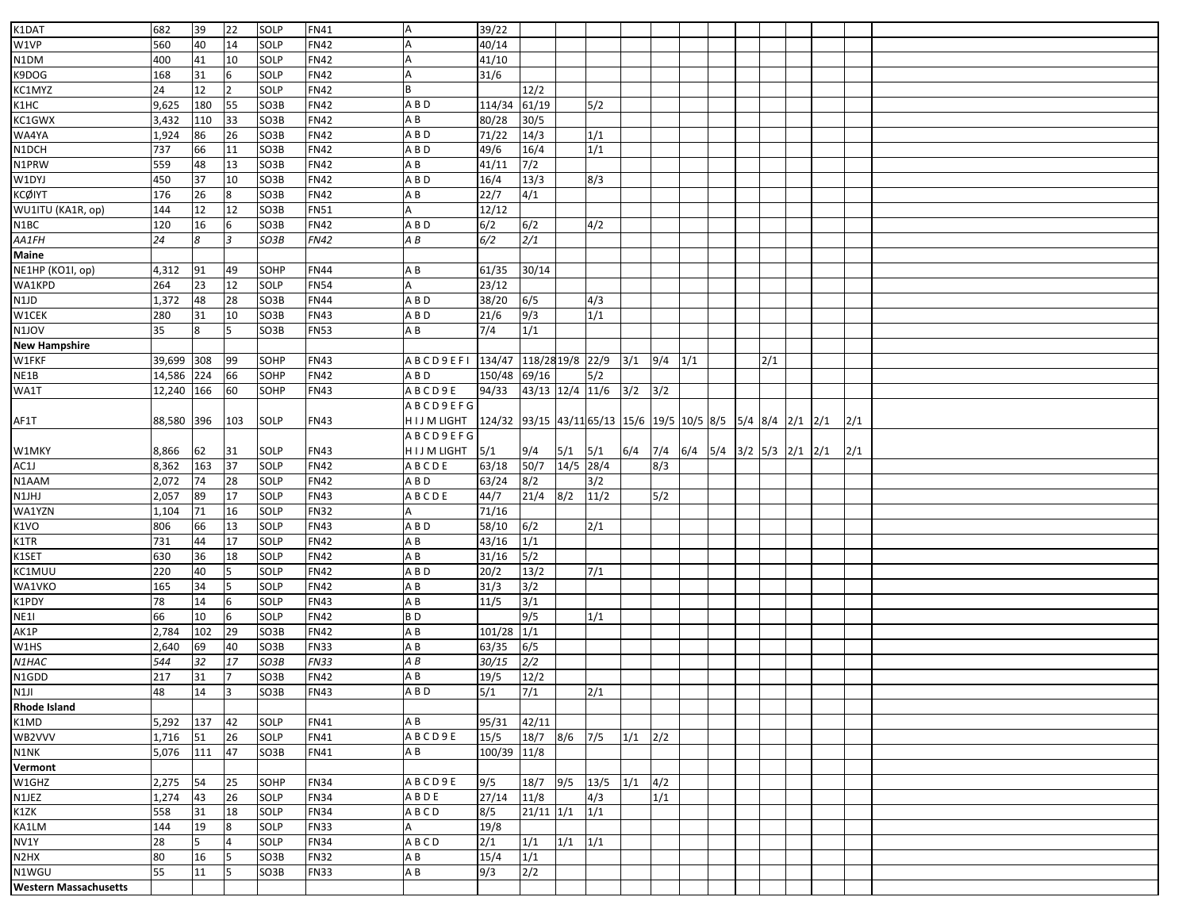| K1DAT                         | 682        | 39     | 22             | SOLP | <b>FN41</b> | ΙA                               | 39/22                                                               |                          |             |      |             |             |  |     |  |     |  |
|-------------------------------|------------|--------|----------------|------|-------------|----------------------------------|---------------------------------------------------------------------|--------------------------|-------------|------|-------------|-------------|--|-----|--|-----|--|
| W1VP                          | 560        | 40     | 14             | SOLP | <b>FN42</b> |                                  | 40/14                                                               |                          |             |      |             |             |  |     |  |     |  |
| N1DM                          | 400        | 41     | 10             | SOLP | <b>FN42</b> |                                  | 41/10                                                               |                          |             |      |             |             |  |     |  |     |  |
| K9DOG                         | 168        | 31     | 6              | SOLP | <b>FN42</b> |                                  | 31/6                                                                |                          |             |      |             |             |  |     |  |     |  |
| KC1MYZ                        | 24         | 12     | $\overline{2}$ | SOLP | <b>FN42</b> |                                  |                                                                     | 12/2                     |             |      |             |             |  |     |  |     |  |
| K1HC                          | 9,625      | 180    | 55             | SO3B | <b>FN42</b> | A B D                            | 114/34 61/19                                                        |                          |             | 5/2  |             |             |  |     |  |     |  |
| KC1GWX                        | 3,432      | 110    | 33             | SO3B | <b>FN42</b> | A B                              | 80/28                                                               | 30/5                     |             |      |             |             |  |     |  |     |  |
| WA4YA                         | 1,924      | 86     | 26             | SO3B | <b>FN42</b> | ABD                              | 71/22                                                               | 14/3                     |             | 1/1  |             |             |  |     |  |     |  |
| N1DCH                         | 737        | 66     | 11             | SO3B | <b>FN42</b> | A B D                            | 49/6                                                                | 16/4                     |             | 1/1  |             |             |  |     |  |     |  |
| N1PRW                         | 559        | 48     | 13             | SO3B | <b>FN42</b> | A B                              | 41/11                                                               | $7/2$                    |             |      |             |             |  |     |  |     |  |
| W1DYJ                         | 450        | 37     | 10             | SO3B | <b>FN42</b> | A B D                            | 16/4                                                                | 13/3                     |             | 8/3  |             |             |  |     |  |     |  |
| KCØIYT                        | 176        | 26     |                | SO3B | <b>FN42</b> | A B                              | 22/7                                                                | 4/1                      |             |      |             |             |  |     |  |     |  |
| WU1ITU (KA1R, op)             | 144        | 12     | 12             | SO3B | <b>FN51</b> |                                  | 12/12                                                               |                          |             |      |             |             |  |     |  |     |  |
| N1BC                          | 120        | 16     |                | SO3B | <b>FN42</b> | A B D                            | 6/2                                                                 | 6/2                      |             | 4/2  |             |             |  |     |  |     |  |
| AA1FH                         | 24         | 8      | 3              | SO3B | <b>FN42</b> | A B                              | 6/2                                                                 | $\overline{\frac{2}{1}}$ |             |      |             |             |  |     |  |     |  |
| Maine                         |            |        |                |      |             |                                  |                                                                     |                          |             |      |             |             |  |     |  |     |  |
| NE1HP (KO1I, op)              | 4,312      | 91     | 49             | SOHP | <b>FN44</b> | AB                               | 61/35                                                               | 30/14                    |             |      |             |             |  |     |  |     |  |
| WA1KPD                        | 264        | 23     | 12             | SOLP | <b>FN54</b> |                                  | 23/12                                                               |                          |             |      |             |             |  |     |  |     |  |
| N1JD                          | 1,372      | 48     | 28             | SO3B | <b>FN44</b> | A B D                            | 38/20                                                               |                          |             | 4/3  |             |             |  |     |  |     |  |
|                               |            |        |                |      |             |                                  |                                                                     | 6/5                      |             |      |             |             |  |     |  |     |  |
| W1CEK                         | 280        | 31     | 10             | SO3B | <b>FN43</b> | A B D                            | 21/6                                                                | 9/3                      |             | 1/1  |             |             |  |     |  |     |  |
| N1JOV                         | 35         | 8      |                | SO3B | <b>FN53</b> | A B                              | 7/4                                                                 | 1/1                      |             |      |             |             |  |     |  |     |  |
| <b>New Hampshire</b>          |            |        |                |      |             |                                  |                                                                     |                          |             |      |             |             |  |     |  |     |  |
| W1FKF                         | 39,699 308 |        | 99             | SOHP | <b>FN43</b> | ABCD9EFI 134/47 118/28 19/8 22/9 |                                                                     |                          |             |      | 3/1         | $9/4$ $1/1$ |  | 2/1 |  |     |  |
| NE1B                          | 14,586     | 224    | 66             | SOHP | <b>FN42</b> | A B D                            | 150/48 69/16                                                        |                          |             | 5/2  |             |             |  |     |  |     |  |
| WA1T                          | 12,240 166 |        | 60             | SOHP | FN43        | ABCD9E                           | 94/33                                                               | 43/13 12/4 11/6 3/2 3/2  |             |      |             |             |  |     |  |     |  |
|                               |            |        |                |      |             | <b>ABCD9EFG</b>                  |                                                                     |                          |             |      |             |             |  |     |  |     |  |
| AF1T                          | 88,580 396 |        | 103            | SOLP | FN43        | <b>HIJMLIGHT</b>                 | $\vert$ 124/32 93/15 43/11 65/13 15/6 19/5 10/5 8/5 5/4 8/4 2/1 2/1 |                          |             |      |             |             |  |     |  | 2/1 |  |
|                               |            |        |                |      |             | <b>ABCD9EFG</b>                  |                                                                     |                          |             |      |             |             |  |     |  |     |  |
| W1MKY                         | 8,866      | 62     | 31             | SOLP | <b>FN43</b> | HIJM LIGHT                       | 5/1                                                                 | 9/4                      | 5/1         | 5/1  |             |             |  |     |  | 2/1 |  |
| AC1J                          | 8,362      | 163    | 37             | SOLP | <b>FN42</b> | ABCDE                            | 63/18                                                               | 50/7                     | 14/5 28/4   |      |             | 8/3         |  |     |  |     |  |
| N1AAM                         | 2,072      | 74     | 28             | SOLP | <b>FN42</b> | A B D                            | 63/24                                                               | 8/2                      |             | 3/2  |             |             |  |     |  |     |  |
| N1JHJ                         | 2,057      | 89     | 17             | SOLP | <b>FN43</b> | ABCDE                            | 44/7                                                                | 21/4                     | 8/2         | 11/2 |             | 5/2         |  |     |  |     |  |
| WA1YZN                        | 1,104      | 71     | 16             | SOLP | <b>FN32</b> |                                  | 71/16                                                               |                          |             |      |             |             |  |     |  |     |  |
| K1VO                          | 806        | 66     | 13             | SOLP | <b>FN43</b> | A B D                            | 58/10                                                               | 6/2                      |             | 2/1  |             |             |  |     |  |     |  |
| K1TR                          | 731        | 44     | 17             | SOLP | <b>FN42</b> | AB                               | 43/16                                                               | 1/1                      |             |      |             |             |  |     |  |     |  |
| K1SET                         | 630        | 36     | 18             | SOLP | <b>FN42</b> | A B                              | 31/16                                                               | 5/2                      |             |      |             |             |  |     |  |     |  |
| KC1MUU                        | 220        | 40     |                | SOLP | <b>FN42</b> | A B D                            | 20/2                                                                | 13/2                     |             | 7/1  |             |             |  |     |  |     |  |
| WA1VKO                        | 165        | 34     | 15             | SOLP | <b>FN42</b> | AB                               | 31/3                                                                | 3/2                      |             |      |             |             |  |     |  |     |  |
|                               | 78         |        | 6              | SOLP | <b>FN43</b> | AB                               | 11/5                                                                | 3/1                      |             |      |             |             |  |     |  |     |  |
| K1PDY<br><b>NE11</b>          | 66         | 14     |                | SOLP | <b>FN42</b> | B <sub>D</sub>                   |                                                                     | 9/5                      |             |      |             |             |  |     |  |     |  |
|                               |            | 10     |                |      |             |                                  |                                                                     |                          |             | 1/1  |             |             |  |     |  |     |  |
| AK1P                          | 2,784      | 102    | 29             | SO3B | <b>FN42</b> | AB                               | $101/28$ 1/1                                                        |                          |             |      |             |             |  |     |  |     |  |
| W1HS                          | 2,640      | 69     | 40             | SO3B | <b>FN33</b> | A B                              | 63/35                                                               | 6/5                      |             |      |             |             |  |     |  |     |  |
| N1HAC                         | 544        | 32     | 17             | SO3B | <b>FN33</b> | A B                              | 30/15                                                               | 2/2                      |             |      |             |             |  |     |  |     |  |
| N1GDD                         | 217        | 31     | $\overline{7}$ | SO3B | <b>FN42</b> | AB                               | 19/5                                                                | 12/2                     |             |      |             |             |  |     |  |     |  |
| N1JI                          | 48         | 14     | $\vert$ 3      | SO3B | <b>FN43</b> | $A$ B D                          | 5/1                                                                 | 7/1                      |             | 2/1  |             |             |  |     |  |     |  |
| <b>Rhode Island</b>           |            |        |                |      |             |                                  |                                                                     |                          |             |      |             |             |  |     |  |     |  |
| K1MD                          | 5,292      | 137 42 |                | SOLP | FN41        | A B                              | 95/31 42/11                                                         |                          |             |      |             |             |  |     |  |     |  |
| WB2VVV                        | 1,716      | 51     | 26             | SOLP | <b>FN41</b> | ABCD9E                           | 15/5 18/7 8/6 7/5                                                   |                          |             |      | $1/1$ $2/2$ |             |  |     |  |     |  |
| N1NK                          | 5,076      | 111    | 47             | SO3B | FN41        | A B                              | 100/39 11/8                                                         |                          |             |      |             |             |  |     |  |     |  |
| Vermont                       |            |        |                |      |             |                                  |                                                                     |                          |             |      |             |             |  |     |  |     |  |
| W1GHZ                         | 2,275      | 54     | 25             | SOHP | <b>FN34</b> | ABCD9E                           | 9/5                                                                 | 18/7 9/5 13/5            |             |      | $1/1$ 4/2   |             |  |     |  |     |  |
| N1JEZ                         | 1,274      | 43     | 26             | SOLP | <b>FN34</b> | ABDE                             | 27/14 11/8                                                          |                          |             | 4/3  |             | 1/1         |  |     |  |     |  |
| K1ZK                          | 558        | 31     | 18             | SOLP | <b>FN34</b> | ABCD                             | 8/5                                                                 | $21/11$ $1/1$ $1/1$      |             |      |             |             |  |     |  |     |  |
| KA1LM                         | 144        | 19     | 8              | SOLP | <b>FN33</b> |                                  | 19/8                                                                |                          |             |      |             |             |  |     |  |     |  |
| NV1Y                          | 28         | 5      | 4              | SOLP | <b>FN34</b> | ABCD                             | 2/1                                                                 | 1/1                      | $1/1$ $1/1$ |      |             |             |  |     |  |     |  |
| N <sub>2</sub> H <sub>X</sub> | 80         | 16     | 5              | SO3B | <b>FN32</b> | A B                              | 15/4                                                                | 1/1                      |             |      |             |             |  |     |  |     |  |
| N1WGU                         | 55         | 11     | 15             | SO3B | <b>FN33</b> | A B                              | 9/3                                                                 | $\overline{2/2}$         |             |      |             |             |  |     |  |     |  |
| <b>Western Massachusetts</b>  |            |        |                |      |             |                                  |                                                                     |                          |             |      |             |             |  |     |  |     |  |
|                               |            |        |                |      |             |                                  |                                                                     |                          |             |      |             |             |  |     |  |     |  |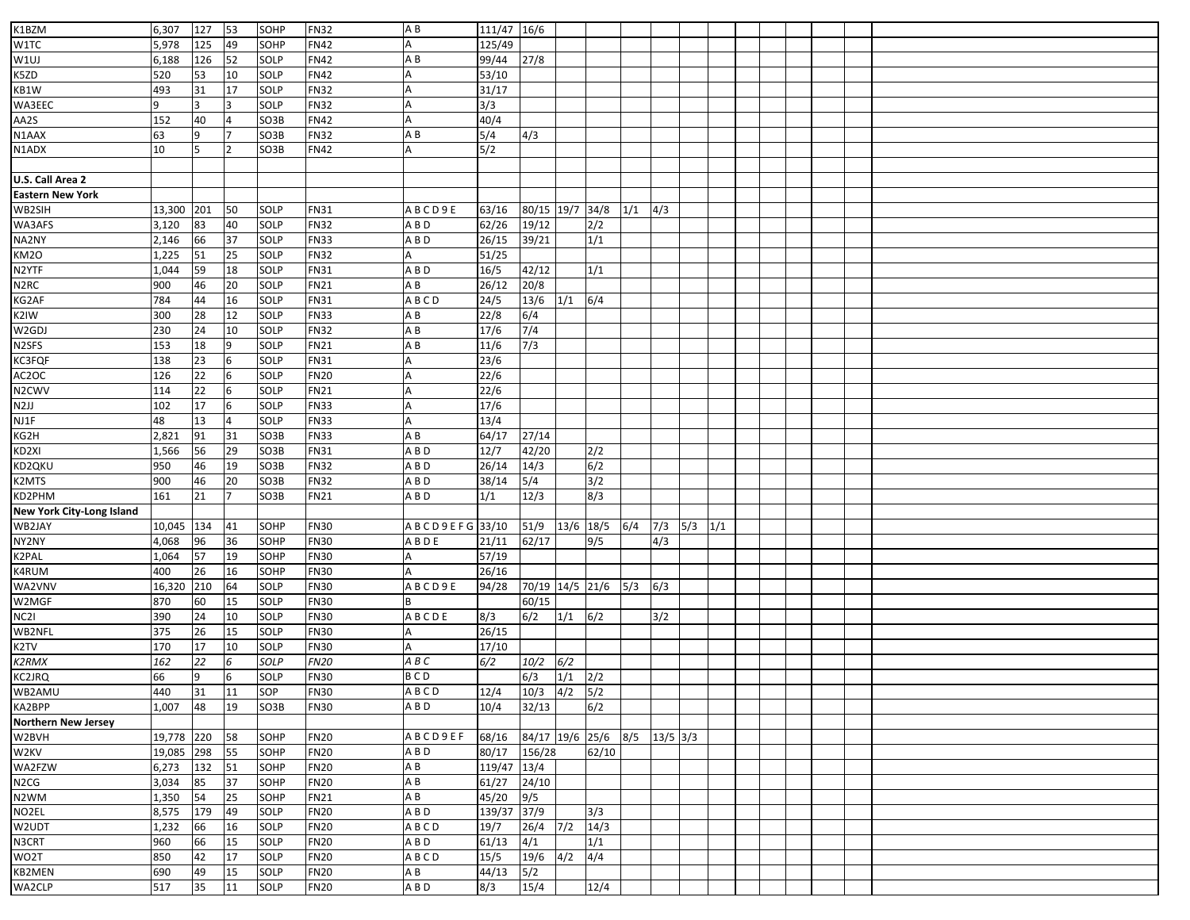| K1BZM                            | 6,307          | 127 | 53             | SOHP | <b>FN32</b> | AB                    | 111/47 16/6 |                     |             |       |     |            |     |  |  |  |
|----------------------------------|----------------|-----|----------------|------|-------------|-----------------------|-------------|---------------------|-------------|-------|-----|------------|-----|--|--|--|
| W1TC                             | 5,978          | 125 | 49             | SOHP | <b>FN42</b> |                       | 125/49      |                     |             |       |     |            |     |  |  |  |
|                                  | 6,188          | 126 | 52             | SOLP | <b>FN42</b> | ΑB                    | 99/44       |                     |             |       |     |            |     |  |  |  |
| W1UJ                             |                |     |                |      |             |                       |             | 27/8                |             |       |     |            |     |  |  |  |
| K5ZD                             | 520            | 53  | 10             | SOLP | <b>FN42</b> |                       | 53/10       |                     |             |       |     |            |     |  |  |  |
| KB1W                             | 493            | 31  | 17             | SOLP | <b>FN32</b> |                       | 31/17       |                     |             |       |     |            |     |  |  |  |
| WA3EEC                           | $\overline{9}$ |     |                | SOLP | <b>FN32</b> |                       | 3/3         |                     |             |       |     |            |     |  |  |  |
| AA2S                             | 152            | 40  | $\overline{4}$ | SO3B | <b>FN42</b> |                       | 40/4        |                     |             |       |     |            |     |  |  |  |
| N1AAX                            | 63             | 9   |                | SO3B | <b>FN32</b> | A B                   | 5/4         | 4/3                 |             |       |     |            |     |  |  |  |
| N1ADX                            | 10             |     |                | SO3B | <b>FN42</b> |                       | 5/2         |                     |             |       |     |            |     |  |  |  |
|                                  |                |     |                |      |             |                       |             |                     |             |       |     |            |     |  |  |  |
| U.S. Call Area 2                 |                |     |                |      |             |                       |             |                     |             |       |     |            |     |  |  |  |
| <b>Eastern New York</b>          |                |     |                |      |             |                       |             |                     |             |       |     |            |     |  |  |  |
| WB2SIH                           | 13,300         | 201 | 50             | SOLP | <b>FN31</b> | ABCD9E                | 63/16       | 80/15 19/7 34/8     |             |       | 1/1 | 4/3        |     |  |  |  |
| WA3AFS                           | 3,120          | 83  | 40             | SOLP | <b>FN32</b> | A B D                 | 62/26       | 19/12               |             | 2/2   |     |            |     |  |  |  |
| NA2NY                            | 2,146          | 66  | 37             | SOLP | <b>FN33</b> | A B D                 | 26/15       | 39/21               |             | 1/1   |     |            |     |  |  |  |
| KM2O                             | 1,225          | 51  | 25             | SOLP | <b>FN32</b> | А                     | 51/25       |                     |             |       |     |            |     |  |  |  |
| N2YTF                            | 1,044          | 59  | 18             | SOLP | <b>FN31</b> | A B D                 | 16/5        | 42/12               |             | 1/1   |     |            |     |  |  |  |
| N <sub>2</sub> RC                | 900            | 46  | 20             | SOLP | <b>FN21</b> | A B                   | 26/12       | 20/8                |             |       |     |            |     |  |  |  |
| KG2AF                            | 784            | 44  | 16             | SOLP | <b>FN31</b> | ABCD                  | 24/5        | $\frac{13}{6}$      | 1/1         | 6/4   |     |            |     |  |  |  |
| K2IW                             | 300            | 28  | 12             | SOLP | <b>FN33</b> | AΒ                    | 22/8        | 6/4                 |             |       |     |            |     |  |  |  |
| W2GDJ                            | 230            | 24  | 10             | SOLP | <b>FN32</b> | AB                    | 17/6        | 7/4                 |             |       |     |            |     |  |  |  |
| N2SFS                            | 153            | 18  | 9              | SOLP | <b>FN21</b> | A B                   | 11/6        | 7/3                 |             |       |     |            |     |  |  |  |
| KC3FQF                           | 138            | 23  | 6              | SOLP | <b>FN31</b> |                       | 23/6        |                     |             |       |     |            |     |  |  |  |
| AC2OC                            | 126            | 22  | 6              | SOLP | <b>FN20</b> |                       | 22/6        |                     |             |       |     |            |     |  |  |  |
| N2CWV                            | 114            | 22  | 6              | SOLP | <b>FN21</b> |                       | 22/6        |                     |             |       |     |            |     |  |  |  |
| N <sub>2JJ</sub>                 | 102            | 17  | 6              | SOLP | <b>FN33</b> |                       | 17/6        |                     |             |       |     |            |     |  |  |  |
| NJ1F                             | 48             | 13  | $\overline{4}$ | SOLP | <b>FN33</b> |                       | 13/4        |                     |             |       |     |            |     |  |  |  |
| KG2H                             | 2,821          | 91  | 31             | SO3B | <b>FN33</b> | A B                   | 64/17       | 27/14               |             |       |     |            |     |  |  |  |
| KD2XI                            | 1,566          | 56  | 29             | SO3B | <b>FN31</b> | A B D                 | 12/7        | 42/20               |             | 2/2   |     |            |     |  |  |  |
| KD2QKU                           | 950            | 46  | 19             | SO3B | <b>FN32</b> | A B D                 | 26/14       | 14/3                |             | 6/2   |     |            |     |  |  |  |
| K2MTS                            | 900            | 46  | 20             | SO3B | <b>FN32</b> | A B D                 | 38/14       | 5/4                 |             | 3/2   |     |            |     |  |  |  |
|                                  | 161            | 21  |                | SO3B | <b>FN21</b> | A B D                 | 1/1         | 12/3                |             | 8/3   |     |            |     |  |  |  |
| KD2PHM                           |                |     |                |      |             |                       |             |                     |             |       |     |            |     |  |  |  |
| <b>New York City-Long Island</b> |                |     |                |      |             |                       |             |                     |             |       |     |            |     |  |  |  |
| WB2JAY                           | 10,045         | 134 | 41             | SOHP | <b>FN30</b> | A B C D 9 E F G 33/10 |             | 51/9                | 13/6 18/5   |       | 6/4 | $7/3$ 5/3  | 1/1 |  |  |  |
| NY2NY                            | 4,068          | 96  | 36             | SOHP | <b>FN30</b> | A B D E               | 21/11       | 62/17               |             | 9/5   |     | 4/3        |     |  |  |  |
| K2PAL                            | 1,064          | 57  | 19             | SOHP | <b>FN30</b> |                       | 57/19       |                     |             |       |     |            |     |  |  |  |
| K4RUM                            | 400            | 26  | 16             | SOHP | <b>FN30</b> |                       | 26/16       |                     |             |       |     |            |     |  |  |  |
| WA2VNV                           | 16,320         | 210 | 64             | SOLP | <b>FN30</b> | ABCD9E                | 94/28       | 70/19 14/5 21/6     |             |       | 5/3 | 6/3        |     |  |  |  |
| W2MGF                            | 870            | 60  | 15             | SOLP | <b>FN30</b> |                       |             | 60/15               |             |       |     |            |     |  |  |  |
| NC2I                             | 390            | 24  | 10             | SOLP | <b>FN30</b> | <b>ABCDE</b>          | 8/3         | 6/2                 | 1/1         | 6/2   |     | 3/2        |     |  |  |  |
| WB2NFL                           | 375            | 26  | 15             | SOLP | <b>FN30</b> |                       | 26/15       |                     |             |       |     |            |     |  |  |  |
| K2TV                             | 170            | 17  | 10             | SOLP | <b>FN30</b> |                       | 17/10       |                     |             |       |     |            |     |  |  |  |
| K2RMX                            | 162            | 22  | 6              | SOLP | <b>FN20</b> | A B C                 | 6/2         | 10/2                | 6/2         |       |     |            |     |  |  |  |
| KC2JRQ                           | 66             | 9   | 6              | SOLP | <b>FN30</b> | <b>BCD</b>            |             | 6/3                 | $1/1$ $2/2$ |       |     |            |     |  |  |  |
| WB2AMU                           | 440            | 31  | 11             | SOP  | <b>FN30</b> | <b>ABCD</b>           | 12/4        | $10/3$ $4/2$ $5/2$  |             |       |     |            |     |  |  |  |
| KA2BPP                           | 1,007          | 48  | 19             | SO3B | <b>FN30</b> | A B D                 | 10/4        | 32/13               |             | 6/2   |     |            |     |  |  |  |
| <b>Northern New Jersey</b>       |                |     |                |      |             |                       |             |                     |             |       |     |            |     |  |  |  |
| W2BVH                            | 19,778         | 220 | 58             | SOHP | <b>FN20</b> | ABCD9EF               | 68/16       | 84/17 19/6 25/6 8/5 |             |       |     | $13/5$ 3/3 |     |  |  |  |
| W2KV                             | 19,085         | 298 | 55             | SOHP | <b>FN20</b> | A B D                 | 80/17       | 156/28              |             | 62/10 |     |            |     |  |  |  |
| WA2FZW                           | 6,273          | 132 | 51             | SOHP | <b>FN20</b> | ΑB                    | 119/47 13/4 |                     |             |       |     |            |     |  |  |  |
| N <sub>2</sub> CG                | 3,034          | 85  | 37             | SOHP | <b>FN20</b> | A B                   | 61/27       | 24/10               |             |       |     |            |     |  |  |  |
| N2WM                             | 1,350          | 54  | 25             | SOHP | <b>FN21</b> | A B                   | 45/20       | 9/5                 |             |       |     |            |     |  |  |  |
| NO2EL                            | 8,575          | 179 | 49             | SOLP | <b>FN20</b> | A B D                 | 139/37 37/9 |                     |             | 3/3   |     |            |     |  |  |  |
| W2UDT                            | 1,232          | 66  | 16             | SOLP | <b>FN20</b> | ABCD                  | 19/7        | 26/4                | 7/2         | 14/3  |     |            |     |  |  |  |
| N3CRT                            | 960            | 66  | 15             | SOLP | <b>FN20</b> | A B D                 | 61/13       | 4/1                 |             | 1/1   |     |            |     |  |  |  |
| WO2T                             | 850            | 42  | 17             | SOLP | <b>FN20</b> | ABCD                  | 15/5        | 19/6                | 4/2         | 4/4   |     |            |     |  |  |  |
| KB2MEN                           | 690            | 49  | 15             | SOLP | <b>FN20</b> | ΑB                    | 44/13       | 5/2                 |             |       |     |            |     |  |  |  |
| WA2CLP                           | 517            | 35  | 11             | SOLP | <b>FN20</b> | A B D                 | 8/3         | 15/4                |             | 12/4  |     |            |     |  |  |  |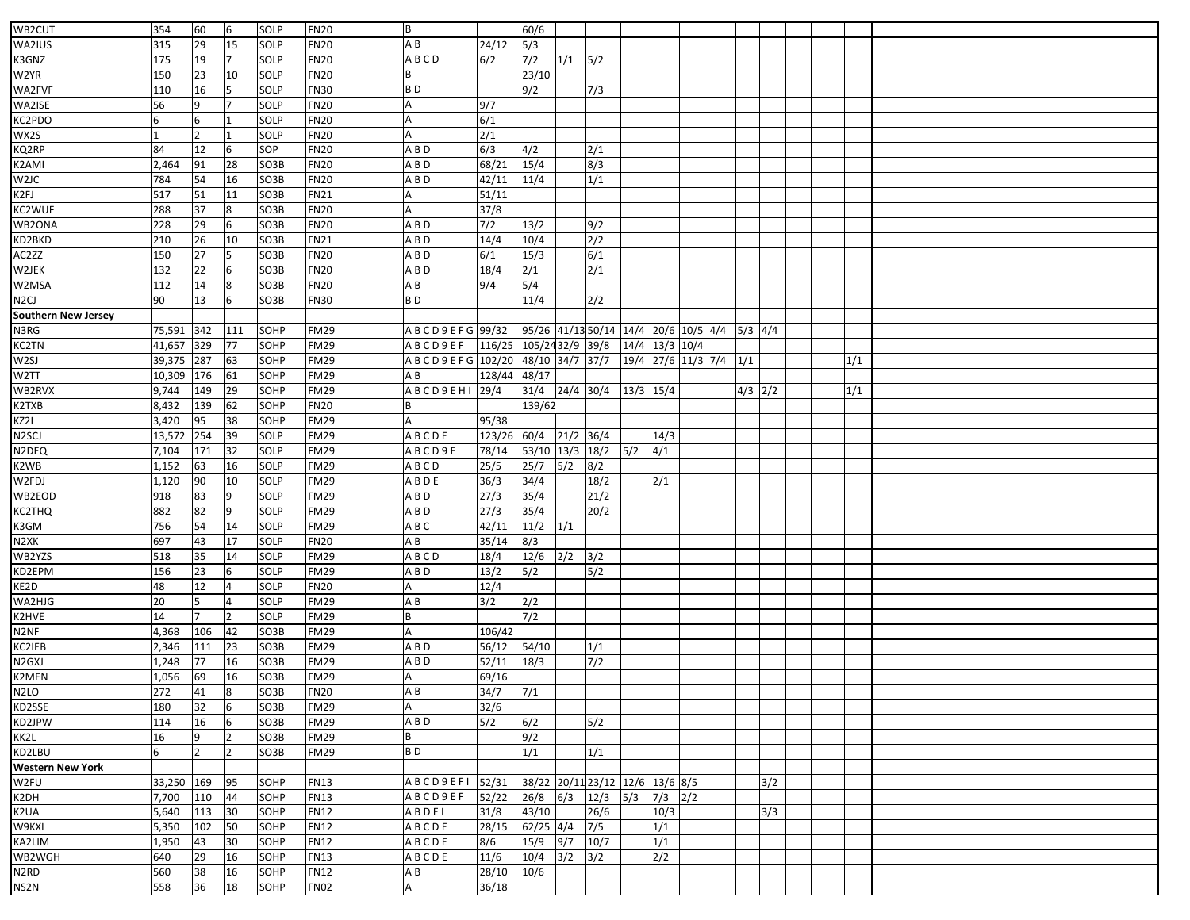|                            |        | 60             |                  | <b>SOLP</b> | <b>FN20</b> | B                               |                         | 60/6                                         |              |                  |                        |                  |  |           |     |  |     |  |
|----------------------------|--------|----------------|------------------|-------------|-------------|---------------------------------|-------------------------|----------------------------------------------|--------------|------------------|------------------------|------------------|--|-----------|-----|--|-----|--|
| WB2CUT                     | 354    |                | 6                |             |             |                                 |                         |                                              |              |                  |                        |                  |  |           |     |  |     |  |
| WA2IUS                     | 315    | 29             | 15               | SOLP        | <b>FN20</b> | A B                             | 24/12                   | 5/3                                          |              |                  |                        |                  |  |           |     |  |     |  |
| K3GNZ                      | 175    | 19             |                  | SOLP        | <b>FN20</b> | ABCD                            | 6/2                     | 7/2                                          | $1/1$ 5/2    |                  |                        |                  |  |           |     |  |     |  |
| W2YR                       | 150    | 23             | 10               | SOLP        | <b>FN20</b> |                                 |                         | 23/10                                        |              |                  |                        |                  |  |           |     |  |     |  |
| WA2FVF                     | 110    | 16             |                  | SOLP        | <b>FN30</b> | B <sub>D</sub>                  |                         | 9/2                                          |              | 7/3              |                        |                  |  |           |     |  |     |  |
| WA2ISE                     | 56     | 9              |                  | SOLP        | <b>FN20</b> |                                 | 9/7                     |                                              |              |                  |                        |                  |  |           |     |  |     |  |
| KC2PDO                     | 6      | 6              |                  | SOLP        | <b>FN20</b> |                                 | 6/1                     |                                              |              |                  |                        |                  |  |           |     |  |     |  |
| WX2S                       |        | $\overline{2}$ |                  | SOLP        | <b>FN20</b> | A                               | 2/1                     |                                              |              |                  |                        |                  |  |           |     |  |     |  |
| KQ2RP                      | 84     | 12             | 6                | SOP         | <b>FN20</b> | A B D                           | 6/3                     | 4/2                                          |              | 2/1              |                        |                  |  |           |     |  |     |  |
| K2AMI                      | 2,464  | 91             | 28               | SO3B        | <b>FN20</b> | A B D                           | 68/21                   | 15/4                                         |              | 8/3              |                        |                  |  |           |     |  |     |  |
| W <sub>2J</sub> C          | 784    | 54             | 16               | SO3B        | <b>FN20</b> | A B D                           | 42/11                   | 11/4                                         |              | 1/1              |                        |                  |  |           |     |  |     |  |
| K2FJ                       | 517    | 51             | 11               | SO3B        | <b>FN21</b> |                                 | 51/11                   |                                              |              |                  |                        |                  |  |           |     |  |     |  |
| KC2WUF                     | 288    | 37             | 8                | SO3B        | <b>FN20</b> |                                 | 37/8                    |                                              |              |                  |                        |                  |  |           |     |  |     |  |
| WB2ONA                     | 228    | 29             |                  | SO3B        | <b>FN20</b> | A B D                           | $7/2$                   | 13/2                                         |              | 9/2              |                        |                  |  |           |     |  |     |  |
| KD2BKD                     | 210    | 26             | 10               | SO3B        | <b>FN21</b> | A B D                           | 14/4                    | 10/4                                         |              | $\overline{2/2}$ |                        |                  |  |           |     |  |     |  |
| AC2ZZ                      | 150    | 27             |                  | SO3B        | <b>FN20</b> | A B D                           | 6/1                     | 15/3                                         |              | 6/1              |                        |                  |  |           |     |  |     |  |
| W2JEK                      | 132    | 22             |                  | SO3B        | <b>FN20</b> | A B D                           | 18/4                    | $\overline{2/1}$                             |              | 2/1              |                        |                  |  |           |     |  |     |  |
| W2MSA                      | 112    | 14             | 8                | SO3B        | <b>FN20</b> | ΑB                              | 9/4                     | 5/4                                          |              |                  |                        |                  |  |           |     |  |     |  |
| N2CJ                       | 90     | 13             | 6                | SO3B        | <b>FN30</b> | B <sub>D</sub>                  |                         | 11/4                                         |              | 2/2              |                        |                  |  |           |     |  |     |  |
| <b>Southern New Jersey</b> |        |                |                  |             |             |                                 |                         |                                              |              |                  |                        |                  |  |           |     |  |     |  |
| N3RG                       | 75,591 | 342            | 111              | SOHP        | <b>FM29</b> | ABCD9EFG 99/32                  |                         | 95/26 41/13 50/14 14/4 20/6 10/5 4/4 5/3 4/4 |              |                  |                        |                  |  |           |     |  |     |  |
| KC2TN                      | 41,657 | 329            | 77               | SOHP        | <b>FM29</b> | ABCD9EF                         | 116/25 105/24 32/9 39/8 |                                              |              |                  | 14/4 13/3 10/4         |                  |  |           |     |  |     |  |
| W2SJ                       | 39,375 | 287            | 63               | SOHP        | <b>FM29</b> | ABCD9EFG 102/20 48/10 34/7 37/7 |                         |                                              |              |                  | 19/4 27/6 11/3 7/4 1/1 |                  |  |           |     |  | 1/1 |  |
| W2TT                       | 10,309 | 176            | 61               | SOHP        | <b>FM29</b> | A B                             | 128/44 48/17            |                                              |              |                  |                        |                  |  |           |     |  |     |  |
| WB2RVX                     | 9,744  | 149            | 29               | SOHP        | <b>FM29</b> | A B C D 9 E H I 29/4            |                         | 31/4 24/4 30/4                               |              |                  | $13/3$ 15/4            |                  |  | $4/3$ 2/2 |     |  | 1/1 |  |
| K2TXB                      | 8,432  | 139            | 62               | SOHP        | <b>FN20</b> |                                 |                         | 139/62                                       |              |                  |                        |                  |  |           |     |  |     |  |
| KZ2I                       | 3,420  | 95             | 38               | SOHP        | <b>FM29</b> |                                 | 95/38                   |                                              |              |                  |                        |                  |  |           |     |  |     |  |
| N <sub>2</sub> SCJ         | 13,572 | 254            | 39               | SOLP        | <b>FM29</b> | ABCDE                           | 123/26 60/4             |                                              | $21/2$ 36/4  |                  |                        | 14/3             |  |           |     |  |     |  |
| N2DEQ                      | 7,104  | 171            | 32               | SOLP        | <b>FM29</b> | ABCD9E                          | 78/14                   | 53/10 13/3 18/2                              |              |                  | 5/2                    | 4/1              |  |           |     |  |     |  |
| K2WB                       | 1,152  | 63             | 16               | SOLP        | <b>FM29</b> | ABCD                            | 25/5                    | 25/7                                         | 5/2          | 8/2              |                        |                  |  |           |     |  |     |  |
| W2FDJ                      | 1,120  | 90             | 10               | SOLP        | <b>FM29</b> | A B D E                         | 36/3                    | 34/4                                         |              | 18/2             |                        | 2/1              |  |           |     |  |     |  |
| WB2EOD                     | 918    | 83             | 9                | SOLP        | <b>FM29</b> | A B D                           | 27/3                    | 35/4                                         |              | 21/2             |                        |                  |  |           |     |  |     |  |
| KC2THQ                     | 882    | 82             | 9                | SOLP        | <b>FM29</b> | A B D                           | 27/3                    | 35/4                                         |              | 20/2             |                        |                  |  |           |     |  |     |  |
| K3GM                       | 756    | 54             | 14               | SOLP        | <b>FM29</b> | A B C                           | 42/11                   | 11/2                                         | 1/1          |                  |                        |                  |  |           |     |  |     |  |
| N2XK                       | 697    | 43             | 17               | SOLP        | <b>FN20</b> | A B                             | 35/14                   | 8/3                                          |              |                  |                        |                  |  |           |     |  |     |  |
| WB2YZS                     | 518    | 35             | 14               | SOLP        | <b>FM29</b> | ABCD                            | 18/4                    | 12/6                                         | 2/2          | 3/2              |                        |                  |  |           |     |  |     |  |
| KD2EPM                     | 156    | 23             |                  | SOLP        | <b>FM29</b> | A B D                           | 13/2                    | 5/2                                          |              | 5/2              |                        |                  |  |           |     |  |     |  |
| KE2D                       | 48     | 12             | 4                | SOLP        | <b>FN20</b> |                                 | 12/4                    |                                              |              |                  |                        |                  |  |           |     |  |     |  |
| WA2HJG                     | 20     | 5              |                  | SOLP        | <b>FM29</b> | A B                             | 3/2                     | 2/2                                          |              |                  |                        |                  |  |           |     |  |     |  |
| K2HVE                      | 14     |                | $\overline{2}$   | SOLP        | <b>FM29</b> |                                 |                         | $\frac{7}{2}$                                |              |                  |                        |                  |  |           |     |  |     |  |
| N2NF                       | 4,368  | 106            | 42               | SO3B        | FM29        | А                               | 106/42                  |                                              |              |                  |                        |                  |  |           |     |  |     |  |
| KC2IEB                     | 2,346  | 111            | 23               | SO3B        | <b>FM29</b> | A B D                           | 56/12                   | 54/10                                        |              | 1/1              |                        |                  |  |           |     |  |     |  |
| N <sub>2</sub> GXJ         | 1,248  | 77             | 16               | SO3B        | <b>FM29</b> | A B D                           | 52/11                   | 18/3                                         |              | 7/2              |                        |                  |  |           |     |  |     |  |
| K2MEN                      | 1,056  | 69             | 16               | SO3B        | <b>FM29</b> |                                 | 69/16                   |                                              |              |                  |                        |                  |  |           |     |  |     |  |
| N <sub>2</sub> LO          | 272    | 41             | $\boldsymbol{8}$ | SO3B        | <b>FN20</b> | ΑB                              | 34/7                    | 7/1                                          |              |                  |                        |                  |  |           |     |  |     |  |
| KD2SSE                     | 180    | 32             | 6                | SO3B        | <b>FM29</b> | Α                               | 32/6                    |                                              |              |                  |                        |                  |  |           |     |  |     |  |
| KD2JPW                     | 114    | 16             | 6                | SO3B        | FM29        | A B D                           | 5/2                     | 6/2                                          |              | 5/2              |                        |                  |  |           |     |  |     |  |
| KK2L                       | 16     | 9              | 12               | SO3B        | <b>FM29</b> |                                 |                         | 9/2                                          |              |                  |                        |                  |  |           |     |  |     |  |
| KD2LBU                     | 6      | $\overline{2}$ | $\overline{2}$   | SO3B        | <b>FM29</b> | B <sub>D</sub>                  |                         | 1/1                                          |              | 1/1              |                        |                  |  |           |     |  |     |  |
| <b>Western New York</b>    |        |                |                  |             |             |                                 |                         |                                              |              |                  |                        |                  |  |           |     |  |     |  |
| W2FU                       | 33,250 | 169            | 95               | SOHP        | <b>FN13</b> | <b>ABCD9EFI</b>                 | 52/31                   | 38/22 20/11 23/12 12/6 13/6 8/5              |              |                  |                        |                  |  |           | 3/2 |  |     |  |
| K2DH                       | 7,700  | 110            | 44               | SOHP        | <b>FN13</b> | ABCD9EF                         | 52/22                   | 26/8                                         | $6/3$ $12/3$ |                  | 5/3                    | $7/3$ $2/2$      |  |           |     |  |     |  |
| K2UA                       | 5,640  | 113            | 30               | SOHP        | <b>FN12</b> | ABDEI                           | 31/8                    | 43/10                                        |              | 26/6             |                        | 10/3             |  |           | 3/3 |  |     |  |
| W9KXI                      | 5,350  | 102            | 50               | SOHP        | <b>FN12</b> | ABCDE                           | 28/15                   | $62/25$ 4/4                                  |              | 7/5              |                        | 1/1              |  |           |     |  |     |  |
| KA2LIM                     | 1,950  | 43             | 30               | SOHP        | <b>FN12</b> | ABCDE                           | 8/6                     | 15/9                                         | 9/7          | 10/7             |                        | 1/1              |  |           |     |  |     |  |
| WB2WGH                     | 640    | 29             | 16               | SOHP        | <b>FN13</b> | ABCDE                           | 11/6                    | 10/4                                         | 3/2          | 3/2              |                        | $\overline{2/2}$ |  |           |     |  |     |  |
| N2RD                       | 560    | 38             | 16               | SOHP        | <b>FN12</b> | ΑB                              | 28/10                   | 10/6                                         |              |                  |                        |                  |  |           |     |  |     |  |
| NS2N                       | 558    | 36             | 18               | SOHP        | <b>FN02</b> | A                               | 36/18                   |                                              |              |                  |                        |                  |  |           |     |  |     |  |
|                            |        |                |                  |             |             |                                 |                         |                                              |              |                  |                        |                  |  |           |     |  |     |  |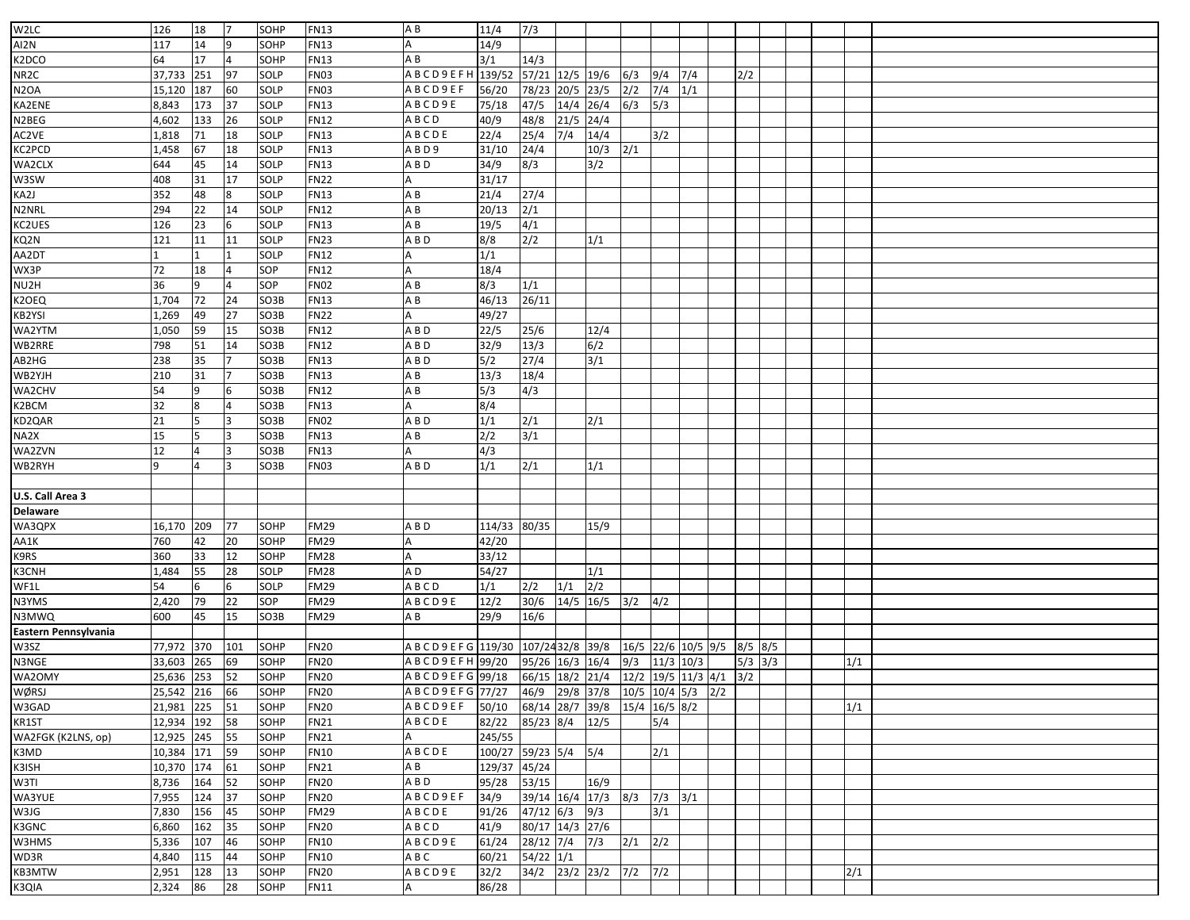| W2LC                 |               |     |                |      | <b>FN13</b> |                                                 |                                     |                             |             |      |              |                            |     |           |  |     |  |
|----------------------|---------------|-----|----------------|------|-------------|-------------------------------------------------|-------------------------------------|-----------------------------|-------------|------|--------------|----------------------------|-----|-----------|--|-----|--|
|                      | 126           | 18  |                | SOHP |             | AB                                              | 11/4                                | 7/3                         |             |      |              |                            |     |           |  |     |  |
| AI2N                 | 117           | 14  | 9              | SOHP | <b>FN13</b> |                                                 | 14/9                                |                             |             |      |              |                            |     |           |  |     |  |
| K2DCO                | 64            | 17  | 4              | SOHP | <b>FN13</b> | ΑB                                              | 3/1                                 | 14/3                        |             |      |              |                            |     |           |  |     |  |
| NR <sub>2</sub> C    | 37,733        | 251 | 97             | SOLP | <b>FN03</b> | ABCD9EFH 139/52                                 |                                     | 57/21 12/5 19/6             |             |      | 6/3          | 9/4                        | 7/4 | 2/2       |  |     |  |
| N <sub>2</sub> OA    | 15,120        | 187 | 60             | SOLP | <b>FN03</b> | A B C D 9 E F                                   | 56/20                               | 78/23                       | $20/5$ 23/5 |      | $\sqrt{2}/2$ | 7/4                        | 1/1 |           |  |     |  |
| KA2ENE               | 8,843         | 173 | 37             | SOLP | <b>FN13</b> | ABCD9E                                          | 75/18                               | 47/5                        | $14/4$ 26/4 |      | 6/3          | 5/3                        |     |           |  |     |  |
| N2BEG                | 4,602         | 133 | 26             | SOLP | <b>FN12</b> | ABCD                                            | 40/9                                | 48/8                        | 21/5        | 24/4 |              |                            |     |           |  |     |  |
| AC2VE                | 1,818         | 71  | 18             | SOLP | <b>FN13</b> | ABCDE                                           | 22/4                                | 25/4                        | 7/4         | 14/4 |              | 3/2                        |     |           |  |     |  |
| KC2PCD               | 1,458         | 67  | 18             | SOLP | <b>FN13</b> | ABD9                                            | 31/10                               | 24/4                        |             | 10/3 | 2/1          |                            |     |           |  |     |  |
| WA2CLX               | 644           | 45  | 14             | SOLP | <b>FN13</b> | A B D                                           | 34/9                                | 8/3                         |             | 3/2  |              |                            |     |           |  |     |  |
| W3SW                 | 408           | 31  | 17             | SOLP | <b>FN22</b> |                                                 | 31/17                               |                             |             |      |              |                            |     |           |  |     |  |
| KA2J                 | 352           | 48  | 8              | SOLP | <b>FN13</b> | ΑB                                              | 21/4                                | 27/4                        |             |      |              |                            |     |           |  |     |  |
| N2NRL                | 294           | 22  | 14             | SOLP | <b>FN12</b> | ΑB                                              | 20/13                               | 2/1                         |             |      |              |                            |     |           |  |     |  |
| KC2UES               | 126           | 23  | 6              | SOLP | <b>FN13</b> | A B                                             | 19/5                                | 4/1                         |             |      |              |                            |     |           |  |     |  |
| KQ2N                 | 121           | 11  | 11             | SOLP | <b>FN23</b> | A B D                                           | 8/8                                 | 2/2                         |             | 1/1  |              |                            |     |           |  |     |  |
|                      |               |     |                |      | <b>FN12</b> |                                                 | 1/1                                 |                             |             |      |              |                            |     |           |  |     |  |
| AA2DT                |               |     |                | SOLP |             |                                                 |                                     |                             |             |      |              |                            |     |           |  |     |  |
| WX3P                 | 72            | 18  |                | SOP  | <b>FN12</b> |                                                 | 18/4                                |                             |             |      |              |                            |     |           |  |     |  |
| NU2H                 | 36            | 9   |                | SOP  | <b>FN02</b> | ΑB                                              | 8/3                                 | 1/1                         |             |      |              |                            |     |           |  |     |  |
| K2OEQ                | 1,704         | 72  | 24             | SO3B | <b>FN13</b> | ΑB                                              | 46/13                               | 26/11                       |             |      |              |                            |     |           |  |     |  |
| KB2YSI               | 1,269         | 49  | 27             | SO3B | <b>FN22</b> |                                                 | 49/27                               |                             |             |      |              |                            |     |           |  |     |  |
| WA2YTM               | 1,050         | 59  | 15             | SO3B | <b>FN12</b> | A B D                                           | 22/5                                | 25/6                        |             | 12/4 |              |                            |     |           |  |     |  |
| WB2RRE               | 798           | 51  | 14             | SO3B | <b>FN12</b> | A B D                                           | 32/9                                | 13/3                        |             | 6/2  |              |                            |     |           |  |     |  |
| AB2HG                | 238           | 35  |                | SO3B | <b>FN13</b> | A B D                                           | 5/2                                 | 27/4                        |             | 3/1  |              |                            |     |           |  |     |  |
| WB2YJH               | 210           | 31  | $\overline{7}$ | SO3B | <b>FN13</b> | A B                                             | 13/3                                | 18/4                        |             |      |              |                            |     |           |  |     |  |
| WA2CHV               | 54            | 9   |                | SO3B | <b>FN12</b> | ΑB                                              | 5/3                                 | 4/3                         |             |      |              |                            |     |           |  |     |  |
| K2BCM                | 32            | 8   |                | SO3B | <b>FN13</b> |                                                 | 8/4                                 |                             |             |      |              |                            |     |           |  |     |  |
| KD2QAR               | 21            | 5   | 3              | SO3B | <b>FN02</b> | A B D                                           | 1/1                                 | 2/1                         |             | 2/1  |              |                            |     |           |  |     |  |
| NA2X                 | 15            | 5   |                | SO3B | <b>FN13</b> | ΑB                                              | 2/2                                 | 3/1                         |             |      |              |                            |     |           |  |     |  |
| WA2ZVN               | 12            | 4   |                | SO3B | <b>FN13</b> |                                                 | 4/3                                 |                             |             |      |              |                            |     |           |  |     |  |
| WB2RYH               | $\mathbf{q}$  | 4   | 3              | SO3B | <b>FN03</b> | A B D                                           | 1/1                                 | 2/1                         |             | 1/1  |              |                            |     |           |  |     |  |
|                      |               |     |                |      |             |                                                 |                                     |                             |             |      |              |                            |     |           |  |     |  |
| U.S. Call Area 3     |               |     |                |      |             |                                                 |                                     |                             |             |      |              |                            |     |           |  |     |  |
| <b>Delaware</b>      |               |     |                |      |             |                                                 |                                     |                             |             |      |              |                            |     |           |  |     |  |
| WA3QPX               | 16,170        | 209 | 77             | SOHP | <b>FM29</b> | A B D                                           | 114/33                              | 80/35                       |             | 15/9 |              |                            |     |           |  |     |  |
|                      | 760           |     |                | SOHP | <b>FM29</b> |                                                 | 42/20                               |                             |             |      |              |                            |     |           |  |     |  |
| AA1K                 |               | 42  | 20             |      |             |                                                 |                                     |                             |             |      |              |                            |     |           |  |     |  |
| K9RS                 | 360           | 33  | 12             | SOHP | <b>FM28</b> |                                                 | 33/12                               |                             |             |      |              |                            |     |           |  |     |  |
| K3CNH                | 1,484         | 55  | 28             | SOLP | <b>FM28</b> | A D                                             | 54/27                               |                             |             | 1/1  |              |                            |     |           |  |     |  |
| WF1L                 | 54            | 6   |                | SOLP | <b>FM29</b> | ABCD                                            | 1/1                                 | 2/2                         | 1/1         | 2/2  |              |                            |     |           |  |     |  |
| N3YMS                | 2,420         | 79  | 22             | SOP  | <b>FM29</b> | ABCD9E                                          | 12/2                                | 30/6                        | $14/5$ 16/5 |      | 3/2          | 4/2                        |     |           |  |     |  |
| N3MWQ                | 600           | 45  | 15             | SO3B | <b>FM29</b> | ΑB                                              | 29/9                                | 16/6                        |             |      |              |                            |     |           |  |     |  |
| Eastern Pennsylvania |               |     |                |      |             |                                                 |                                     |                             |             |      |              |                            |     |           |  |     |  |
| W3SZ                 | 77,972        | 370 | 101            | SOHP | <b>FN20</b> | ABCD9EFG 119/30 107/2432/8 39/8                 |                                     |                             |             |      |              | 16/5 22/6 10/5 9/5 8/5 8/5 |     |           |  |     |  |
| N3NGE                | 33,603        | 265 | 69             | SOHP | <b>FN20</b> | A B C D 9 E F H 99/20                           |                                     | 95/26 16/3 16/4             |             |      | 9/3          | $11/3$ $10/3$              |     | $5/3$ 3/3 |  | 1/1 |  |
| WA2OMY               | 25,636 253    |     | 52             | SOHP | <b>FN20</b> | A B C D 9 E F G 99/18                           |                                     | 66/15 18/2 21/4             |             |      |              | $12/2$ 19/5 11/3 4/1 3/2   |     |           |  |     |  |
| WØRSJ                | 25,542 216 66 |     |                | SOHP | <b>FN20</b> | ABCD9EFG 77/27 46/9 29/8 37/8 10/5 10/4 5/3 2/2 |                                     |                             |             |      |              |                            |     |           |  |     |  |
| W3GAD                | 21,981 225 51 |     |                | SOHP | <b>FN20</b> | A B C D 9 E F                                   | 50/10 68/14 28/7 39/8 15/4 16/5 8/2 |                             |             |      |              |                            |     |           |  | 1/1 |  |
| KR1ST                | 12,934 192    |     | 58             | SOHP | <b>FN21</b> | ABCDE                                           | 82/22 85/23 8/4 12/5                |                             |             |      |              | 5/4                        |     |           |  |     |  |
| WA2FGK (K2LNS, op)   | 12,925 245    |     | 55             | SOHP | <b>FN21</b> |                                                 | 245/55                              |                             |             |      |              |                            |     |           |  |     |  |
| K3MD                 | 10,384 171    |     | 59             | SOHP | <b>FN10</b> | ABCDE                                           | 100/27 59/23 5/4 5/4                |                             |             |      |              | 2/1                        |     |           |  |     |  |
| K3ISH                | 10,370 174    |     | 61             | SOHP | <b>FN21</b> | A B                                             | 129/37 45/24                        |                             |             |      |              |                            |     |           |  |     |  |
| W3TI                 | 8,736         | 164 | 52             | SOHP | <b>FN20</b> | A B D                                           | 95/28                               | 53/15                       |             | 16/9 |              |                            |     |           |  |     |  |
| WA3YUE               | 7,955         | 124 | 37             | SOHP | <b>FN20</b> | ABCD9EF                                         | 34/9                                | 39/14 16/4 17/3 8/3 7/3 3/1 |             |      |              |                            |     |           |  |     |  |
| W3JG                 | 7,830         | 156 | 45             | SOHP | <b>FM29</b> | ABCDE                                           | 91/26                               | $47/12$ 6/3 9/3             |             |      |              | 3/1                        |     |           |  |     |  |
|                      |               |     |                |      |             |                                                 |                                     |                             |             |      |              |                            |     |           |  |     |  |
| K3GNC                | 6,860         | 162 | 35             | SOHP | <b>FN20</b> | ABCD                                            | 41/9                                | 80/17 14/3 27/6             |             |      |              |                            |     |           |  |     |  |
| W3HMS                | 5,336         | 107 | 46             | SOHP | <b>FN10</b> | A B C D 9 E                                     | 61/24                               | $28/12$ 7/4 7/3             |             |      | $2/1$ $2/2$  |                            |     |           |  |     |  |
| WD3R                 | 4,840         | 115 | 44             | SOHP | <b>FN10</b> | A B C                                           | 60/21                               | $54/22$ 1/1                 |             |      |              |                            |     |           |  |     |  |
| KB3MTW               | 2,951         | 128 | 13             | SOHP | <b>FN20</b> | ABCD9E                                          | 32/2                                | 34/2 23/2 23/2 7/2 7/2      |             |      |              |                            |     |           |  | 2/1 |  |
| K3QIA                | 2,324         | 86  | 28             | SOHP | <b>FN11</b> | A                                               | 86/28                               |                             |             |      |              |                            |     |           |  |     |  |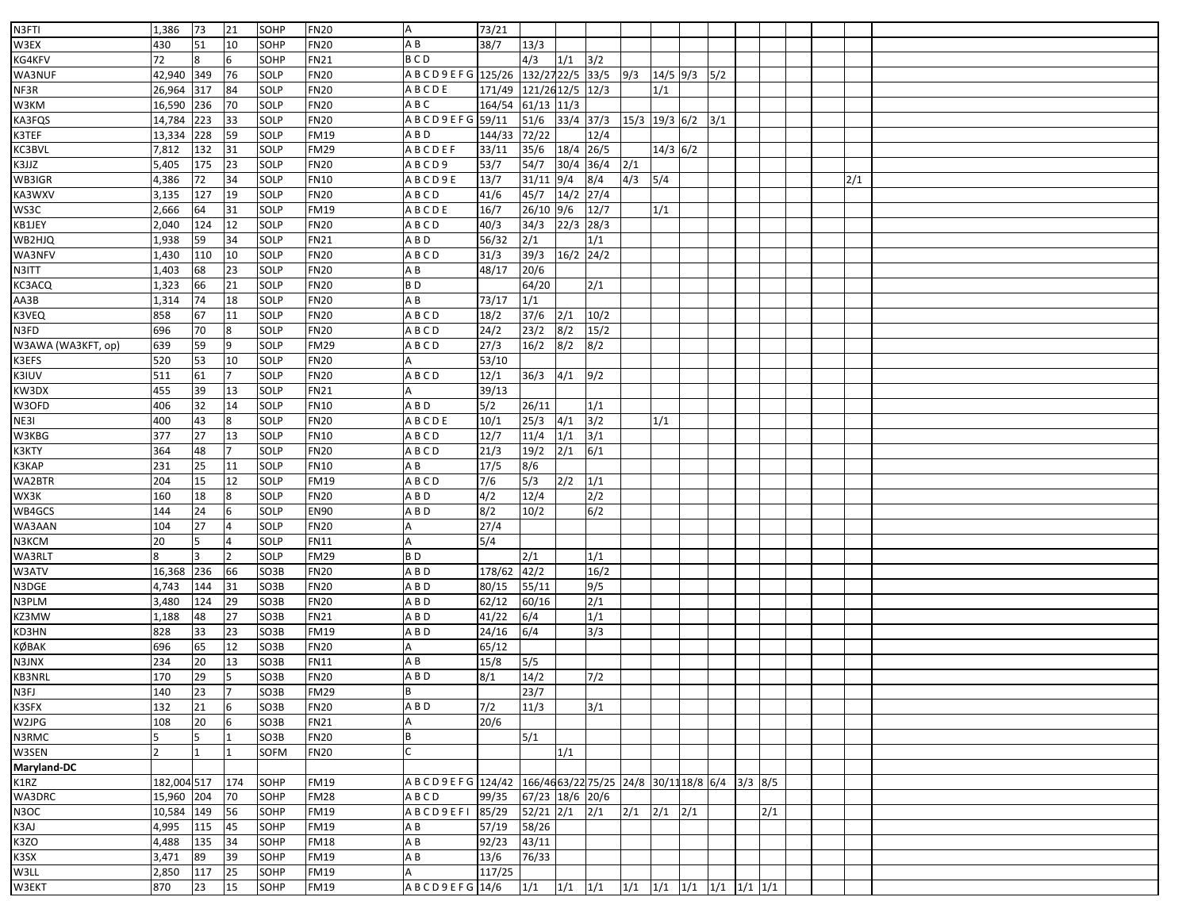| N3FTI              | 1,386          | 73  | 21             | SOHP        | <b>FN20</b> | A                      | 73/21  |                                               |             |                  |               |             |     |     |  |     |  |
|--------------------|----------------|-----|----------------|-------------|-------------|------------------------|--------|-----------------------------------------------|-------------|------------------|---------------|-------------|-----|-----|--|-----|--|
| W3EX               | 430            | 51  | 10             | SOHP        | <b>FN20</b> | ΑB                     | 38/7   | 13/3                                          |             |                  |               |             |     |     |  |     |  |
| KG4KFV             | 72             |     | 6              | SOHP        | <b>FN21</b> | <b>BCD</b>             |        | 4/3                                           | 1/1         | $3/2$            |               |             |     |     |  |     |  |
| WA3NUF             | 42,940         | 349 | 76             | SOLP        | <b>FN20</b> | A B C D 9 E F G 125/26 |        | 132/27 22/5                                   |             | 33/5             | 9/3           | $14/5$ 9/3  | 5/2 |     |  |     |  |
| NF3R               | 26,964         | 317 | 84             | <b>SOLP</b> | <b>FN20</b> | <b>ABCDE</b>           | 171/49 | 121/2612/5 12/3                               |             |                  |               | 1/1         |     |     |  |     |  |
| W3KM               | 16,590         | 236 | 70             | SOLP        | <b>FN20</b> | A B C                  | 164/54 | $61/13$ 11/3                                  |             |                  |               |             |     |     |  |     |  |
| KA3FQS             | 14,784         | 223 | 33             | SOLP        | <b>FN20</b> | ABCD9EFG 59/11         |        | $51/6$                                        | $33/4$ 37/3 |                  | 15/3 19/3 6/2 |             | 3/1 |     |  |     |  |
| K3TEF              | 13,334         | 228 | 59             | <b>SOLP</b> | <b>FM19</b> | A B D                  | 144/33 | 72/22                                         |             | 12/4             |               |             |     |     |  |     |  |
| KC3BVL             | 7,812          | 132 | 31             | SOLP        | <b>FM29</b> | <b>ABCDEF</b>          | 33/11  | 35/6                                          | 18/4 26/5   |                  |               | $14/3$ 6/2  |     |     |  |     |  |
| K3JJZ              | 5,405          | 175 | 23             | SOLP        | <b>FN20</b> | ABCD9                  | 53/7   | 54/7                                          | 30/4 36/4   |                  | 2/1           |             |     |     |  |     |  |
| WB3IGR             | 4,386          | 72  | 34             | SOLP        | <b>FN10</b> | ABCD9E                 | 13/7   | 31/11                                         | 9/4         | 8/4              | 4/3           | 5/4         |     |     |  | 2/1 |  |
| KA3WXV             | 3,135          | 127 | 19             | SOLP        | <b>FN20</b> | ABCD                   | 41/6   | 45/7                                          | 14/2 27/4   |                  |               |             |     |     |  |     |  |
| WS3C               | 2,666          | 64  | 31             | SOLP        | <b>FM19</b> | ABCDE                  | 16/7   | 26/10 9/6                                     |             | 12/7             |               | 1/1         |     |     |  |     |  |
| KB1JEY             | 2,040          | 124 | 12             | SOLP        | <b>FN20</b> | ABCD                   | 40/3   | 34/3                                          | $22/3$ 28/3 |                  |               |             |     |     |  |     |  |
| WB2HJQ             | 1,938          | 59  | 34             | SOLP        | <b>FN21</b> | A B D                  | 56/32  | 2/1                                           |             | 1/1              |               |             |     |     |  |     |  |
| WA3NFV             | 1,430          | 110 | 10             | SOLP        | <b>FN20</b> | ABCD                   | 31/3   | 39/3                                          | 16/2 24/2   |                  |               |             |     |     |  |     |  |
| N3ITT              | 1,403          | 68  | 23             | SOLP        | <b>FN20</b> | AΒ                     | 48/17  | 20/6                                          |             |                  |               |             |     |     |  |     |  |
| KC3ACQ             | 1,323          | 66  | 21             | SOLP        | <b>FN20</b> | B <sub>D</sub>         |        | 64/20                                         |             | 2/1              |               |             |     |     |  |     |  |
| AA3B               | 1,314          | 74  | 18             | SOLP        | <b>FN20</b> | A B                    | 73/17  | 1/1                                           |             |                  |               |             |     |     |  |     |  |
| K3VEQ              | 858            | 67  | 11             | SOLP        | <b>FN20</b> | ABCD                   | 18/2   | 37/6                                          | 2/1         | 10/2             |               |             |     |     |  |     |  |
| N3FD               | 696            | 70  | 8              | SOLP        | <b>FN20</b> | ABCD                   | 24/2   | 23/2                                          | 8/2         | 15/2             |               |             |     |     |  |     |  |
| W3AWA (WA3KFT, op) | 639            | 59  | 9              | SOLP        | <b>FM29</b> | ABCD                   | 27/3   | 16/2                                          | 8/2         | 8/2              |               |             |     |     |  |     |  |
| K3EFS              | 520            | 53  | 10             | SOLP        | <b>FN20</b> |                        | 53/10  |                                               |             |                  |               |             |     |     |  |     |  |
| K3IUV              | 511            | 61  |                | SOLP        | <b>FN20</b> | ABCD                   | 12/1   | 36/3                                          | 4/1         | 9/2              |               |             |     |     |  |     |  |
| KW3DX              | 455            | 39  | 13             | <b>SOLP</b> | <b>FN21</b> |                        | 39/13  |                                               |             |                  |               |             |     |     |  |     |  |
| W3OFD              | 406            | 32  | 14             | SOLP        | <b>FN10</b> | A B D                  | 5/2    | 26/11                                         |             | 1/1              |               |             |     |     |  |     |  |
| NE3I               | 400            | 43  | 8              | SOLP        | <b>FN20</b> | <b>ABCDE</b>           | 10/1   | 25/3                                          | 4/1         | 3/2              |               | 1/1         |     |     |  |     |  |
| W3KBG              | 377            | 27  | 13             | <b>SOLP</b> | <b>FN10</b> | ABCD                   | 12/7   | 11/4                                          | 1/1         | 3/1              |               |             |     |     |  |     |  |
| K3KTY              | 364            | 48  |                | SOLP        | <b>FN20</b> | A B C D                | 21/3   | 19/2                                          | 2/1         | 6/1              |               |             |     |     |  |     |  |
| K3KAP              | 231            | 25  | 11             | <b>SOLP</b> | <b>FN10</b> | AΒ                     | 17/5   | 8/6                                           |             |                  |               |             |     |     |  |     |  |
| WA2BTR             | 204            | 15  | 12             | <b>SOLP</b> | FM19        | ABCD                   | 7/6    | 5/3                                           | 2/2         | 1/1              |               |             |     |     |  |     |  |
| WX3K               | 160            | 18  |                | SOLP        | <b>FN20</b> | A B D                  | 4/2    | 12/4                                          |             | $\overline{2/2}$ |               |             |     |     |  |     |  |
| WB4GCS             | 144            | 24  | 6              | SOLP        | <b>EN90</b> | A B D                  | 8/2    | 10/2                                          |             | 6/2              |               |             |     |     |  |     |  |
| WA3AAN             | 104            | 27  | 4              | <b>SOLP</b> | <b>FN20</b> |                        | 27/4   |                                               |             |                  |               |             |     |     |  |     |  |
| N3KCM              | 20             |     |                | SOLP        | <b>FN11</b> |                        | 5/4    |                                               |             |                  |               |             |     |     |  |     |  |
| WA3RLT             |                |     | $\overline{2}$ | SOLP        | <b>FM29</b> | BD                     |        | 2/1                                           |             | 1/1              |               |             |     |     |  |     |  |
| W3ATV              | 16,368         | 236 | 66             | SO3B        | <b>FN20</b> | A B D                  | 178/62 | 42/2                                          |             | 16/2             |               |             |     |     |  |     |  |
| N3DGE              | 4,743          | 144 | 31             | SO3B        | <b>FN20</b> | ABD                    | 80/15  | 55/11                                         |             | 9/5              |               |             |     |     |  |     |  |
| N3PLM              | 3,480          | 124 | 29             | SO3B        | <b>FN20</b> | A B D                  | 62/12  | 60/16                                         |             | 2/1              |               |             |     |     |  |     |  |
| KZ3MW              | 1,188          | 48  | 27             | SO3B        | <b>FN21</b> | A B D                  | 41/22  | 6/4                                           |             | 1/1              |               |             |     |     |  |     |  |
| KD3HN              | 828            | 33  | 23             | SO3B        | <b>FM19</b> | A B D                  | 24/16  | 6/4                                           |             | 3/3              |               |             |     |     |  |     |  |
| KØBAK              | 696            | 65  | 12             | SO3B        | <b>FN20</b> |                        | 65/12  |                                               |             |                  |               |             |     |     |  |     |  |
| N3JNX              | 234            | 20  | 13             | SO3B        | <b>FN11</b> | ΑB                     | 15/8   | 5/5                                           |             |                  |               |             |     |     |  |     |  |
| KB3NRL             | 170            | 29  | 5              | SO3B        | <b>FN20</b> | A B D                  | 8/1    | 14/2                                          |             | 7/2              |               |             |     |     |  |     |  |
| N3FJ               | 140            | 23  | 17             | SO3B        | <b>FM29</b> |                        |        | 23/7                                          |             |                  |               |             |     |     |  |     |  |
| K3SFX              | 132            | 21  | 6              | SO3B        | <b>FN20</b> | A B D                  | 7/2    | 11/3                                          |             | 3/1              |               |             |     |     |  |     |  |
| W2JPG              | 108            | 20  | 6              | SO3B        | <b>FN21</b> |                        | 20/6   |                                               |             |                  |               |             |     |     |  |     |  |
| N3RMC              |                |     |                | SO3B        | <b>FN20</b> |                        |        | $5/1$                                         |             |                  |               |             |     |     |  |     |  |
| W3SEN              | $\overline{2}$ |     |                | <b>SOFM</b> | <b>FN20</b> |                        |        |                                               | 1/1         |                  |               |             |     |     |  |     |  |
| <b>Maryland-DC</b> |                |     |                |             |             |                        |        |                                               |             |                  |               |             |     |     |  |     |  |
| K1RZ               | 182,004 517    |     | 174            | SOHP        | <b>FM19</b> | A B C D 9 E F G 124/42 |        | 166/4663/22 75/25 24/8 30/11 18/8 6/4 3/3 8/5 |             |                  |               |             |     |     |  |     |  |
| WA3DRC             | 15,960         | 204 | 70             | SOHP        | <b>FM28</b> | ABCD                   | 99/35  | 67/23 18/6 20/6                               |             |                  |               |             |     |     |  |     |  |
| N3OC               | 10,584         | 149 | 56             | SOHP        | <b>FM19</b> | <b>ABCD9EFI</b>        | 85/29  | $52/21$ $2/1$ $2/1$                           |             |                  | 2/1           | $2/1$ $2/1$ |     | 2/1 |  |     |  |
| K3AJ               | 4,995          | 115 | 45             | SOHP        | <b>FM19</b> | ΑB                     | 57/19  | 58/26                                         |             |                  |               |             |     |     |  |     |  |
| K3ZO               | 4,488          | 135 | 34             | SOHP        | <b>FM18</b> | ΑB                     | 92/23  | 43/11                                         |             |                  |               |             |     |     |  |     |  |
| K3SX               | 3,471          | 89  | 39             | SOHP        | <b>FM19</b> | ΑB                     | 13/6   | 76/33                                         |             |                  |               |             |     |     |  |     |  |
| W3LL               | 2,850          | 117 | 25             | SOHP        | <b>FM19</b> |                        | 117/25 |                                               |             |                  |               |             |     |     |  |     |  |
| W3EKT              | 870            | 23  | 15             | SOHP        | <b>FM19</b> | ABCD9EFG 14/6          |        | 1/1                                           |             |                  |               |             |     |     |  |     |  |
|                    |                |     |                |             |             |                        |        |                                               |             |                  |               |             |     |     |  |     |  |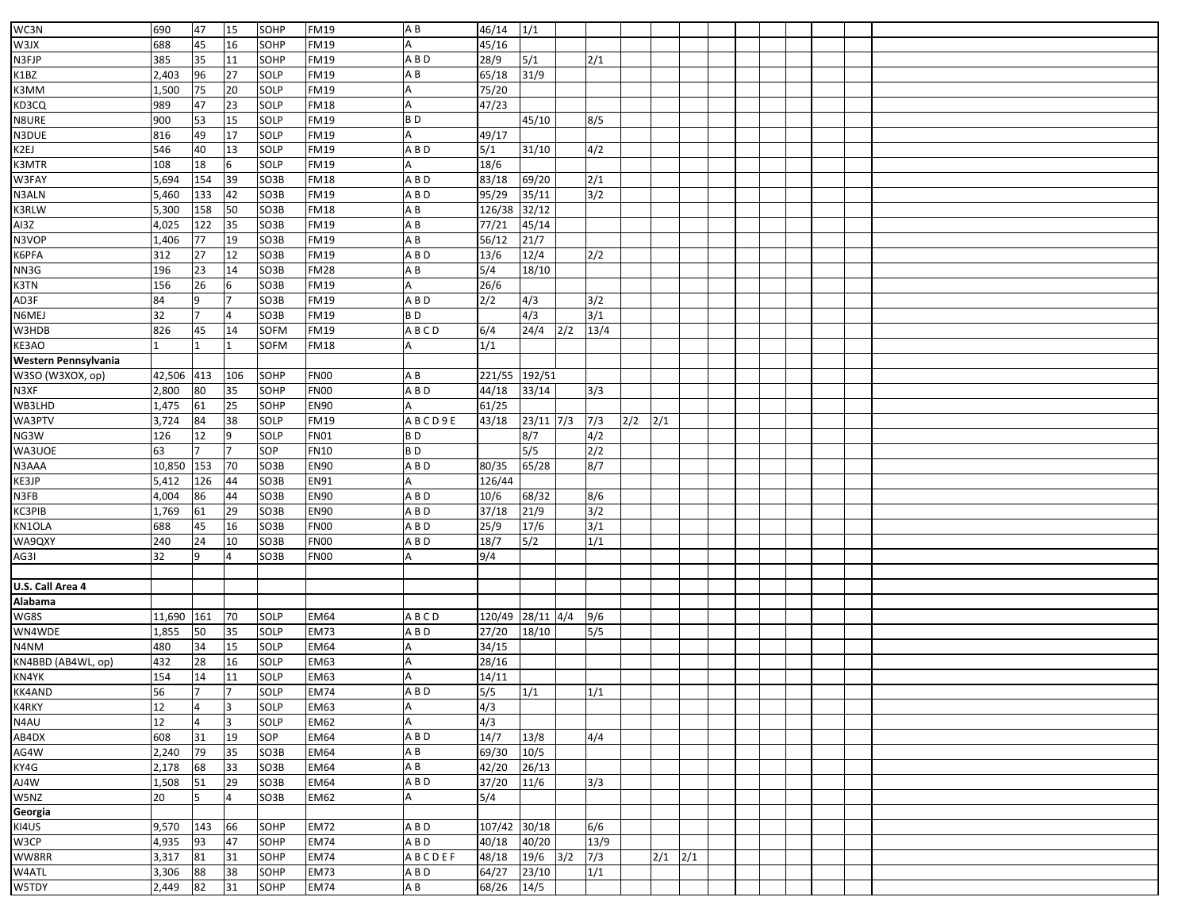| WC3N                 | 690    | 47             | 15  | SOHP        | <b>FM19</b> | AB             | 46/14            | 1/1          |     |      |     |             |  |  |  |  |
|----------------------|--------|----------------|-----|-------------|-------------|----------------|------------------|--------------|-----|------|-----|-------------|--|--|--|--|
| W3JX                 | 688    | 45             | 16  | SOHP        | <b>FM19</b> |                | 45/16            |              |     |      |     |             |  |  |  |  |
| N3FJP                | 385    | 35             | 11  | SOHP        | <b>FM19</b> | ABD            | 28/9             | $5/1$        |     | 2/1  |     |             |  |  |  |  |
| K1BZ                 | 2,403  | 96             | 27  | SOLP        | <b>FM19</b> | AB             | 65/18            | 31/9         |     |      |     |             |  |  |  |  |
| K3MM                 | 1,500  | 75             | 20  | SOLP        | <b>FM19</b> |                | 75/20            |              |     |      |     |             |  |  |  |  |
|                      |        |                |     |             |             |                |                  |              |     |      |     |             |  |  |  |  |
| KD3CQ                | 989    | 47             | 23  | SOLP        | <b>FM18</b> |                | 47/23            |              |     |      |     |             |  |  |  |  |
| N8URE                | 900    | 53             | 15  | SOLP        | <b>FM19</b> | B <sub>D</sub> |                  | 45/10        |     | 8/5  |     |             |  |  |  |  |
| N3DUE                | 816    | 49             | 17  | SOLP        | <b>FM19</b> |                | 49/17            |              |     |      |     |             |  |  |  |  |
| K2EJ                 | 546    | 40             | 13  | SOLP        | <b>FM19</b> | A B D          | 5/1              | 31/10        |     | 4/2  |     |             |  |  |  |  |
| K3MTR                | 108    | 18             | 6   | SOLP        | <b>FM19</b> |                | 18/6             |              |     |      |     |             |  |  |  |  |
| W3FAY                | 5,694  | 154            | 39  | SO3B        | <b>FM18</b> | A B D          | 83/18            | 69/20        |     | 2/1  |     |             |  |  |  |  |
| N3ALN                | 5,460  | 133            | 42  | SO3B        | <b>FM19</b> | ABD            | 95/29            | 35/11        |     | 3/2  |     |             |  |  |  |  |
| K3RLW                | 5,300  | 158            | 50  | SO3B        | FM18        | AB             | 126/38           | 32/12        |     |      |     |             |  |  |  |  |
| AI3Z                 | 4,025  | 122            | 35  | SO3B        | <b>FM19</b> | AB             | 77/21            | 45/14        |     |      |     |             |  |  |  |  |
| N3VOP                | 1,406  | 77             | 19  | SO3B        | <b>FM19</b> | A B            | 56/12            | 21/7         |     |      |     |             |  |  |  |  |
| K6PFA                | 312    | 27             | 12  | SO3B        | FM19        | A B D          | 13/6             | 12/4         |     | 2/2  |     |             |  |  |  |  |
| NN3G                 | 196    | 23             | 14  | SO3B        | <b>FM28</b> | AB             | 5/4              | 18/10        |     |      |     |             |  |  |  |  |
| K3TN                 | 156    | 26             | 6   | SO3B        | <b>FM19</b> |                | 26/6             |              |     |      |     |             |  |  |  |  |
| AD3F                 | 84     | 9              |     | SO3B        | <b>FM19</b> | A B D          | 2/2              | 4/3          |     | 3/2  |     |             |  |  |  |  |
| N6MEJ                | 32     | $\overline{7}$ |     | SO3B        | <b>FM19</b> | BD             |                  | 4/3          |     | 3/1  |     |             |  |  |  |  |
| W3HDB                | 826    | 45             | 14  | <b>SOFM</b> | <b>FM19</b> | ABCD           | 6/4              | 24/4         | 2/2 | 13/4 |     |             |  |  |  |  |
| KE3AO                |        |                |     | <b>SOFM</b> | FM18        |                | 1/1              |              |     |      |     |             |  |  |  |  |
| Western Pennsylvania |        |                |     |             |             |                |                  |              |     |      |     |             |  |  |  |  |
|                      |        |                |     |             | <b>FN00</b> | A B            |                  |              |     |      |     |             |  |  |  |  |
| W3SO (W3XOX, op)     | 42,506 | 413            | 106 | SOHP        |             |                | 221/55 192/51    |              |     |      |     |             |  |  |  |  |
| N3XF                 | 2,800  | 80             | 35  | SOHP        | <b>FN00</b> | A B D          | 44/18            | 33/14        |     | 3/3  |     |             |  |  |  |  |
| WB3LHD               | 1,475  | 61             | 25  | SOHP        | <b>EN90</b> |                | 61/25            |              |     |      |     |             |  |  |  |  |
| WA3PTV               | 3,724  | 84             | 38  | SOLP        | <b>FM19</b> | ABCD9E         | 43/18            | $23/11$ 7/3  |     | 7/3  | 2/2 | 2/1         |  |  |  |  |
| NG3W                 | 126    | 12             | 9   | SOLP        | <b>FN01</b> | B <sub>D</sub> |                  | 8/7          |     | 4/2  |     |             |  |  |  |  |
| WA3UOE               | 63     |                |     | SOP         | <b>FN10</b> | BD             |                  | 5/5          |     | 2/2  |     |             |  |  |  |  |
| N3AAA                | 10,850 | 153            | 70  | SO3B        | <b>EN90</b> | A B D          | 80/35            | 65/28        |     | 8/7  |     |             |  |  |  |  |
| KE3JP                | 5,412  | 126            | 44  | SO3B        | EN91        |                | 126/44           |              |     |      |     |             |  |  |  |  |
| N3FB                 | 4,004  | 86             | 44  | SO3B        | <b>EN90</b> | A B D          | 10/6             | 68/32        |     | 8/6  |     |             |  |  |  |  |
| KC3PIB               | 1,769  | 61             | 29  | SO3B        | <b>EN90</b> | A B D          | 37/18            | 21/9         |     | 3/2  |     |             |  |  |  |  |
| KN1OLA               | 688    | 45             | 16  | SO3B        | FN00        | A B D          | 25/9             | 17/6         |     | 3/1  |     |             |  |  |  |  |
| WA9QXY               | 240    | 24             | 10  | SO3B        | <b>FN00</b> | A B D          | 18/7             | 5/2          |     | 1/1  |     |             |  |  |  |  |
| AG3I                 | 32     | 9              |     | SO3B        | <b>FN00</b> |                | 9/4              |              |     |      |     |             |  |  |  |  |
|                      |        |                |     |             |             |                |                  |              |     |      |     |             |  |  |  |  |
| U.S. Call Area 4     |        |                |     |             |             |                |                  |              |     |      |     |             |  |  |  |  |
| Alabama              |        |                |     |             |             |                |                  |              |     |      |     |             |  |  |  |  |
| WG8S                 | 11,690 | 161            | 70  | SOLP        | EM64        | ABCD           | 120/49 28/11 4/4 |              |     | 9/6  |     |             |  |  |  |  |
| WN4WDE               | 1,855  | 50             | 35  | SOLP        | <b>EM73</b> | A B D          | 27/20            | 18/10        |     | 5/5  |     |             |  |  |  |  |
| N4NM                 | 480    | 34             | 15  | SOLP        | <b>EM64</b> |                | 34/15            |              |     |      |     |             |  |  |  |  |
| KN4BBD (AB4WL, op)   | 432    | 28             | 16  | SOLP        | <b>EM63</b> |                | 28/16            |              |     |      |     |             |  |  |  |  |
| KN4YK                | 154    | 14             | 11  | SOLP        | <b>EM63</b> |                | 14/11            |              |     |      |     |             |  |  |  |  |
|                      | 56     | $\vert$ 7      | 17  |             | <b>EM74</b> |                |                  |              |     |      |     |             |  |  |  |  |
| <b>KK4AND</b>        |        |                |     | SOLP        |             | A B D          | $5/5$ $1/1$      |              |     | 1/1  |     |             |  |  |  |  |
| K4RKY                | 12     | 4              | l3  | SOLP        | EM63        | Α              | 4/3              |              |     |      |     |             |  |  |  |  |
| N4AU                 | 12     | 4              | 3   | SOLP        | <b>EM62</b> | A              | 4/3              |              |     |      |     |             |  |  |  |  |
| AB4DX                | 608    | 31             | 19  | SOP         | <b>EM64</b> | A B D          | 14/7             | 13/8         |     | 4/4  |     |             |  |  |  |  |
| AG4W                 | 2,240  | 79             | 35  | SO3B        | <b>EM64</b> | A B            | 69/30            | 10/5         |     |      |     |             |  |  |  |  |
| KY4G                 | 2,178  | 68             | 33  | SO3B        | EM64        | A B            | 42/20            | 26/13        |     |      |     |             |  |  |  |  |
| AJ4W                 | 1,508  | 51             | 29  | SO3B        | <b>EM64</b> | A B D          | 37/20            | 11/6         |     | 3/3  |     |             |  |  |  |  |
| W5NZ                 | 20     | 5              | 4   | SO3B        | <b>EM62</b> |                | 5/4              |              |     |      |     |             |  |  |  |  |
| Georgia              |        |                |     |             |             |                |                  |              |     |      |     |             |  |  |  |  |
| KI4US                | 9,570  | 143            | 66  | SOHP        | <b>EM72</b> | A B D          | 107/42 30/18     |              |     | 6/6  |     |             |  |  |  |  |
| W3CP                 | 4,935  | 93             | 47  | SOHP        | <b>EM74</b> | A B D          | 40/18            | 40/20        |     | 13/9 |     |             |  |  |  |  |
| WW8RR                | 3,317  | 81             | 31  | SOHP        | <b>EM74</b> | ABCDEF         | 48/18            | $19/6$ $3/2$ |     | 7/3  |     | $2/1$ $2/1$ |  |  |  |  |
| W4ATL                | 3,306  | 88             | 38  | SOHP        | <b>EM73</b> | A B D          | 64/27            | 23/10        |     | 1/1  |     |             |  |  |  |  |
| W5TDY                | 2,449  | 82             | 31  | SOHP        | <b>EM74</b> | A B            | 68/26            | 14/5         |     |      |     |             |  |  |  |  |
|                      |        |                |     |             |             |                |                  |              |     |      |     |             |  |  |  |  |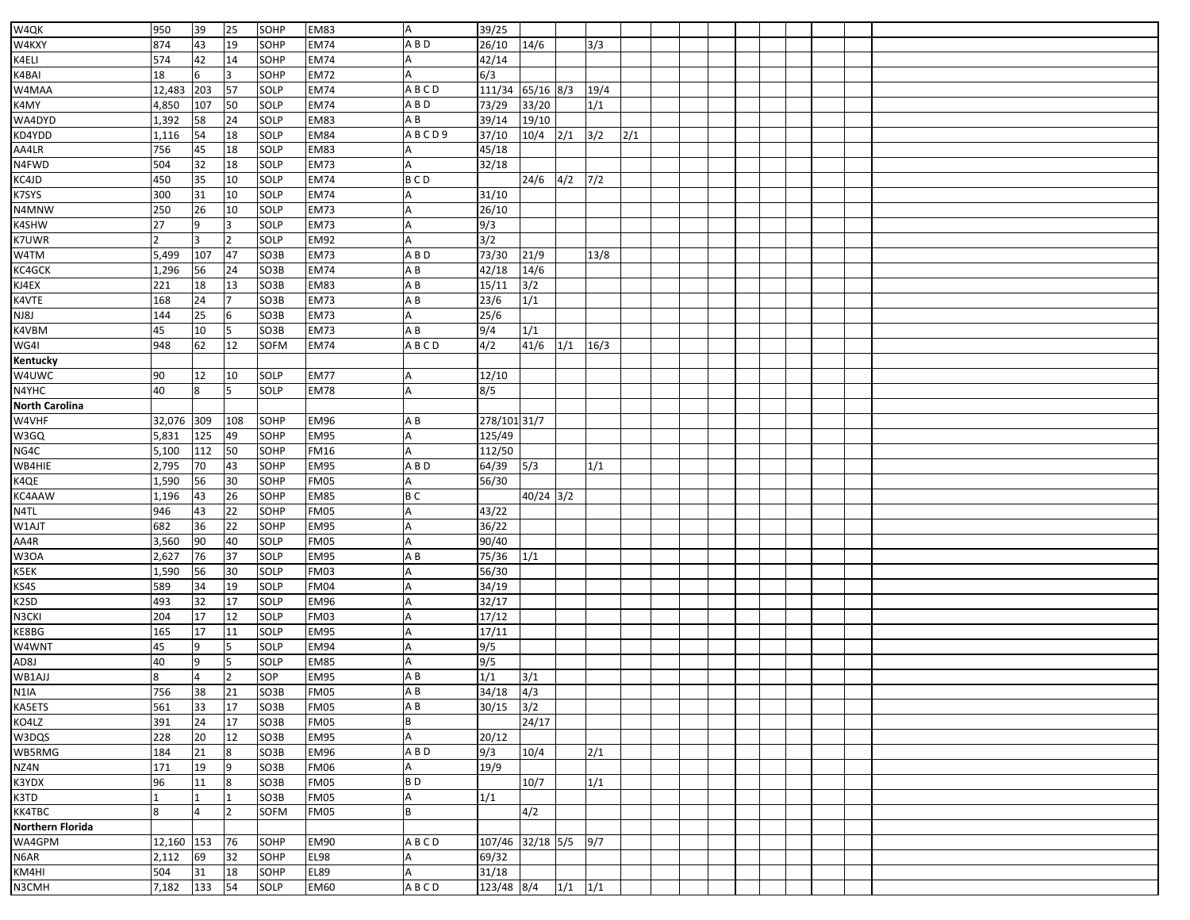| W4QK                       | 950            | 39           | 25             | SOHP              | <b>EM83</b> | A              | 39/25                |                                                     |             |                  |                  |  |  |  |  |
|----------------------------|----------------|--------------|----------------|-------------------|-------------|----------------|----------------------|-----------------------------------------------------|-------------|------------------|------------------|--|--|--|--|
| W4KXY                      | 874            | 43           | 19             | SOHP              | <b>EM74</b> | A B D          | 26/10                | 14/6                                                |             | 3/3              |                  |  |  |  |  |
| K4ELI                      | 574            | 42           | 14             | SOHP              | <b>EM74</b> |                | 42/14                |                                                     |             |                  |                  |  |  |  |  |
| K4BAI                      | 18             | 6            | 3              | SOHP              | <b>EM72</b> |                | 6/3                  |                                                     |             |                  |                  |  |  |  |  |
| W4MAA                      | 12,483         | 203          | 57             | SOLP              | <b>EM74</b> | ABCD           | 111/34               | 65/16 8/3                                           |             | 19/4             |                  |  |  |  |  |
| K4MY                       | 4,850          | 107          | 50             | SOLP              | <b>EM74</b> | A B D          | 73/29                | 33/20                                               |             | 1/1              |                  |  |  |  |  |
|                            |                |              | 24             |                   | <b>EM83</b> | A B            |                      |                                                     |             |                  |                  |  |  |  |  |
| WA4DYD<br>KD4YDD           | 1,392<br>1,116 | 58<br>54     | 18             | SOLP<br>SOLP      | <b>EM84</b> | ABCD9          | 39/14<br>37/10       | 19/10<br>10/4                                       | 2/1         | 3/2              | $\overline{2/1}$ |  |  |  |  |
|                            | 756            |              |                | SOLP              | <b>EM83</b> |                | 45/18                |                                                     |             |                  |                  |  |  |  |  |
| AA4LR                      |                | 45           | 18             |                   |             |                |                      |                                                     |             |                  |                  |  |  |  |  |
| N4FWD                      | 504            | 32           | 18             | SOLP              | <b>EM73</b> | <b>BCD</b>     | 32/18                |                                                     |             |                  |                  |  |  |  |  |
| KC4JD                      | 450            | 35           | 10             | SOLP              | <b>EM74</b> |                |                      | $\overline{24/6}$ $\overline{4/2}$ $\overline{7/2}$ |             |                  |                  |  |  |  |  |
| K7SYS                      | 300            | 31           | 10             | <b>SOLP</b>       | <b>EM74</b> |                | 31/10                |                                                     |             |                  |                  |  |  |  |  |
| N4MNW                      | 250            | 26           | 10             | SOLP              | <b>EM73</b> |                | 26/10                |                                                     |             |                  |                  |  |  |  |  |
| K4SHW                      | 27             | 9            | 3              | SOLP              | <b>EM73</b> |                | 9/3                  |                                                     |             |                  |                  |  |  |  |  |
| K7UWR                      |                | 3            | $\overline{2}$ | SOLP              | <b>EM92</b> |                | 3/2                  |                                                     |             |                  |                  |  |  |  |  |
| W4TM                       | 5,499          | 107          | 47             | SO3B              | <b>EM73</b> | A B D          | 73/30                | 21/9                                                |             | 13/8             |                  |  |  |  |  |
| KC4GCK                     | 1,296          | 56           | 24             | SO3B              | <b>EM74</b> | A B            | 42/18                | 14/6                                                |             |                  |                  |  |  |  |  |
| KJ4EX                      | 221            | 18           | 13             | SO3B              | <b>EM83</b> | ΑB             | 15/11                | 3/2                                                 |             |                  |                  |  |  |  |  |
| K4VTE                      | 168            | 24           | $\overline{7}$ | SO3B              | <b>EM73</b> | A B            | 23/6                 | 1/1                                                 |             |                  |                  |  |  |  |  |
| NJ8J                       | 144            | 25           | 6              | SO3B              | <b>EM73</b> |                | 25/6                 |                                                     |             |                  |                  |  |  |  |  |
| K4VBM                      | 45             | 10           | 5              | SO3B              | <b>EM73</b> | ΑB             | 9/4                  | 1/1                                                 |             |                  |                  |  |  |  |  |
| WG4I                       | 948            | 62           | 12             | <b>SOFM</b>       | <b>EM74</b> | ABCD           | 4/2                  | 41/6                                                | 1/1         | 16/3             |                  |  |  |  |  |
| Kentucky                   |                |              |                |                   |             |                |                      |                                                     |             |                  |                  |  |  |  |  |
| W4UWC                      | 90             | 12           | 10             | SOLP              | <b>EM77</b> |                | 12/10                |                                                     |             |                  |                  |  |  |  |  |
| N4YHC                      | 40             | 8            | 5              | SOLP              | <b>EM78</b> |                | 8/5                  |                                                     |             |                  |                  |  |  |  |  |
| <b>North Carolina</b>      |                |              |                |                   |             |                |                      |                                                     |             |                  |                  |  |  |  |  |
| W4VHF                      | 32,076         | 309          | 108            | SOHP              | <b>EM96</b> | ΑB             | 278/101 31/7         |                                                     |             |                  |                  |  |  |  |  |
| W3GQ                       | 5,831          | 125          | 49             | SOHP              | <b>EM95</b> |                | 125/49               |                                                     |             |                  |                  |  |  |  |  |
| NG4C                       | 5,100          | 112          | 50             | SOHP              | <b>FM16</b> |                | 112/50               |                                                     |             |                  |                  |  |  |  |  |
| WB4HIE                     | 2,795          | 70           | 43             | SOHP              | <b>EM95</b> | A B D          | 64/39 5/3            |                                                     |             | 1/1              |                  |  |  |  |  |
| K4QE                       | 1,590          | 56           | 30             | SOHP              | <b>FM05</b> |                | 56/30                |                                                     |             |                  |                  |  |  |  |  |
| KC4AAW                     | 1,196          | 43           | 26             | SOHP              | <b>EM85</b> | B <sub>C</sub> |                      | 40/24 3/2                                           |             |                  |                  |  |  |  |  |
| N4TL                       | 946            | 43           | 22             | SOHP              | <b>FM05</b> |                | 43/22                |                                                     |             |                  |                  |  |  |  |  |
| W1AJT                      | 682            | 36           | 22             | SOHP              | <b>EM95</b> |                | 36/22                |                                                     |             |                  |                  |  |  |  |  |
| AA4R                       | 3,560          | 90           | 40             | SOLP              | <b>FM05</b> |                | 90/40                |                                                     |             |                  |                  |  |  |  |  |
| W3OA                       | 2,627          | 76           | 37             | SOLP              | <b>EM95</b> | ΑB             | 75/36                | 1/1                                                 |             |                  |                  |  |  |  |  |
| K5EK                       | 1,590          | 56           | 30             | SOLP              | <b>FM03</b> |                | 56/30                |                                                     |             |                  |                  |  |  |  |  |
| KS4S                       | 589            | 34           | 19             | SOLP              | <b>FM04</b> |                | 34/19                |                                                     |             |                  |                  |  |  |  |  |
| K <sub>2</sub> SD          | 493            | 32           | 17             | SOLP              | <b>EM96</b> |                | 32/17                |                                                     |             |                  |                  |  |  |  |  |
| N3CKI                      | 204            | 17           | 12             | SOLP              | <b>FM03</b> |                | 17/12                |                                                     |             |                  |                  |  |  |  |  |
| KE8BG                      | 165            | 17           | 11             | SOLP              | <b>EM95</b> |                | 17/11                |                                                     |             |                  |                  |  |  |  |  |
| W4WNT                      | 45             | 9            | 5              | SOLP              | <b>EM94</b> |                | 9/5                  |                                                     |             |                  |                  |  |  |  |  |
| AD8J                       | 40             | 9            | 5              | SOLP              | <b>EM85</b> |                | 9/5                  |                                                     |             |                  |                  |  |  |  |  |
| WB1AJJ                     | 8              | 4            | $\overline{2}$ | SOP               | <b>EM95</b> | ΑB             | 1/1                  | 3/1                                                 |             |                  |                  |  |  |  |  |
| N <sub>1</sub> IA          | 756            | 38           | 21             | SO <sub>3</sub> B | FM05        | A <sub>B</sub> | $34/18$ $4/3$        |                                                     |             |                  |                  |  |  |  |  |
| KA5ETS                     | 561            | 33           | 17             | SO3B              | <b>FM05</b> | ΑB             | 30/15                | 3/2                                                 |             |                  |                  |  |  |  |  |
| KO4LZ                      | 391            | 24           | 17             | SO3B              | FM05        | B              |                      | 24/17                                               |             |                  |                  |  |  |  |  |
| W3DQS                      | 228            | 20           | 12             | SO3B              | <b>EM95</b> |                | 20/12                |                                                     |             |                  |                  |  |  |  |  |
| WB5RMG                     | 184            | 21           | 8              | SO3B              | <b>EM96</b> | A B D          | 9/3                  | 10/4                                                |             | $\overline{2/1}$ |                  |  |  |  |  |
| NZ4N                       | 171            | 19           | 9              | SO3B              | <b>FM06</b> |                | 19/9                 |                                                     |             |                  |                  |  |  |  |  |
| K3YDX                      | 96             | 11           | 8              | SO3B              | <b>FM05</b> | BD             |                      | 10/7                                                |             | 1/1              |                  |  |  |  |  |
| K3TD                       | $\mathbf{1}$   | $\mathbf{1}$ | $\mathbf{1}$   | SO3B              | <b>FM05</b> |                | 1/1                  |                                                     |             |                  |                  |  |  |  |  |
| KK4TBC                     | 8              | 4            | $\overline{2}$ | SOFM              | <b>FM05</b> |                |                      | 4/2                                                 |             |                  |                  |  |  |  |  |
|                            |                |              |                |                   |             |                |                      |                                                     |             |                  |                  |  |  |  |  |
| Northern Florida<br>WA4GPM |                |              |                |                   |             |                |                      |                                                     |             |                  |                  |  |  |  |  |
|                            | 12,160         | 153          | 76             | SOHP              | <b>EM90</b> | ABCD           | 107/46 32/18 5/5 9/7 |                                                     |             |                  |                  |  |  |  |  |
| N6AR                       | 2,112          | 69           | 32             | SOHP              | <b>EL98</b> |                | 69/32                |                                                     |             |                  |                  |  |  |  |  |
| KM4HI                      | 504            | 31           | 18             | SOHP              | <b>EL89</b> |                | 31/18                |                                                     |             |                  |                  |  |  |  |  |
| N3CMH                      | 7,182          | 133          | 54             | SOLP              | <b>EM60</b> | ABCD           | 123/48 8/4           |                                                     | $1/1$ $1/1$ |                  |                  |  |  |  |  |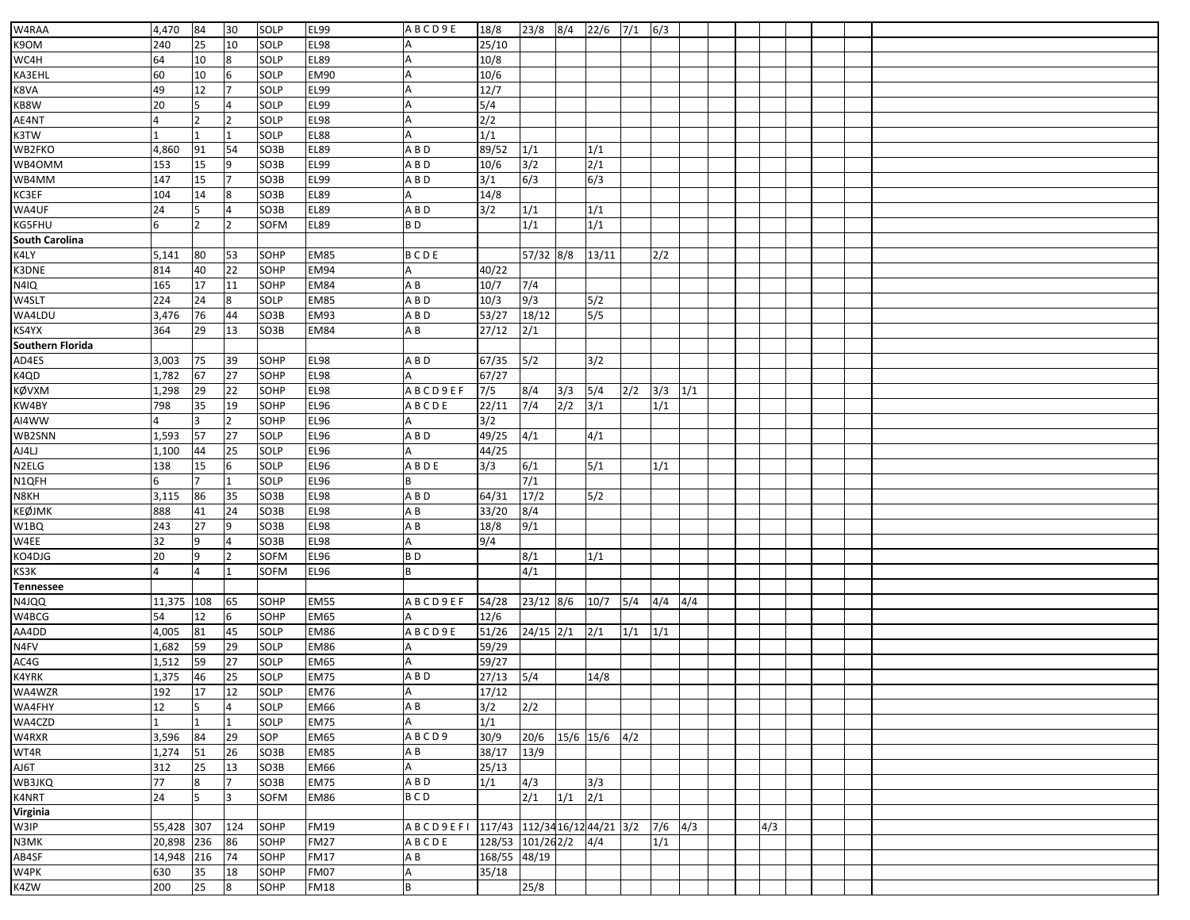| W4RAA            | 4,470      | 84             | 30             | SOLP              | <b>EL99</b> | ABCD9E                                 | 18/8                 | 23/8        | 8/4 | $22/6$ 7/1    |     | 6/3         |  |     |  |  |
|------------------|------------|----------------|----------------|-------------------|-------------|----------------------------------------|----------------------|-------------|-----|---------------|-----|-------------|--|-----|--|--|
| K9OM             | 240        | 25             | 10             | SOLP              | <b>EL98</b> |                                        | 25/10                |             |     |               |     |             |  |     |  |  |
| WC4H             | 64         | 10             | 8              | SOLP              | <b>EL89</b> | A                                      | 10/8                 |             |     |               |     |             |  |     |  |  |
|                  |            |                |                |                   |             |                                        |                      |             |     |               |     |             |  |     |  |  |
| KA3EHL           | 60         | 10             | 6<br>7         | SOLP              | <b>EM90</b> | Α                                      | 10/6                 |             |     |               |     |             |  |     |  |  |
| K8VA             | 49         | 12             |                | SOLP              | <b>EL99</b> |                                        | 12/7                 |             |     |               |     |             |  |     |  |  |
| KB8W             | 20         | 5              | $\overline{4}$ | SOLP              | <b>EL99</b> | Α                                      | 5/4                  |             |     |               |     |             |  |     |  |  |
| AE4NT            | 4          | $\overline{2}$ | 2              | SOLP              | <b>EL98</b> | A                                      | 2/2                  |             |     |               |     |             |  |     |  |  |
| K3TW             |            |                |                | SOLP              | <b>EL88</b> |                                        | 1/1                  |             |     |               |     |             |  |     |  |  |
| WB2FKO           | 4,860      | 91             | 54             | SO3B              | <b>EL89</b> | ABD                                    | 89/52                | 1/1         |     | 1/1           |     |             |  |     |  |  |
| WB4OMM           | 153        | 15             | 9              | SO3B              | <b>EL99</b> | ABD                                    | 10/6                 | 3/2         |     | 2/1           |     |             |  |     |  |  |
| WB4MM            | 147        | 15             |                | SO3B              | <b>EL99</b> | ABD                                    | 3/1                  | 6/3         |     | 6/3           |     |             |  |     |  |  |
| KC3EF            | 104        | 14             | 8              | SO3B              | <b>EL89</b> |                                        | 14/8                 |             |     |               |     |             |  |     |  |  |
| WA4UF            | 24         | 5              | $\overline{4}$ | SO3B              | <b>EL89</b> | A B D                                  | 3/2                  | 1/1         |     | 1/1           |     |             |  |     |  |  |
| KG5FHU           | 6          |                |                | SOFM              | <b>EL89</b> | B <sub>D</sub>                         |                      | 1/1         |     | 1/1           |     |             |  |     |  |  |
| South Carolina   |            |                |                |                   |             |                                        |                      |             |     |               |     |             |  |     |  |  |
| K4LY             | 5,141      | 80             | 53             | SOHP              | <b>EM85</b> | BCDE                                   |                      | 57/32 8/8   |     | 13/11         |     | 2/2         |  |     |  |  |
| K3DNE            | 814        | 40             | 22             | SOHP              | <b>EM94</b> | Α                                      | 40/22                |             |     |               |     |             |  |     |  |  |
| N4IQ             | 165        | 17             | 11             | SOHP              | <b>EM84</b> | A B                                    | 10/7                 | 7/4         |     |               |     |             |  |     |  |  |
| W4SLT            | 224        | 24             | 8              | SOLP              | <b>EM85</b> | ABD                                    | 10/3                 | 9/3         |     | 5/2           |     |             |  |     |  |  |
| WA4LDU           | 3,476      | 76             | 44             | SO <sub>3</sub> B | <b>EM93</b> | ABD                                    | 53/27                | 18/12       |     | 5/5           |     |             |  |     |  |  |
| KS4YX            | 364        | 29             | 13             | SO3B              | <b>EM84</b> | A B                                    | 27/12                | 2/1         |     |               |     |             |  |     |  |  |
| Southern Florida |            |                |                |                   |             |                                        |                      |             |     |               |     |             |  |     |  |  |
| AD4ES            | 3,003      | 75             | 39             | SOHP              | <b>EL98</b> | ABD                                    | 67/35                | 5/2         |     | 3/2           |     |             |  |     |  |  |
| K4QD             | 1,782      | 67             | 27             | SOHP              | <b>EL98</b> |                                        | 67/27                |             |     |               |     |             |  |     |  |  |
| KØVXM            | 1,298      | 29             | 22             | SOHP              | <b>EL98</b> | ABCD9EF                                | 7/5                  | 8/4         | 3/3 | 5/4           | 2/2 | $3/3$ $1/1$ |  |     |  |  |
| KW4BY            | 798        | 35             | 19             | SOHP              | EL96        | <b>ABCDE</b>                           | 22/11                | 7/4         | 2/2 | 3/1           |     | 1/1         |  |     |  |  |
| AI4WW            |            | 3              | $\overline{2}$ | SOHP              | <b>EL96</b> |                                        | 3/2                  |             |     |               |     |             |  |     |  |  |
| WB2SNN           | 1,593      | 57             | 27             | SOLP              | <b>EL96</b> | A B D                                  | 49/25                | 4/1         |     | 4/1           |     |             |  |     |  |  |
| AJ4LJ            | 1,100      | 44             | 25             | SOLP              | <b>EL96</b> |                                        | 44/25                |             |     |               |     |             |  |     |  |  |
| N2ELG            | 138        | 15             | 6              | SOLP              | <b>EL96</b> | ABDE                                   | 3/3                  | 6/1         |     | 5/1           |     | 1/1         |  |     |  |  |
| N1QFH            | 6          | $\overline{7}$ | $\mathbf{1}$   | SOLP              | <b>EL96</b> | B                                      |                      | 7/1         |     |               |     |             |  |     |  |  |
| N8KH             | 3,115      | 86             | 35             | SO3B              | <b>EL98</b> | ABD                                    | 64/31                | 17/2        |     | 5/2           |     |             |  |     |  |  |
| KEØJMK           | 888        | 41             | 24             | SO3B              | <b>EL98</b> | AB                                     | 33/20                | 8/4         |     |               |     |             |  |     |  |  |
| W1BQ             | 243        | 27             | 9              | SO3B              | <b>EL98</b> | A B                                    | 18/8                 | 9/1         |     |               |     |             |  |     |  |  |
| W4EE             | 32         | 9              | 4              | SO3B              | <b>EL98</b> | A                                      | 9/4                  |             |     |               |     |             |  |     |  |  |
| KO4DJG           | 20         | 9              |                | SOFM              | <b>EL96</b> | B <sub>D</sub>                         |                      | 8/1         |     | 1/1           |     |             |  |     |  |  |
| KS3K             |            | $\overline{4}$ |                | SOFM              | EL96        | B                                      |                      | 4/1         |     |               |     |             |  |     |  |  |
| <b>Tennessee</b> |            |                |                |                   |             |                                        |                      |             |     |               |     |             |  |     |  |  |
| N4JQQ            | 11,375     | 108            | 65             | SOHP              | <b>EM55</b> | ABCD9EF                                | 54/28                | $23/12$ 8/6 |     | 10/7          | 5/4 | $4/4$ $4/4$ |  |     |  |  |
| W4BCG            | 54         | 12             | 6              | SOHP              | <b>EM65</b> |                                        | 12/6                 |             |     |               |     |             |  |     |  |  |
| AA4DD            | 4,005      | 81             | 45             | SOLP              | <b>EM86</b> | ABCD9E                                 | 51/26                | $24/15$ 2/1 |     | 2/1           | 1/1 | 1/1         |  |     |  |  |
| N4FV             | 1,682      | 59             | 29             | SOLP              | <b>EM86</b> |                                        | 59/29                |             |     |               |     |             |  |     |  |  |
| AC4G             | 1,512      | 59             | 27             | SOLP              | <b>EM65</b> |                                        | 59/27                |             |     |               |     |             |  |     |  |  |
| K4YRK            | 1,375      | 46             | 25             | SOLP              | <b>EM75</b> | ABD                                    | $27/13$ 5/4          |             |     | 14/8          |     |             |  |     |  |  |
| WA4WZR           | 192        | 17             | 12             | SOLP              | <b>EM76</b> | $\Delta$                               | 17/12                |             |     |               |     |             |  |     |  |  |
| WA4FHY           | 12         | 5              | 4              | SOLP              | EM66        | A B                                    | 3/2                  | 2/2         |     |               |     |             |  |     |  |  |
| WA4CZD           |            | $\mathbf{1}$   | $\mathbf{1}$   | SOLP              | <b>EM75</b> | A                                      | 1/1                  |             |     |               |     |             |  |     |  |  |
| W4RXR            | 3,596      | 84             | 29             | SOP               | <b>EM65</b> | ABCD9                                  | 30/9                 | 20/6        |     | 15/6 15/6 4/2 |     |             |  |     |  |  |
| WT4R             | 1,274      | 51             | 26             | SO3B              | <b>EM85</b> | A B                                    | 38/17                | 13/9        |     |               |     |             |  |     |  |  |
| AJ6T             | 312        | 25             | 13             | SO3B              | EM66        | A                                      | 25/13                |             |     |               |     |             |  |     |  |  |
| WB3JKQ           | 77         | 8              | 17             | SO3B              | <b>EM75</b> | A B D                                  | 1/1                  | 4/3         |     | 3/3           |     |             |  |     |  |  |
| K4NRT            | 24         | 5              | 3              | SOFM              | EM86        | B C D                                  |                      | 2/1         | 1/1 | 2/1           |     |             |  |     |  |  |
| Virginia         |            |                |                |                   |             |                                        |                      |             |     |               |     |             |  |     |  |  |
| W3IP             | 55,428 307 |                | 124            | SOHP              | <b>FM19</b> | ABCD9EFI 117/43 112/34 16/12 44/21 3/2 |                      |             |     |               |     | $7/6$ 4/3   |  | 4/3 |  |  |
| N3MK             | 20,898 236 |                | 86             | SOHP              | <b>FM27</b> | ABCDE                                  | 128/53 101/262/2 4/4 |             |     |               |     | 1/1         |  |     |  |  |
| AB4SF            | 14,948 216 |                | 74             | SOHP              | <b>FM17</b> | AB                                     | 168/55 48/19         |             |     |               |     |             |  |     |  |  |
| W4PK             | 630        |                | 18             | SOHP              | <b>FM07</b> | A                                      | 35/18                |             |     |               |     |             |  |     |  |  |
| K4ZW             | 200        | 35<br>25       | 8              | SOHP              | <b>FM18</b> | B                                      |                      | 25/8        |     |               |     |             |  |     |  |  |
|                  |            |                |                |                   |             |                                        |                      |             |     |               |     |             |  |     |  |  |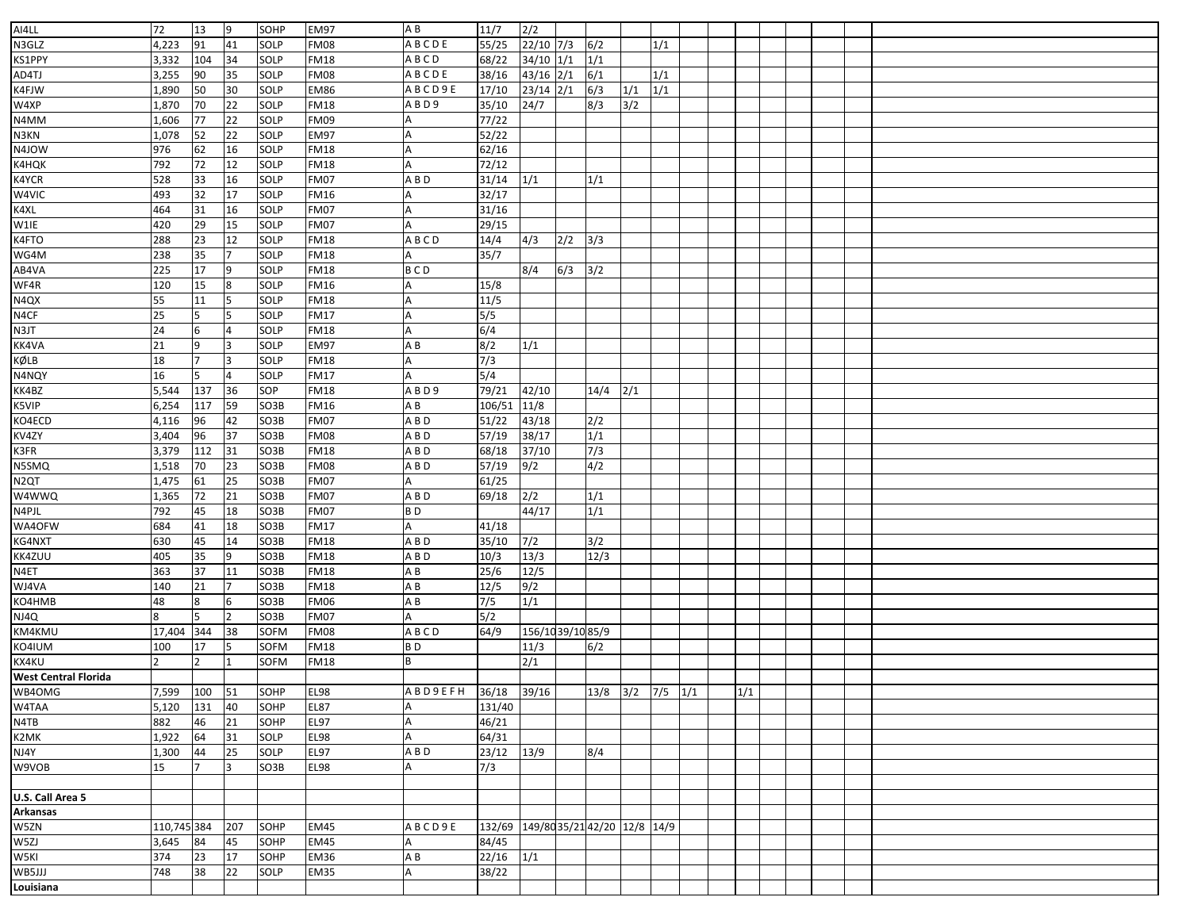| AI4LL                       | 72             | 13             | 19             | SOHP              | <b>EM97</b> | A B                 | 11/7                                | $\overline{2/2}$ |     |                          |     |     |  |     |  |  |  |
|-----------------------------|----------------|----------------|----------------|-------------------|-------------|---------------------|-------------------------------------|------------------|-----|--------------------------|-----|-----|--|-----|--|--|--|
| N3GLZ                       | 4,223          | 91             | 41             | SOLP              | <b>FM08</b> | <b>ABCDE</b>        | 55/25                               | $22/10$ 7/3      |     | 6/2                      |     | 1/1 |  |     |  |  |  |
| KS1PPY                      | 3,332          | 104            | 34             | SOLP              | <b>FM18</b> | ABCD                | 68/22                               | $34/10$ $1/1$    |     | 1/1                      |     |     |  |     |  |  |  |
| AD4TJ                       | 3,255          | 90             | 35             | SOLP              | <b>FM08</b> | <b>ABCDE</b>        | 38/16                               | $43/16$ 2/1      |     | 6/1                      |     | 1/1 |  |     |  |  |  |
| K4FJW                       | 1,890          | 50             | 30             | SOLP              | <b>EM86</b> | ABCD9E              | 17/10                               | $23/14$ $2/1$    |     | 6/3                      | 1/1 | 1/1 |  |     |  |  |  |
| W4XP                        | 1,870          | 70             | 22             | SOLP              | <b>FM18</b> | ABD9                | 35/10                               | 24/7             |     | 8/3                      | 3/2 |     |  |     |  |  |  |
| N4MM                        | 1,606          | 77             | 22             | SOLP              | <b>FM09</b> |                     | 77/22                               |                  |     |                          |     |     |  |     |  |  |  |
| N3KN                        | 1,078          | 52             | 22             | SOLP              | <b>EM97</b> |                     | 52/22                               |                  |     |                          |     |     |  |     |  |  |  |
| N4JOW                       | 976            | 62             | 16             | SOLP              | <b>FM18</b> |                     | 62/16                               |                  |     |                          |     |     |  |     |  |  |  |
| K4HQK                       | 792            | 72             | 12             | SOLP              | <b>FM18</b> |                     | 72/12                               |                  |     |                          |     |     |  |     |  |  |  |
| K4YCR                       | 528            | 33             | 16             | SOLP              | <b>FM07</b> | A B D               | 31/14                               | 1/1              |     | 1/1                      |     |     |  |     |  |  |  |
| W4VIC                       | 493            | 32             | 17             | SOLP              | <b>FM16</b> |                     | 32/17                               |                  |     |                          |     |     |  |     |  |  |  |
| K4XL                        | 464            | 31             | 16             | SOLP              | <b>FM07</b> |                     | 31/16                               |                  |     |                          |     |     |  |     |  |  |  |
| W1IE                        | 420            | 29             | 15             | SOLP              | <b>FM07</b> |                     | 29/15                               |                  |     |                          |     |     |  |     |  |  |  |
| K4FTO                       | 288            | 23             | 12             | SOLP              | <b>FM18</b> | ABCD                | 14/4                                | 4/3              | 2/2 | 3/3                      |     |     |  |     |  |  |  |
| WG4M                        | 238            | 35             | 7              | SOLP              | <b>FM18</b> |                     | 35/7                                |                  |     |                          |     |     |  |     |  |  |  |
| AB4VA                       | 225            | 17             | 9              | SOLP              | <b>FM18</b> | <b>BCD</b>          |                                     | 8/4              | 6/3 | 3/2                      |     |     |  |     |  |  |  |
| WF4R                        | 120            | 15             | 8              | SOLP              | <b>FM16</b> |                     | 15/8                                |                  |     |                          |     |     |  |     |  |  |  |
| N4QX                        | 55             | 11             | 5              | SOLP              | <b>FM18</b> |                     | 11/5                                |                  |     |                          |     |     |  |     |  |  |  |
| N4CF                        | 25             |                | 5              | SOLP              | <b>FM17</b> |                     | 5/5                                 |                  |     |                          |     |     |  |     |  |  |  |
| N3JT                        | 24             | 6              | 4              | SOLP              | <b>FM18</b> |                     | 6/4                                 |                  |     |                          |     |     |  |     |  |  |  |
| KK4VA                       | 21             | 9              | 3              | SOLP              | <b>EM97</b> | A B                 | 8/2                                 | 1/1              |     |                          |     |     |  |     |  |  |  |
| KØLB                        | 18             | $\overline{7}$ | 3              | SOLP              | <b>FM18</b> |                     | 7/3                                 |                  |     |                          |     |     |  |     |  |  |  |
| N4NQY                       | 16             | 5              | 4              | SOLP              | <b>FM17</b> |                     | 5/4                                 |                  |     |                          |     |     |  |     |  |  |  |
| KK4BZ                       | 5,544          | 137            | 36             | SOP               | <b>FM18</b> | A B D 9             | 79/21                               | 42/10            |     | 14/4                     | 2/1 |     |  |     |  |  |  |
| K5VIP                       | 6,254          | 117            | 59             | SO <sub>3</sub> B | <b>FM16</b> | AΒ                  | 106/51                              | 11/8             |     |                          |     |     |  |     |  |  |  |
| KO4ECD                      | 4,116          | 96             | 42             | SO3B              | <b>FM07</b> | A B D               | 51/22                               | 43/18            |     | $\overline{2/2}$         |     |     |  |     |  |  |  |
| KV4ZY                       | 3,404          | 96             | 37             | SO3B              | <b>FM08</b> | A B D               | 57/19                               | 38/17            |     | 1/1                      |     |     |  |     |  |  |  |
| K3FR                        | 3,379          | 112            | 31             | SO3B              | <b>FM18</b> | A B D               | 68/18                               | 37/10            |     | 7/3                      |     |     |  |     |  |  |  |
| N5SMQ                       | 1,518          | 70             | 23             | SO3B              | <b>FM08</b> | A B D               | $\overline{57/19}$                  | 9/2              |     | 4/2                      |     |     |  |     |  |  |  |
| N <sub>2</sub> QT           | 1,475          | 61             | 25             | SO3B              | <b>FM07</b> |                     | 61/25                               |                  |     |                          |     |     |  |     |  |  |  |
| W4WWQ                       | 1,365          | 72             | 21             | SO <sub>3</sub> B | <b>FM07</b> | A B D               | 69/18                               | 2/2              |     | 1/1                      |     |     |  |     |  |  |  |
| N4PJL                       | 792            | 45             | 18             | SO3B              | <b>FM07</b> | BD                  |                                     | 44/17            |     | 1/1                      |     |     |  |     |  |  |  |
| WA40FW                      | 684            | 41             | 18             | SO3B              | <b>FM17</b> |                     | 41/18                               |                  |     |                          |     |     |  |     |  |  |  |
| KG4NXT                      | 630            | 45             | 14             | SO3B              | <b>FM18</b> | A B D               | 35/10                               | $7/2$            |     | 3/2                      |     |     |  |     |  |  |  |
| KK4ZUU                      | 405            | 35             | 9              | SO3B              | <b>FM18</b> | A B D               | 10/3                                | 13/3             |     | 12/3                     |     |     |  |     |  |  |  |
| N4ET                        | 363            | 37             | 11             | SO3B              | <b>FM18</b> | ΑB                  | 25/6                                | 12/5             |     |                          |     |     |  |     |  |  |  |
| WJ4VA                       | 140            | 21             |                | SO3B              | <b>FM18</b> | AB                  | 12/5                                | 9/2              |     |                          |     |     |  |     |  |  |  |
| KO4HMB                      | 48             | 8              | 6              | SO3B              | <b>FM06</b> | A B                 | $7/5$                               | 1/1              |     |                          |     |     |  |     |  |  |  |
| NJ4Q                        | 8              |                | $\overline{2}$ | SO3B              | <b>FM07</b> |                     | 5/2                                 |                  |     |                          |     |     |  |     |  |  |  |
| KM4KMU                      | 17,404         | 344            | 38             | SOFM              | <b>FM08</b> | ABCD                | 64/9                                | 156/1039/1085/9  |     |                          |     |     |  |     |  |  |  |
| KO4IUM                      | 100            | 17             | 5              | <b>SOFM</b>       | <b>FM18</b> | BD                  |                                     | 11/3             |     | 6/2                      |     |     |  |     |  |  |  |
| KX4KU                       | $\overline{2}$ | $\overline{2}$ |                | <b>SOFM</b>       | <b>FM18</b> | B                   |                                     | 2/1              |     |                          |     |     |  |     |  |  |  |
| <b>West Central Florida</b> |                |                |                |                   |             |                     |                                     |                  |     |                          |     |     |  |     |  |  |  |
| WB4OMG                      | 7,599 100 51   |                |                | SOHP              | <b>EL98</b> | ABD9EFH 36/18 39/16 |                                     |                  |     | $13/8$ $3/2$ $7/5$ $1/1$ |     |     |  | 1/1 |  |  |  |
| W4TAA                       | 5,120          | 131            | 40             | SOHP              | <b>EL87</b> | A                   | 131/40                              |                  |     |                          |     |     |  |     |  |  |  |
| N4TB                        | 882            | 46             | 21             | SOHP              | EL97        |                     | 46/21                               |                  |     |                          |     |     |  |     |  |  |  |
| K2MK                        | 1,922          | 64             | 31             | SOLP              | <b>EL98</b> |                     | 64/31                               |                  |     |                          |     |     |  |     |  |  |  |
| NJ4Y                        | 1,300          | 44             | 25             | SOLP              | EL97        | A B D               | $23/12$ $13/9$                      |                  |     | 8/4                      |     |     |  |     |  |  |  |
| W9VOB                       | 15             |                | 3              | SO3B              | <b>EL98</b> |                     | 7/3                                 |                  |     |                          |     |     |  |     |  |  |  |
|                             |                |                |                |                   |             |                     |                                     |                  |     |                          |     |     |  |     |  |  |  |
| U.S. Call Area 5            |                |                |                |                   |             |                     |                                     |                  |     |                          |     |     |  |     |  |  |  |
| Arkansas                    |                |                |                |                   |             |                     |                                     |                  |     |                          |     |     |  |     |  |  |  |
| W5ZN                        | 110,745 384    |                | 207            | SOHP              | EM45        | A B C D 9 E         | 132/69 149/80 35/21 42/20 12/8 14/9 |                  |     |                          |     |     |  |     |  |  |  |
| W5ZJ                        | 3,645          | 84             | 45             | SOHP              | EM45        |                     | 84/45                               |                  |     |                          |     |     |  |     |  |  |  |
| W5KI                        | 374            | 23             | 17             | SOHP              | <b>EM36</b> | ΑB                  | $22/16$ $1/1$                       |                  |     |                          |     |     |  |     |  |  |  |
| WB5JJJ                      | 748            | 38             | 22             | SOLP              | <b>EM35</b> |                     | 38/22                               |                  |     |                          |     |     |  |     |  |  |  |
| Louisiana                   |                |                |                |                   |             |                     |                                     |                  |     |                          |     |     |  |     |  |  |  |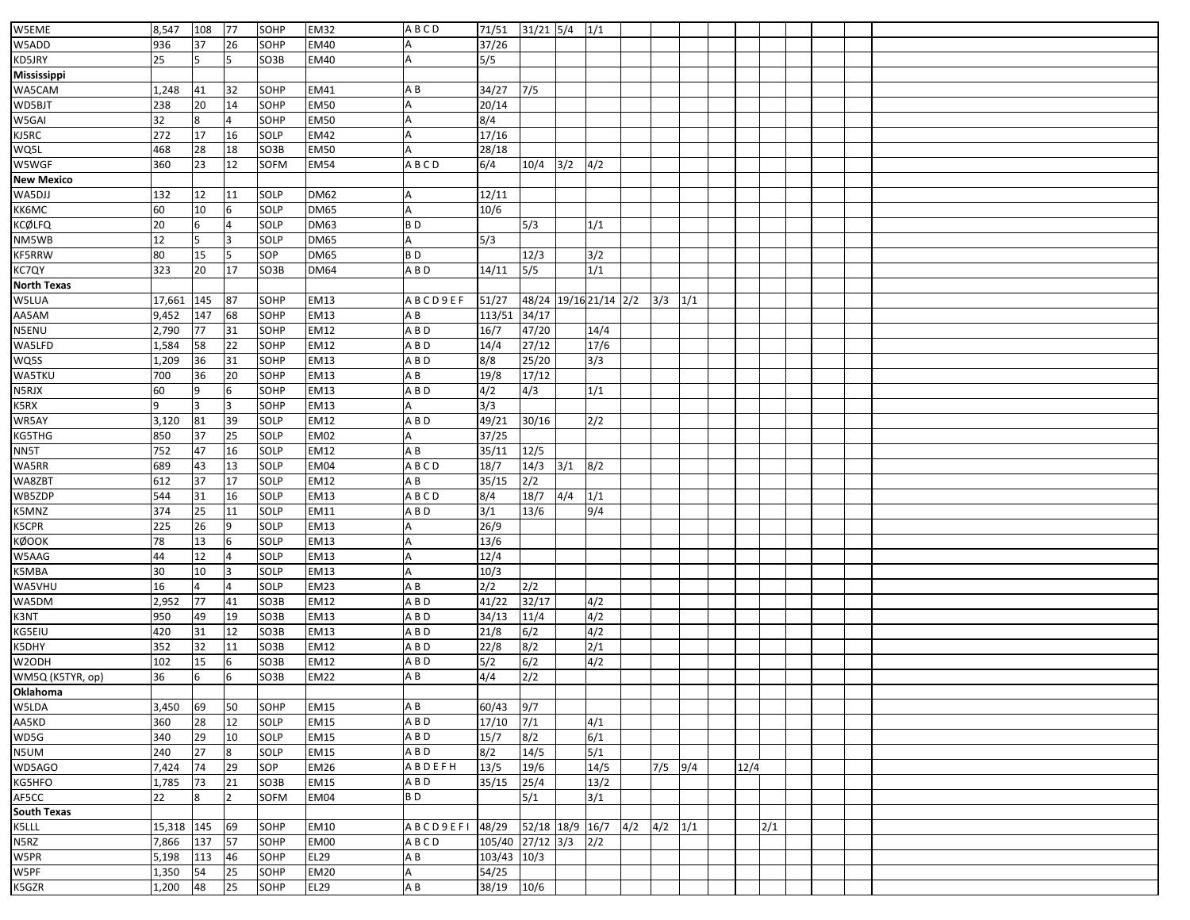| W5EME              | 8,547      | 108 | 77             | SOHP         | <b>EM32</b>         | ABCD            | 71/51            | $31/21$ 5/4     |             | 1/1                   |     |           |     |      |     |  |  |
|--------------------|------------|-----|----------------|--------------|---------------------|-----------------|------------------|-----------------|-------------|-----------------------|-----|-----------|-----|------|-----|--|--|
| W5ADD              | 936        | 37  | 26             | SOHP         | <b>EM40</b>         |                 | 37/26            |                 |             |                       |     |           |     |      |     |  |  |
| KD5JRY             | 25         |     | 5              | SO3B         | <b>EM40</b>         |                 | 5/5              |                 |             |                       |     |           |     |      |     |  |  |
| Mississippi        |            |     |                |              |                     |                 |                  |                 |             |                       |     |           |     |      |     |  |  |
| WA5CAM             | 1,248      | 41  | 32             | SOHP         | <b>EM41</b>         | ΑB              | 34/27            | 7/5             |             |                       |     |           |     |      |     |  |  |
| WD5BJT             | 238        | 20  | 14             | SOHP         | <b>EM50</b>         |                 | 20/14            |                 |             |                       |     |           |     |      |     |  |  |
| W5GAI              | 32         | 8   | $\overline{a}$ | SOHP         | <b>EM50</b>         |                 | 8/4              |                 |             |                       |     |           |     |      |     |  |  |
| KJ5RC              | 272        | 17  | 16             | SOLP         | <b>EM42</b>         |                 | 17/16            |                 |             |                       |     |           |     |      |     |  |  |
| WQ5L               | 468        | 28  | 18             | SO3B         | <b>EM50</b>         |                 | 28/18            |                 |             |                       |     |           |     |      |     |  |  |
| W5WGF              | 360        | 23  | 12             | SOFM         | <b>EM54</b>         | ABCD            | 6/4              | 10/4            | 3/2         | 4/2                   |     |           |     |      |     |  |  |
| New Mexico         |            |     |                |              |                     |                 |                  |                 |             |                       |     |           |     |      |     |  |  |
| WA5DJJ             | 132        | 12  | 11             | SOLP         | <b>DM62</b>         |                 | 12/11            |                 |             |                       |     |           |     |      |     |  |  |
| КК6МС              | 60         | 10  | 6              | SOLP         | <b>DM65</b>         | А               | 10/6             |                 |             |                       |     |           |     |      |     |  |  |
| KCØLFQ             | 20         |     |                | SOLP         | <b>DM63</b>         | B <sub>D</sub>  |                  | 5/3             |             | 1/1                   |     |           |     |      |     |  |  |
| NM5WB              | 12         | 5   | 3              | SOLP         | <b>DM65</b>         |                 | 5/3              |                 |             |                       |     |           |     |      |     |  |  |
| <b>KF5RRW</b>      | 80         | 15  | 5              | SOP          | <b>DM65</b>         | B <sub>D</sub>  |                  | 12/3            |             | 3/2                   |     |           |     |      |     |  |  |
| KC7QY              | 323        | 20  | 17             | SO3B         | <b>DM64</b>         | A B D           | 14/11            | $5/5$           |             | 1/1                   |     |           |     |      |     |  |  |
| <b>North Texas</b> |            |     |                |              |                     |                 |                  |                 |             |                       |     |           |     |      |     |  |  |
| W5LUA              | 17,661     | 145 | 87             | SOHP         | <b>EM13</b>         | ABCD9EF         | 51/27            |                 |             | 48/24 19/16 21/14 2/2 |     | 3/3       | 1/1 |      |     |  |  |
| AA5AM              | 9,452      | 147 | 68             | SOHP         | <b>EM13</b>         | ΑB              | 113/51           | 34/17           |             |                       |     |           |     |      |     |  |  |
| N5ENU              | 2,790      | 77  | 31             | SOHP         | <b>EM12</b>         | ABD             | 16/7             | 47/20           |             | 14/4                  |     |           |     |      |     |  |  |
| WA5LFD             | 1,584      | 58  | 22             | SOHP         | <b>EM12</b>         | A B D           | 14/4             | 27/12           |             | 17/6                  |     |           |     |      |     |  |  |
| WQ5S               | 1,209      | 36  | 31             | SOHP         | <b>EM13</b>         | A B D           | 8/8              | 25/20           |             | 3/3                   |     |           |     |      |     |  |  |
| <b>WA5TKU</b>      | 700        | 36  | 20             | SOHP         | <b>EM13</b>         | A B             | 19/8             | 17/12           |             |                       |     |           |     |      |     |  |  |
| N5RJX              | 60         | 9   | 6              | SOHP         | <b>EM13</b>         | A B D           | 4/2              | 4/3             |             | 1/1                   |     |           |     |      |     |  |  |
| K5RX               | 9          | 3   | 3              | SOHP         | <b>EM13</b>         |                 | 3/3              |                 |             |                       |     |           |     |      |     |  |  |
| WR5AY              | 3,120      | 81  | 39             | SOLP         | EM12                | A B D           | 49/21            | 30/16           |             | 2/2                   |     |           |     |      |     |  |  |
|                    | 850        | 37  | 25             | SOLP         | <b>EM02</b>         |                 | 37/25            |                 |             |                       |     |           |     |      |     |  |  |
| KG5THG             | 752        | 47  | 16             | SOLP         | <b>EM12</b>         | ΑB              | 35/11            | 12/5            |             |                       |     |           |     |      |     |  |  |
| NN5T<br>WA5RR      | 689        | 43  | 13             | SOLP         | <b>EM04</b>         | ABCD            | 18/7             | 14/3            | $3/1$ $8/2$ |                       |     |           |     |      |     |  |  |
|                    | 612        | 37  | 17             | SOLP         | <b>EM12</b>         | A B             | 35/15            | 2/2             |             |                       |     |           |     |      |     |  |  |
| WA8ZBT             |            |     |                |              |                     | ABCD            |                  |                 |             |                       |     |           |     |      |     |  |  |
| WB5ZDP             | 544<br>374 | 31  | 16             | SOLP<br>SOLP | <b>EM13</b><br>EM11 | A B D           | 8/4<br>3/1       | 18/7<br>13/6    | $4/4$ $1/1$ | 9/4                   |     |           |     |      |     |  |  |
| K5MNZ              |            | 25  | 11<br>9        |              |                     |                 |                  |                 |             |                       |     |           |     |      |     |  |  |
| K5CPR              | 225        | 26  |                | <b>SOLP</b>  | <b>EM13</b>         |                 | 26/9             |                 |             |                       |     |           |     |      |     |  |  |
| кØООК              | 78         | 13  | 6              | SOLP         | <b>EM13</b>         |                 | 13/6             |                 |             |                       |     |           |     |      |     |  |  |
| W5AAG              | 44         | 12  |                | SOLP         | <b>EM13</b>         |                 | 12/4             |                 |             |                       |     |           |     |      |     |  |  |
| K5MBA              | 30         | 10  | 3              | <b>SOLP</b>  | <b>EM13</b>         |                 | 10/3             |                 |             |                       |     |           |     |      |     |  |  |
| WA5VHU             | 16         |     | $\overline{4}$ | SOLP         | <b>EM23</b>         | ΑB              | 2/2              | 2/2             |             |                       |     |           |     |      |     |  |  |
| WA5DM              | 2,952      | 77  | 41             | SO3B         | <b>EM12</b>         | A B D           | 41/22            | 32/17           |             | 4/2                   |     |           |     |      |     |  |  |
| K3NT               | 950        | 49  | 19             | SO3B         | <b>EM13</b>         | A B D           | 34/13            | 11/4            |             | 4/2                   |     |           |     |      |     |  |  |
| KG5EIU             | 420        | 31  | 12             | SO3B         | <b>EM13</b>         | A B D           | 21/8             | 6/2             |             | 4/2                   |     |           |     |      |     |  |  |
| K5DHY              | 352        | 32  | 11             | SO3B         | <b>EM12</b>         | A B D           | 22/8             | 8/2             |             | 2/1                   |     |           |     |      |     |  |  |
| W2ODH              | 102        | 15  | 6              | SO3B         | <b>EM12</b>         | A B D           | 5/2              | 6/2             |             | 4/2                   |     |           |     |      |     |  |  |
| WM5Q (K5TYR, op)   | 36         | 6   | 6              | SO3B         | <b>EM22</b>         | A B             | 4/4              | 2/2             |             |                       |     |           |     |      |     |  |  |
| Oklahoma           |            |     |                |              |                     |                 |                  |                 |             |                       |     |           |     |      |     |  |  |
| W5LDA              | 3,450      | 69  | 50             | SOHP         | <b>EM15</b>         | A B             | 60/43            | 9/7             |             |                       |     |           |     |      |     |  |  |
| AA5KD              | 360        | 28  | 12             | SOLP         | <b>EM15</b>         | A B D           | 17/10            | 7/1             |             | 4/1                   |     |           |     |      |     |  |  |
| WD5G               | 340        | 29  | 10             | SOLP         | <b>EM15</b>         | A B D           | 15/7             | 8/2             |             | 6/1                   |     |           |     |      |     |  |  |
| N5UM               | 240        | 27  | 8              | SOLP         | <b>EM15</b>         | A B D           | 8/2              | 14/5            |             | 5/1                   |     |           |     |      |     |  |  |
| WD5AGO             | 7,424      | 74  | 29             | SOP          | <b>EM26</b>         | ABDEFH          | 13/5             | 19/6            |             | 14/5                  |     | $7/5$ 9/4 |     | 12/4 |     |  |  |
| KG5HFO             | 1,785      | 73  | 21             | SO3B         | <b>EM15</b>         | A B D           | 35/15            | 25/4            |             | 13/2                  |     |           |     |      |     |  |  |
| AF5CC              | 22         | 8   | $\overline{2}$ | <b>SOFM</b>  | <b>EM04</b>         | B D             |                  | 5/1             |             | 3/1                   |     |           |     |      |     |  |  |
| South Texas        |            |     |                |              |                     |                 |                  |                 |             |                       |     |           |     |      |     |  |  |
| K5LLL              | 15,318     | 145 | 69             | SOHP         | <b>EM10</b>         | <b>ABCD9EFI</b> | 48/29            | 52/18 18/9 16/7 |             |                       | 4/2 | $4/2$ 1/1 |     |      | 2/1 |  |  |
| N5RZ               | 7,866      | 137 | 57             | SOHP         | EM00                | ABCD            | 105/40 27/12 3/3 |                 |             | 2/2                   |     |           |     |      |     |  |  |
| W5PR               | 5,198      | 113 | 46             | SOHP         | <b>EL29</b>         | ΑB              | 103/43 10/3      |                 |             |                       |     |           |     |      |     |  |  |
| W5PF               | 1,350      | 54  | 25             | SOHP         | <b>EM20</b>         |                 | 54/25            |                 |             |                       |     |           |     |      |     |  |  |
| K5GZR              | 1,200      | 48  | 25             | SOHP         | <b>EL29</b>         | ΑB              | 38/19            | 10/6            |             |                       |     |           |     |      |     |  |  |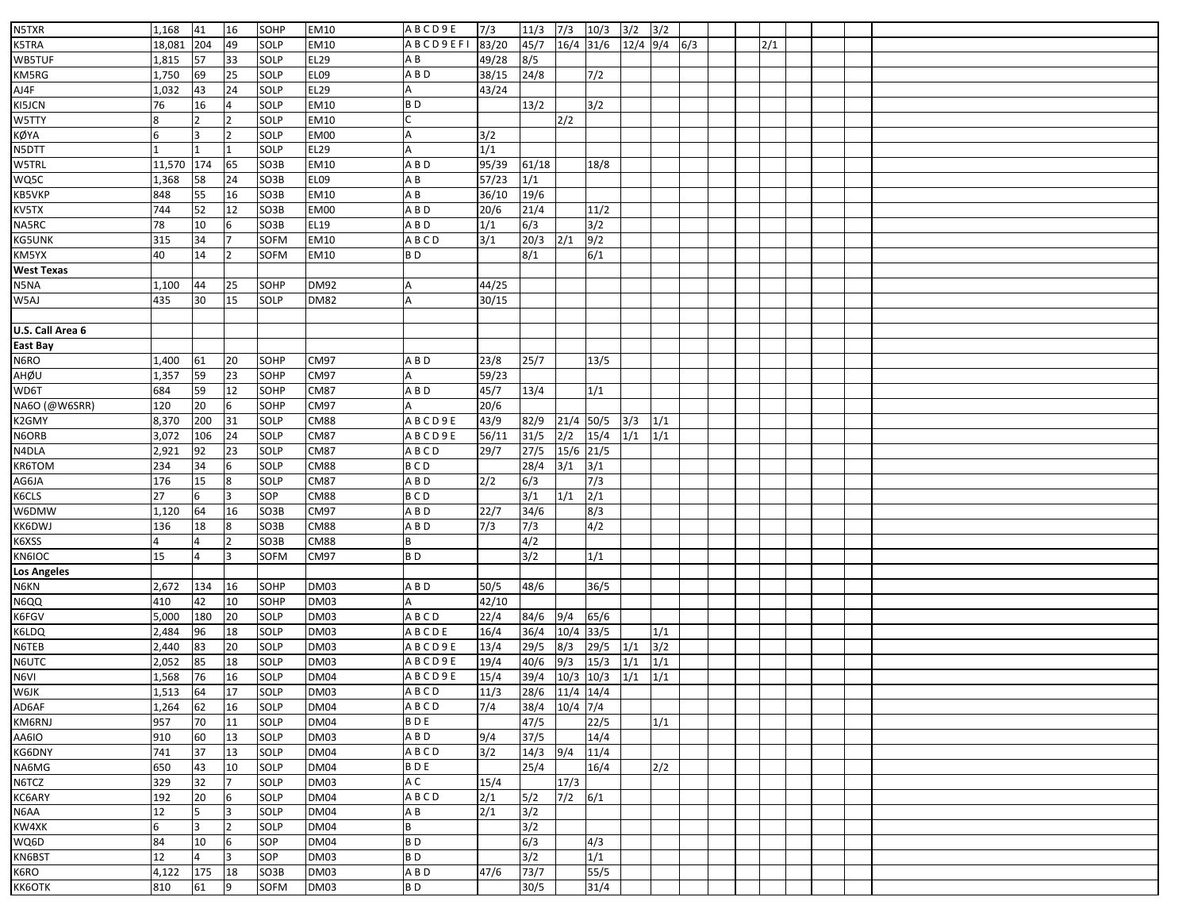| N5TXR              | 1,168          | 41            | 16             | SOHP         | <b>EM10</b>         | ABCD9E          | 7/3            | 11/3           | 7/3           | 10/3                     | $3/2$ $3/2$    |                          |  |     |  |  |
|--------------------|----------------|---------------|----------------|--------------|---------------------|-----------------|----------------|----------------|---------------|--------------------------|----------------|--------------------------|--|-----|--|--|
| K5TRA              | 18,081         | 204           | 49             | SOLP         | EM10                | <b>ABCD9EFI</b> | 83/20          | 45/7           | $16/4$ 31/6   |                          | $12/4$ 9/4 6/3 |                          |  | 2/1 |  |  |
| WB5TUF             | 1,815          | 57            | 33             | SOLP         | EL29                | ΑB              | 49/28          | 8/5            |               |                          |                |                          |  |     |  |  |
| KM5RG              | 1,750          | 69            | 25             | SOLP         | EL09                | A B D           | 38/15          | 24/8           |               | 7/2                      |                |                          |  |     |  |  |
| AJ4F               | 1,032          | 43            | 24             | SOLP         | EL29                |                 | 43/24          |                |               |                          |                |                          |  |     |  |  |
| KI5JCN             | 76             | 16            |                | SOLP         | EM10                | B <sub>D</sub>  |                | 13/2           |               | 3/2                      |                |                          |  |     |  |  |
| W5TTY              | 8              | $\mathcal{P}$ |                | SOLP         | EM10                |                 |                |                | 2/2           |                          |                |                          |  |     |  |  |
| KØYA               | 6              | 3             |                | SOLP         | EM00                |                 | 3/2            |                |               |                          |                |                          |  |     |  |  |
| N5DTT              |                |               |                | SOLP         | EL29                |                 | 1/1            |                |               |                          |                |                          |  |     |  |  |
| W5TRL              | 11,570         | 174           | 65             | SO3B         | EM10                | A B D           | 95/39          | 61/18          |               | 18/8                     |                |                          |  |     |  |  |
| WQ5C               | 1,368          | 58            | 24             | SO3B         | EL09                | ΑB              | 57/23          | 1/1            |               |                          |                |                          |  |     |  |  |
| KB5VKP             | 848            | 55            | 16             | SO3B         | <b>EM10</b>         | A B             | 36/10          | 19/6           |               |                          |                |                          |  |     |  |  |
| KV5TX              | 744            | 52            | 12             | SO3B         | <b>EM00</b>         | $\overline{AB}$ | 20/6           | 21/4           |               | 11/2                     |                |                          |  |     |  |  |
| NA5RC              | 78             | 10            |                | SO3B         | <b>EL19</b>         | ABD             | 1/1            | 6/3            |               | 3/2                      |                |                          |  |     |  |  |
| KG5UNK             | 315            | 34            |                | <b>SOFM</b>  | <b>EM10</b>         | ABCD            | 3/1            | 20/3           | 2/1           | 9/2                      |                |                          |  |     |  |  |
| KM5YX              | 40             | 14            |                | SOFM         | EM10                | BD              |                | 8/1            |               | 6/1                      |                |                          |  |     |  |  |
| <b>West Texas</b>  |                |               |                |              |                     |                 |                |                |               |                          |                |                          |  |     |  |  |
| N5NA               | 1,100          | 44            | 25             | SOHP         | <b>DM92</b>         |                 | 44/25          |                |               |                          |                |                          |  |     |  |  |
| W5AJ               | 435            | 30            | 15             | SOLP         | <b>DM82</b>         |                 | 30/15          |                |               |                          |                |                          |  |     |  |  |
|                    |                |               |                |              |                     |                 |                |                |               |                          |                |                          |  |     |  |  |
| U.S. Call Area 6   |                |               |                |              |                     |                 |                |                |               |                          |                |                          |  |     |  |  |
| East Bay           |                |               |                |              |                     |                 |                |                |               |                          |                |                          |  |     |  |  |
| N6RO               | 1,400          | 61            | 20             | SOHP         | CM97                | A B D           | 23/8           | 25/7           |               | 13/5                     |                |                          |  |     |  |  |
| AHØU               | 1,357          | 59            | 23             | SOHP         | CM97                |                 | 59/23          |                |               |                          |                |                          |  |     |  |  |
| WD6T               | 684            | 59            | 12             | SOHP         | <b>CM87</b>         | A B D           | 45/7           | 13/4           |               | 1/1                      |                |                          |  |     |  |  |
| NA6O (@W6SRR)      | 120            | 20            |                | SOHP         | <b>CM97</b>         |                 | 20/6           |                |               |                          |                |                          |  |     |  |  |
| K2GMY              | 8,370          | 200           | 31             | SOLP         | <b>CM88</b>         | ABCD9E          | 43/9           | 82/9           | $21/4$ 50/5   |                          | 3/3            | 1/1                      |  |     |  |  |
| N6ORB              | 3,072          | 106           | 24             | SOLP         | <b>CM87</b>         | ABCD9E          | 56/11          | 31/5           | 2/2           | 15/4                     | 1/1            | 1/1                      |  |     |  |  |
| N4DLA              | 2,921          | 92            | 23             | SOLP         | <b>CM87</b>         | ABCD            | 29/7           | 27/5           | 15/6 21/5     |                          |                |                          |  |     |  |  |
| KR6TOM             | 234            | 34            | 6              | SOLP         | <b>CM88</b>         | <b>BCD</b>      |                | 28/4           | 3/1           | $\overline{\frac{3}{1}}$ |                |                          |  |     |  |  |
| AG6JA              | 176            | 15            | 8              | SOLP         | <b>CM87</b>         | A B D           | 2/2            | 6/3            |               | 7/3                      |                |                          |  |     |  |  |
| K6CLS              | 27             | 6             |                | SOP          | <b>CM88</b>         | <b>BCD</b>      |                | 3/1            | 1/1           | 2/1                      |                |                          |  |     |  |  |
| W6DMW              | 1,120          | 64            | 16             | SO3B         | CM97                | A B D           | 22/7           | 34/6           |               | 8/3                      |                |                          |  |     |  |  |
| KK6DWJ             | 136            | 18            | 8              | SO3B         | <b>CM88</b>         | A B D           | 7/3            | 7/3            |               | 4/2                      |                |                          |  |     |  |  |
| K6XSS              |                |               |                | SO3B         | <b>CM88</b>         |                 |                | 4/2            |               |                          |                |                          |  |     |  |  |
| KN6IOC             | 15             | 4             | 3              | <b>SOFM</b>  | CM97                | BD              |                | 3/2            |               | 1/1                      |                |                          |  |     |  |  |
| <b>Los Angeles</b> |                |               |                |              |                     |                 |                |                |               |                          |                |                          |  |     |  |  |
| N6KN               | 2,672          | 134           | 16             | SOHP         | <b>DM03</b>         | A B D           | 50/5           | 48/6           |               | 36/5                     |                |                          |  |     |  |  |
| N6QQ               | 410            | 42            | 10             | SOHP         | <b>DM03</b>         |                 | 42/10          |                |               |                          |                |                          |  |     |  |  |
| K6FGV              | 5,000          | 180           | 20             | SOLP         | <b>DM03</b>         | ABCD            | 22/4           | 84/6           | 9/4           | 65/6                     |                |                          |  |     |  |  |
| K6LDQ              | 2,484          | 96            | 18             | SOLP         | <b>DM03</b>         | ABCDE           | 16/4           | 36/4           | $10/4$ 33/5   |                          |                | 1/1                      |  |     |  |  |
| N6TEB              | 2,440          | 83            | 20             | SOLP         | <b>DM03</b>         | ABCD9E          | 13/4           | 29/5           | 8/3           | 29/5                     | 1/1            | $\overline{\frac{3}{2}}$ |  |     |  |  |
|                    |                |               | 18             |              |                     | ABCD9E          |                | 40/6           | 9/3           | 15/3                     | 1/1            | 1/1                      |  |     |  |  |
| N6UTC<br>N6VI      | 2,052<br>1,568 | 85<br>76      | 16             | SOLP<br>SOLP | DM03<br><b>DM04</b> | ABCD9E          | 19/4<br>15/4   | 39/4           | $10/3$ $10/3$ |                          | 1/1            | 1/1                      |  |     |  |  |
|                    | 1,513          | 64            | 17             | <b>SOLP</b>  | DM03                |                 | $\frac{11}{3}$ | 28/6 11/4 14/4 |               |                          |                |                          |  |     |  |  |
| W6JK               |                |               |                |              |                     | ABCD            |                |                |               |                          |                |                          |  |     |  |  |
| AD6AF              | 1,264          | 62<br>70      | 16             | SOLP<br>SOLP | <b>DM04</b>         | ABCD            | 7/4            | 38/4           | $10/4$ 7/4    |                          |                | 1/1                      |  |     |  |  |
| KM6RNJ             | 957            |               | 11             |              | DM04                | BDE             |                | 47/5           |               | 22/5                     |                |                          |  |     |  |  |
| AA6IO              | 910            | 60            | 13             | SOLP         | DM03                | A B D           | 9/4            | 37/5           |               | 14/4                     |                |                          |  |     |  |  |
| KG6DNY             | 741            | 37            | 13             | SOLP         | <b>DM04</b>         | ABCD            | 3/2            | 14/3           | 9/4           | 11/4                     |                |                          |  |     |  |  |
| NA6MG              | 650            | 43            | 10             | SOLP         | DM04                | BDE<br>A C      |                | 25/4           |               | 16/4                     |                | 2/2                      |  |     |  |  |
| N6TCZ              | 329            | 32            |                | <b>SOLP</b>  | DM03                |                 | 15/4           |                | 17/3          |                          |                |                          |  |     |  |  |
| KC6ARY             | 192            | 20            | 6              | SOLP         | <b>DM04</b>         | ABCD            | 2/1            | 5/2            | 7/2           | 6/1                      |                |                          |  |     |  |  |
| N6AA               | 12             | 5             |                | SOLP         | <b>DM04</b>         | ΑB              | 2/1            | 3/2            |               |                          |                |                          |  |     |  |  |
| KW4XK              | 6              | 3             | $\overline{2}$ | SOLP         | <b>DM04</b>         | B               |                | 3/2            |               |                          |                |                          |  |     |  |  |
| WQ6D               | 84             | 10            | 6              | SOP          | <b>DM04</b>         | B <sub>D</sub>  |                | 6/3            |               | 4/3                      |                |                          |  |     |  |  |
| KN6BST             | 12             | 4             | Iз             | SOP          | DM03                | B <sub>D</sub>  |                | 3/2            |               | 1/1                      |                |                          |  |     |  |  |
| K6RO               | 4,122          | 175           | 18             | SO3B         | DM03                | A B D           | 47/6           | 73/7           |               | 55/5                     |                |                          |  |     |  |  |
| кк6ОТК             | 810            | 61            | 19             | <b>SOFM</b>  | DM03                | BD              |                | 30/5           |               | 31/4                     |                |                          |  |     |  |  |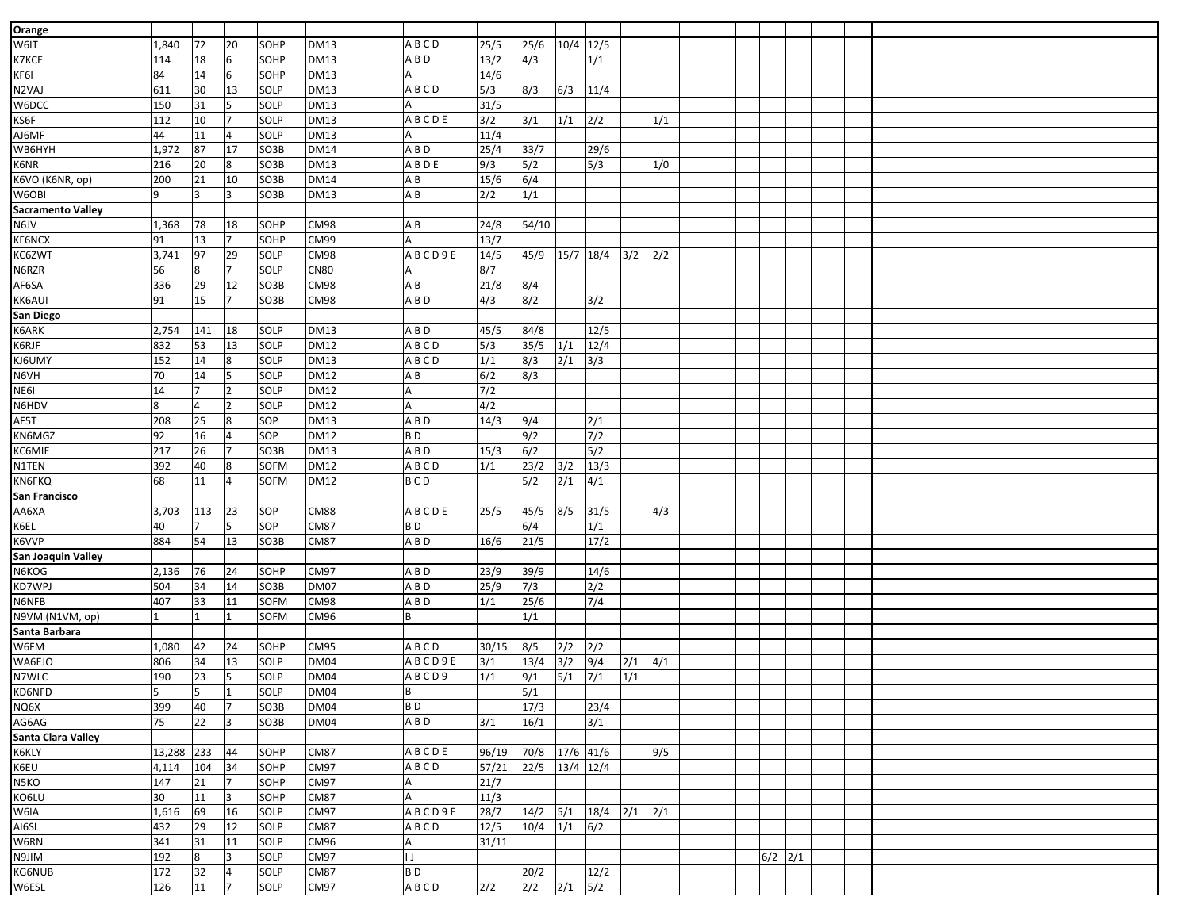| Orange                   |        |     |                |      |             |                |       |                    |                  |      |     |     |  |           |  |  |
|--------------------------|--------|-----|----------------|------|-------------|----------------|-------|--------------------|------------------|------|-----|-----|--|-----------|--|--|
| W6IT                     | 1,840  | 72  | 20             | SOHP | <b>DM13</b> | ABCD           | 25/5  | 25/6               | 10/4 12/5        |      |     |     |  |           |  |  |
| K7KCE                    | 114    | 18  | 6              | SOHP | <b>DM13</b> | A B D          | 13/2  | 4/3                |                  | 1/1  |     |     |  |           |  |  |
| KF6I                     | 84     | 14  | 6              | SOHP | <b>DM13</b> |                | 14/6  |                    |                  |      |     |     |  |           |  |  |
| N2VAJ                    | 611    | 30  | 13             | SOLP | <b>DM13</b> | ABCD           | 5/3   | 8/3                | 6/3              | 11/4 |     |     |  |           |  |  |
| W6DCC                    | 150    | 31  |                | SOLP | <b>DM13</b> |                | 31/5  |                    |                  |      |     |     |  |           |  |  |
| KS6F                     | 112    | 10  | $\overline{7}$ | SOLP | <b>DM13</b> | ABCDE          | 3/2   | 3/1                | 1/1              | 2/2  |     | 1/1 |  |           |  |  |
| AJ6MF                    | 44     | 11  |                | SOLP | <b>DM13</b> |                | 11/4  |                    |                  |      |     |     |  |           |  |  |
| WB6HYH                   | 1,972  | 87  | 17             | SO3B | <b>DM14</b> | A B D          | 25/4  | 33/7               |                  | 29/6 |     |     |  |           |  |  |
| K6NR                     | 216    | 20  | 8              | SO3B | <b>DM13</b> | ABDE           | 9/3   | 5/2                |                  | 5/3  |     | 1/0 |  |           |  |  |
| K6VO (K6NR, op)          | 200    | 21  | 10             | SO3B | <b>DM14</b> | A B            | 15/6  | 6/4                |                  |      |     |     |  |           |  |  |
| W6OBI                    | 9      | 3   | R              | SO3B | <b>DM13</b> | AB             | 2/2   | 1/1                |                  |      |     |     |  |           |  |  |
| <b>Sacramento Valley</b> |        |     |                |      |             |                |       |                    |                  |      |     |     |  |           |  |  |
| N6JV                     | 1,368  | 78  | 18             | SOHP | CM98        | A B            | 24/8  | 54/10              |                  |      |     |     |  |           |  |  |
| KF6NCX                   | 91     | 13  |                | SOHP | CM99        |                | 13/7  |                    |                  |      |     |     |  |           |  |  |
| KC6ZWT                   | 3,741  | 97  | 29             | SOLP | CM98        | ABCD9E         | 14/5  | 45/9               | 15/7 18/4        |      | 3/2 | 2/2 |  |           |  |  |
| N6RZR                    | 56     | 8   |                | SOLP | <b>CN80</b> |                | 8/7   |                    |                  |      |     |     |  |           |  |  |
| AF6SA                    | 336    | 29  | 12             | SO3B | CM98        | A B            | 21/8  | 8/4                |                  |      |     |     |  |           |  |  |
| KK6AUI                   | 91     | 15  | $\overline{7}$ | SO3B | CM98        | ABD            | 4/3   | 8/2                |                  | 3/2  |     |     |  |           |  |  |
| San Diego                |        |     |                |      |             |                |       |                    |                  |      |     |     |  |           |  |  |
| K6ARK                    | 2,754  | 141 | 18             | SOLP | <b>DM13</b> | A B D          | 45/5  | 84/8               |                  | 12/5 |     |     |  |           |  |  |
| K6RJF                    | 832    | 53  | 13             | SOLP | <b>DM12</b> | ABCD           | 5/3   | 35/5               | 1/1              | 12/4 |     |     |  |           |  |  |
| KJ6UMY                   | 152    | 14  | 8              | SOLP | <b>DM13</b> | ABCD           | 1/1   | 8/3                | 2/1              | 3/3  |     |     |  |           |  |  |
| N6VH                     | 70     | 14  | 5              | SOLP | <b>DM12</b> | A B            | 6/2   | 8/3                |                  |      |     |     |  |           |  |  |
| NE6I                     | 14     | 7   |                | SOLP | <b>DM12</b> |                | 7/2   |                    |                  |      |     |     |  |           |  |  |
| N6HDV                    | 8      | 4   |                | SOLP | <b>DM12</b> |                | 4/2   |                    |                  |      |     |     |  |           |  |  |
| AF5T                     | 208    | 25  | 8              | SOP  | <b>DM13</b> | ABD            | 14/3  | 9/4                |                  | 2/1  |     |     |  |           |  |  |
| KN6MGZ                   | 92     | 16  |                | SOP  | <b>DM12</b> | BD             |       | 9/2                |                  | 7/2  |     |     |  |           |  |  |
| KC6MIE                   | 217    | 26  |                | SO3B | <b>DM13</b> | ABD            | 15/3  | 6/2                |                  | 5/2  |     |     |  |           |  |  |
| N1TEN                    | 392    | 40  | 8              | SOFM | <b>DM12</b> | ABCD           | 1/1   | 23/2               | 3/2              | 13/3 |     |     |  |           |  |  |
| KN6FKQ                   | 68     | 11  |                | SOFM | <b>DM12</b> | <b>BCD</b>     |       | 5/2                | $\overline{2/1}$ | 4/1  |     |     |  |           |  |  |
| San Francisco            |        |     |                |      |             |                |       |                    |                  |      |     |     |  |           |  |  |
| AA6XA                    | 3,703  | 113 | 23             | SOP  | <b>CM88</b> | ABCDE          | 25/5  | 45/5               | 8/5              | 31/5 |     | 4/3 |  |           |  |  |
| K6EL                     | 40     |     |                | SOP  | <b>CM87</b> | B <sub>D</sub> |       | 6/4                |                  | 1/1  |     |     |  |           |  |  |
| K6VVP                    | 884    | 54  | 13             | SO3B | <b>CM87</b> | A B D          | 16/6  | 21/5               |                  | 17/2 |     |     |  |           |  |  |
| San Joaquin Valley       |        |     |                |      |             |                |       |                    |                  |      |     |     |  |           |  |  |
| N6KOG                    | 2,136  | 76  | 24             | SOHP | <b>CM97</b> | A B D          | 23/9  | 39/9               |                  | 14/6 |     |     |  |           |  |  |
| KD7WPJ                   | 504    | 34  | 14             | SO3B | <b>DM07</b> | ABD            | 25/9  | 7/3                |                  | 2/2  |     |     |  |           |  |  |
| N6NFB                    | 407    | 33  | 11             | SOFM | CM98        | ABD            | 1/1   | 25/6               |                  | 7/4  |     |     |  |           |  |  |
| N9VM (N1VM, op)          |        |     |                | SOFM | CM96        |                |       | 1/1                |                  |      |     |     |  |           |  |  |
| Santa Barbara            |        |     |                |      |             |                |       |                    |                  |      |     |     |  |           |  |  |
| W6FM                     | 1,080  | 42  | 24             | SOHP | CM95        | ABCD           | 30/15 | 8/5                | 2/2              | 2/2  |     |     |  |           |  |  |
| WA6EJO                   | 806    | 34  | 13             | SOLP | <b>DM04</b> | ABCD9E         | 3/1   | 13/4               | 3/2              | 9/4  | 2/1 | 4/1 |  |           |  |  |
| N7WLC                    | 190    | 23  | 5              | SOLP | <b>DM04</b> | ABCD9          | 1/1   | 9/1                | 5/1              | 7/1  | 1/1 |     |  |           |  |  |
| KD6NFD                   |        | 5.  | $\mathbf{1}$   | SOLP | <b>DM04</b> | B              |       | 5/1                |                  |      |     |     |  |           |  |  |
| NQ6X                     | 399    | 40  | $\overline{7}$ | SO3B | <b>DM04</b> | B <sub>D</sub> |       | 17/3               |                  | 23/4 |     |     |  |           |  |  |
| AG6AG                    | 75     | 22  | 3              | SO3B | <b>DM04</b> | A B D          | 3/1   | 16/1               |                  | 3/1  |     |     |  |           |  |  |
| Santa Clara Valley       |        |     |                |      |             |                |       |                    |                  |      |     |     |  |           |  |  |
| K6KLY                    | 13,288 | 233 | 44             | SOHP | <b>CM87</b> | ABCDE          | 96/19 | 70/8               | 17/6 41/6        |      |     | 9/5 |  |           |  |  |
| K6EU                     | 4,114  | 104 | 34             | SOHP | <b>CM97</b> | ABCD           | 57/21 | 22/5               | 13/4 12/4        |      |     |     |  |           |  |  |
| N5KO                     | 147    | 21  | $\overline{7}$ | SOHP | <b>CM97</b> |                | 21/7  |                    |                  |      |     |     |  |           |  |  |
| KO6LU                    | 30     | 11  | 3              | SOHP | <b>CM87</b> | A              | 11/3  |                    |                  |      |     |     |  |           |  |  |
| W6IA                     | 1,616  | 69  | 16             | SOLP | <b>CM97</b> | ABCD9E         | 28/7  | $14/2$ 5/1 18/4    |                  |      | 2/1 | 2/1 |  |           |  |  |
| AI6SL                    | 432    | 29  | 12             | SOLP | <b>CM87</b> | ABCD           | 12/5  | $10/4$ $1/1$ $6/2$ |                  |      |     |     |  |           |  |  |
| W6RN                     | 341    | 31  | 11             | SOLP | CM96        | A              | 31/11 |                    |                  |      |     |     |  |           |  |  |
| N9JIM                    | 192    | 8   | 3              | SOLP | CM97        | IJ             |       |                    |                  |      |     |     |  | $6/2$ 2/1 |  |  |
| KG6NUB                   | 172    | 32  | $\overline{4}$ | SOLP | <b>CM87</b> | B <sub>D</sub> |       | 20/2               |                  | 12/2 |     |     |  |           |  |  |
| W6ESL                    | 126    | 11  | $\overline{7}$ | SOLP | CM97        | <b>ABCD</b>    | 2/2   | 2/2                | $2/1$ 5/2        |      |     |     |  |           |  |  |
|                          |        |     |                |      |             |                |       |                    |                  |      |     |     |  |           |  |  |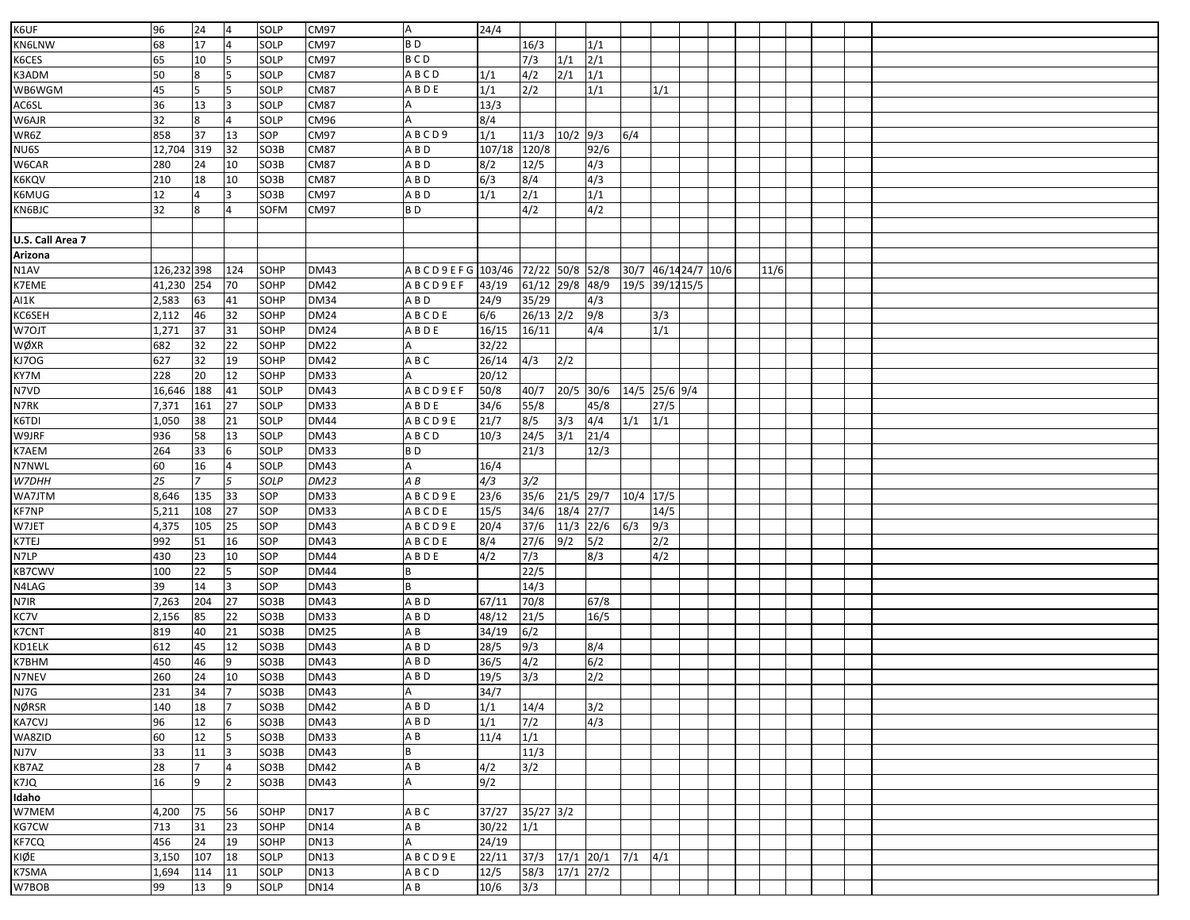| K6UF             | 96          | 24             | $\overline{4}$  | SOLP | CM97        | <b>A</b>               | 24/4          |                               |                  |                  |           |                     |  |      |  |  |
|------------------|-------------|----------------|-----------------|------|-------------|------------------------|---------------|-------------------------------|------------------|------------------|-----------|---------------------|--|------|--|--|
| KN6LNW           | 68          | 17             |                 | SOLP | CM97        | B <sub>D</sub>         |               | 16/3                          |                  | 1/1              |           |                     |  |      |  |  |
|                  |             |                |                 |      |             |                        |               |                               |                  |                  |           |                     |  |      |  |  |
| K6CES            | 65          | 10             |                 | SOLP | CM97        | <b>BCD</b>             |               | 7/3                           | 1/1              | 2/1              |           |                     |  |      |  |  |
| K3ADM            | 50          | 8              |                 | SOLP | <b>CM87</b> | <b>ABCD</b>            | 1/1           | 4/2                           | 2/1              | 1/1              |           |                     |  |      |  |  |
| WB6WGM           | 45          | 5              | 5               | SOLP | <b>CM87</b> | ABDE                   | 1/1           | $\overline{2/2}$              |                  | 1/1              |           | 1/1                 |  |      |  |  |
| AC6SL            | 36          | 13             | l3              | SOLP | <b>CM87</b> |                        | 13/3          |                               |                  |                  |           |                     |  |      |  |  |
| W6AJR            | 32          | 8              |                 | SOLP | CM96        |                        | 8/4           |                               |                  |                  |           |                     |  |      |  |  |
| WR6Z             | 858         | 37             | 13              | SOP  | CM97        | ABCD9                  | 1/1           | 11/3                          | $10/2$ 9/3       |                  | 6/4       |                     |  |      |  |  |
| NU6S             | 12,704      | 319            | 32              | SO3B | <b>CM87</b> | A B D                  | 107/18        | 120/8                         |                  | 92/6             |           |                     |  |      |  |  |
| W6CAR            | 280         | 24             | 10              | SO3B | <b>CM87</b> | ABD                    | 8/2           | 12/5                          |                  | 4/3              |           |                     |  |      |  |  |
| K6KQV            | 210         | 18             | 10              | SO3B | <b>CM87</b> | ABD                    | 6/3           | 8/4                           |                  | 4/3              |           |                     |  |      |  |  |
| K6MUG            | 12          | 4              | 3               | SO3B | CM97        | A B D                  | 1/1           | 2/1                           |                  | $\overline{1/1}$ |           |                     |  |      |  |  |
| KN6BJC           | 32          | 8              |                 | SOFM | CM97        | B <sub>D</sub>         |               | 4/2                           |                  | 4/2              |           |                     |  |      |  |  |
|                  |             |                |                 |      |             |                        |               |                               |                  |                  |           |                     |  |      |  |  |
| U.S. Call Area 7 |             |                |                 |      |             |                        |               |                               |                  |                  |           |                     |  |      |  |  |
| Arizona          |             |                |                 |      |             |                        |               |                               |                  |                  |           |                     |  |      |  |  |
| N1AV             | 126,232 398 |                | 124             | SOHP | DM43        | A B C D 9 E F G 103/46 |               | 72/22 50/8 52/8               |                  |                  |           | 30/7 46/1424/7 10/6 |  | 11/6 |  |  |
| K7EME            | 41,230      | 254            | 70              | SOHP | <b>DM42</b> | ABCD9EF                | 43/19         | 61/12 29/8 48/9               |                  |                  |           | 19/5 39/12 15/5     |  |      |  |  |
| AI1K             | 2,583       | 63             | 41              | SOHP | <b>DM34</b> | A B D                  | 24/9          | 35/29                         |                  | 4/3              |           |                     |  |      |  |  |
| KC6SEH           | 2,112       | 46             | 32              | SOHP | <b>DM24</b> | ABCDE                  | 6/6           | $26/13$ $2/2$                 |                  | 9/8              |           | 3/3                 |  |      |  |  |
| W7OJT            | 1,271       | 37             | 31              | SOHP | <b>DM24</b> | ABDE                   | 16/15         | 16/11                         |                  | 4/4              |           | 1/1                 |  |      |  |  |
| WØXR             | 682         | 32             | $\overline{22}$ | SOHP | <b>DM22</b> |                        | 32/22         |                               |                  |                  |           |                     |  |      |  |  |
|                  | 627         | 32             | 19              | SOHP | <b>DM42</b> |                        |               |                               | $\overline{2/2}$ |                  |           |                     |  |      |  |  |
| KJ7OG            |             |                |                 |      |             | A B C                  | 26/14         | 4/3                           |                  |                  |           |                     |  |      |  |  |
| KY7M             | 228         | 20             | 12              | SOHP | <b>DM33</b> |                        | 20/12         |                               |                  |                  |           |                     |  |      |  |  |
| N7VD             | 16,646      | 188            | 41              | SOLP | <b>DM43</b> | <b>ABCD9EF</b>         | 50/8          | 40/7                          | 20/5 30/6        |                  |           | 14/5 25/6 9/4       |  |      |  |  |
| N7RK             | 7,371       | 161            | 27              | SOLP | <b>DM33</b> | <b>ABDE</b>            | 34/6          | 55/8                          |                  | 45/8             |           | 27/5                |  |      |  |  |
| K6TDI            | 1,050       | 38             | 21              | SOLP | <b>DM44</b> | ABCD9E                 | 21/7          | 8/5                           | 3/3              | 4/4              | 1/1       | 1/1                 |  |      |  |  |
| W9JRF            | 936         | 58             | 13              | SOLP | <b>DM43</b> | ABCD                   | 10/3          | 24/5                          | 3/1              | 21/4             |           |                     |  |      |  |  |
| K7AEM            | 264         | 33             | 6               | SOLP | <b>DM33</b> | BD                     |               | 21/3                          |                  | 12/3             |           |                     |  |      |  |  |
| N7NWL            | 60          | 16             | $\overline{4}$  | SOLP | <b>DM43</b> |                        | 16/4          |                               |                  |                  |           |                     |  |      |  |  |
| W7DHH            | 25          | $\overline{7}$ | $\overline{5}$  | SOLP | <b>DM23</b> | A B                    | 4/3           | 3/2                           |                  |                  |           |                     |  |      |  |  |
| WA7JTM           | 8,646       | 135            | 33              | SOP  | <b>DM33</b> | ABCD9E                 | 23/6          | 35/6                          | 21/5 29/7        |                  | 10/4 17/5 |                     |  |      |  |  |
| <b>KF7NP</b>     | 5,211       | 108            | 27              | SOP  | <b>DM33</b> | ABCDE                  | 15/5          | 34/6                          | 18/4 27/7        |                  |           | 14/5                |  |      |  |  |
| W7JET            | 4,375       | 105            | 25              | SOP  | <b>DM43</b> | ABCD9E                 | 20/4          | 37/6                          | $11/3$ 22/6      |                  | 6/3       | 9/3                 |  |      |  |  |
| K7TEJ            | 992         | 51             | 16              | SOP  | <b>DM43</b> | ABCDE                  | 8/4           | 27/6                          | 9/2              | 5/2              |           | 2/2                 |  |      |  |  |
| N7LP             | 430         | 23             | 10              | SOP  | <b>DM44</b> | ABDE                   | 4/2           | 7/3                           |                  | 8/3              |           | 4/2                 |  |      |  |  |
| <b>KB7CWV</b>    | 100         | 22             | 5               | SOP  | <b>DM44</b> |                        |               | 22/5                          |                  |                  |           |                     |  |      |  |  |
| N4LAG            | 39          | 14             | 3               | SOP  | <b>DM43</b> | B                      |               | 14/3                          |                  |                  |           |                     |  |      |  |  |
| N7IR             | 7,263       | 204            | 27              | SO3B | <b>DM43</b> | A B D                  | 67/11         | 70/8                          |                  | 67/8             |           |                     |  |      |  |  |
| KC7V             | 2,156       | 85             | 22              | SO3B | <b>DM33</b> | A B D                  | 48/12         | 21/5                          |                  | 16/5             |           |                     |  |      |  |  |
| K7CNT            | 819         | 40             | 21              | SO3B | <b>DM25</b> | A B                    | 34/19         | 6/2                           |                  |                  |           |                     |  |      |  |  |
| KD1ELK           | 612         | 45             | 12              | SO3B | <b>DM43</b> | A B D                  | 28/5          | 9/3                           |                  | 8/4              |           |                     |  |      |  |  |
| K7BHM            | 450         | 46             |                 | SO3B | <b>DM43</b> | A B D                  | 36/5          | 4/2                           |                  | 6/2              |           |                     |  |      |  |  |
| N7NEV            | 260         | 24             | 10              | SO3B | <b>DM43</b> | A B D                  | 19/5          | $\overline{\left 3/3\right }$ |                  | $\sqrt{2}/2$     |           |                     |  |      |  |  |
| NJ7G             | 231         | 34             | 17              | SO3B | <b>DM43</b> |                        | 34/7          |                               |                  |                  |           |                     |  |      |  |  |
| <b>NØRSR</b>     | 140         | 18             | 7               | SO3B | DM42        | $\mathbf{H}$<br>A B D  | 1/1           | 14/4                          |                  | 3/2              |           |                     |  |      |  |  |
| KA7CVJ           | 96          | 12             | 6               | SO3B | DM43        | $\overline{AB}$        | 1/1           | 7/2                           |                  | 4/3              |           |                     |  |      |  |  |
|                  |             | 12             | 5               | SO3B |             |                        | 11/4          | 1/1                           |                  |                  |           |                     |  |      |  |  |
| WA8ZID<br>NJ7V   | 60<br>33    | 11             |                 | SO3B | <b>DM33</b> | A B<br>B               |               |                               |                  |                  |           |                     |  |      |  |  |
|                  |             |                | 3               |      | <b>DM43</b> |                        |               | 11/3                          |                  |                  |           |                     |  |      |  |  |
| KB7AZ            | 28          | $\overline{7}$ | 4               | SO3B | DM42        | A B                    | 4/2           | 3/2                           |                  |                  |           |                     |  |      |  |  |
| K7JQ             | 16          | 9              | <b>2</b>        | SO3B | DM43        |                        | 9/2           |                               |                  |                  |           |                     |  |      |  |  |
| Idaho            |             |                |                 |      |             |                        |               |                               |                  |                  |           |                     |  |      |  |  |
| W7MEM            | 4,200       | 75             | 56              | SOHP | <b>DN17</b> | A B C                  | 37/27         | $35/27$ $3/2$                 |                  |                  |           |                     |  |      |  |  |
| KG7CW            | 713         | 31             | 23              | SOHP | <b>DN14</b> | A B                    | $30/22$ $1/1$ |                               |                  |                  |           |                     |  |      |  |  |
| KF7CQ            | 456         | 24             | 19              | SOHP | <b>DN13</b> |                        | 24/19         |                               |                  |                  |           |                     |  |      |  |  |
| KIØE             | 3,150       | 107            | 18              | SOLP | <b>DN13</b> | ABCD9E                 | 22/11         | 37/3                          | 17/1 20/1        |                  | $7/1$ 4/1 |                     |  |      |  |  |
| K7SMA            | 1,694       | 114            | 11              | SOLP | <b>DN13</b> | ABCD                   | 12/5          | 58/3                          | $17/1$ $27/2$    |                  |           |                     |  |      |  |  |
| W7BOB            | 99          | 13             | 9               | SOLP | <b>DN14</b> | AB                     | 10/6          | 3/3                           |                  |                  |           |                     |  |      |  |  |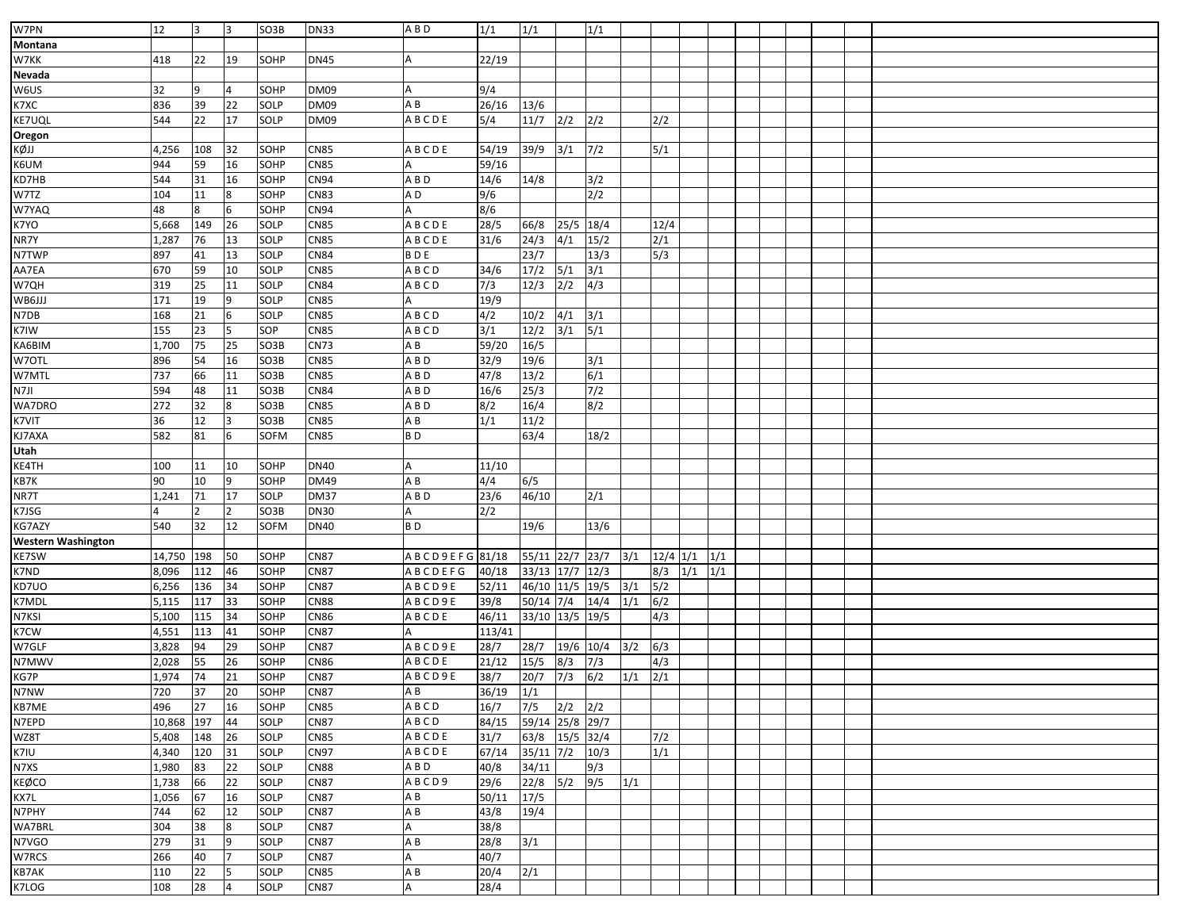| W7PN                      | 12         | 3   | Iз             | SO3B        | <b>DN33</b> | A B D                 | 1/1           | 1/1             |              | 1/1              |     |            |     |     |  |  |  |
|---------------------------|------------|-----|----------------|-------------|-------------|-----------------------|---------------|-----------------|--------------|------------------|-----|------------|-----|-----|--|--|--|
|                           |            |     |                |             |             |                       |               |                 |              |                  |     |            |     |     |  |  |  |
| Montana                   |            |     |                |             |             |                       |               |                 |              |                  |     |            |     |     |  |  |  |
| W7KK                      | 418        | 22  | 19             | SOHP        | <b>DN45</b> | Α                     | 22/19         |                 |              |                  |     |            |     |     |  |  |  |
| Nevada                    |            |     |                |             |             |                       |               |                 |              |                  |     |            |     |     |  |  |  |
| W6US                      | 32         | 9   | $\overline{4}$ | SOHP        | <b>DM09</b> | Α                     | 9/4           |                 |              |                  |     |            |     |     |  |  |  |
| K7XC                      | 836        | 39  | 22             | SOLP        | <b>DM09</b> | A B                   | 26/16         | 13/6            |              |                  |     |            |     |     |  |  |  |
| KE7UQL                    | 544        | 22  | 17             | <b>SOLP</b> | <b>DM09</b> | ABCDE                 | 5/4           | 11/7            | 2/2          | 2/2              |     | 2/2        |     |     |  |  |  |
| Oregon                    |            |     |                |             |             |                       |               |                 |              |                  |     |            |     |     |  |  |  |
| KØJJ                      | 4,256      | 108 | 32             | SOHP        | <b>CN85</b> | ABCDE                 | 54/19         | 39/9            | 3/1          | 7/2              |     | 5/1        |     |     |  |  |  |
| K6UM                      | 944        | 59  | 16             | SOHP        | <b>CN85</b> |                       | 59/16         |                 |              |                  |     |            |     |     |  |  |  |
| KD7HB                     | 544        | 31  | 16             | SOHP        | CN94        | ABD                   | 14/6          | 14/8            |              | 3/2              |     |            |     |     |  |  |  |
| W7TZ                      | 104        | 11  | 8              | SOHP        | <b>CN83</b> | A D                   | 9/6           |                 |              | $\sqrt{2}/2$     |     |            |     |     |  |  |  |
| W7YAQ                     | 48         | 8   | 6              | SOHP        | <b>CN94</b> |                       | 8/6           |                 |              |                  |     |            |     |     |  |  |  |
| K7YO                      | 5,668      | 149 | 26             | SOLP        | <b>CN85</b> | ABCDE                 | 28/5          | 66/8            | 25/5 18/4    |                  |     | 12/4       |     |     |  |  |  |
| NR7Y                      | 1,287      | 76  | 13             | <b>SOLP</b> | <b>CN85</b> | ABCDE                 | 31/6          | 24/3            | 4/1          | 15/2             |     | 2/1        |     |     |  |  |  |
| N7TWP                     | 897        | 41  | 13             | <b>SOLP</b> | <b>CN84</b> | <b>BDE</b>            |               | 23/7            |              | 13/3             |     | 5/3        |     |     |  |  |  |
| AA7EA                     | 670        | 59  | 10             | SOLP        | <b>CN85</b> | <b>ABCD</b>           | 34/6          | 17/2            | 5/1          | 3/1              |     |            |     |     |  |  |  |
| W7QH                      | 319        | 25  | 11             | SOLP        | <b>CN84</b> | ABCD                  | 7/3           | 12/3            | $\sqrt{2/2}$ | 4/3              |     |            |     |     |  |  |  |
| WB6JJJ                    | 171        | 19  | 9              | <b>SOLP</b> | <b>CN85</b> |                       | 19/9          |                 |              |                  |     |            |     |     |  |  |  |
| N7DB                      | 168        | 21  | 6              | SOLP        | <b>CN85</b> | <b>ABCD</b>           | 4/2           | 10/2            | 4/1          | 3/1              |     |            |     |     |  |  |  |
| K7IW                      | 155        | 23  | l5             | SOP         | <b>CN85</b> | ABCD                  | 3/1           | 12/2            | 3/1          | 5/1              |     |            |     |     |  |  |  |
| KA6BIM                    | 1,700      | 75  | 25             | SO3B        | <b>CN73</b> | A B                   | 59/20         | 16/5            |              |                  |     |            |     |     |  |  |  |
| W7OTL                     | 896        | 54  | 16             | SO3B        | <b>CN85</b> | ABD                   | 32/9          | 19/6            |              | 3/1              |     |            |     |     |  |  |  |
| W7MTL                     | 737        | 66  | 11             | SO3B        | <b>CN85</b> | ABD                   | 47/8          | 13/2            |              | 6/1              |     |            |     |     |  |  |  |
| N7JI                      | 594        | 48  | 11             | SO3B        | <b>CN84</b> | ABD                   | 16/6          | 25/3            |              | 7/2              |     |            |     |     |  |  |  |
| WA7DRO                    | 272        | 32  | 8              | SO3B        | <b>CN85</b> | ABD                   | 8/2           | 16/4            |              | 8/2              |     |            |     |     |  |  |  |
| K7VIT                     | 36         | 12  | Iз             | SO3B        | <b>CN85</b> | A B                   | 1/1           | 11/2            |              |                  |     |            |     |     |  |  |  |
| KJ7AXA                    | 582        | 81  | 6              | SOFM        | <b>CN85</b> | B <sub>D</sub>        |               | 63/4            |              | 18/2             |     |            |     |     |  |  |  |
| Utah                      |            |     |                |             |             |                       |               |                 |              |                  |     |            |     |     |  |  |  |
| KE4TH                     | 100        | 11  | 10             | SOHP        | <b>DN40</b> |                       | 11/10         |                 |              |                  |     |            |     |     |  |  |  |
| KB7K                      | 90         | 10  | 9              | SOHP        | <b>DM49</b> | AB                    | 4/4           | 6/5             |              |                  |     |            |     |     |  |  |  |
| NR7T                      | 1,241      | 71  | 17             | SOLP        | <b>DM37</b> | ABD                   | 23/6          | 46/10           |              | 2/1              |     |            |     |     |  |  |  |
| K7JSG                     |            |     | 2              | SO3B        | <b>DN30</b> |                       | 2/2           |                 |              |                  |     |            |     |     |  |  |  |
| KG7AZY                    | 540        | 32  | 12             | SOFM        | <b>DN40</b> | B <sub>D</sub>        |               | 19/6            |              | 13/6             |     |            |     |     |  |  |  |
| <b>Western Washington</b> |            |     |                |             |             |                       |               |                 |              |                  |     |            |     |     |  |  |  |
| KE7SW                     | 14,750     | 198 | 50             | SOHP        | <b>CN87</b> | A B C D 9 E F G 81/18 |               | 55/11 22/7 23/7 |              |                  | 3/1 | $12/4$ 1/1 |     | 1/1 |  |  |  |
| K7ND                      | 8,096      | 112 | 46             | SOHP        | <b>CN87</b> | <b>ABCDEFG</b>        | 40/18         | 33/13           | 17/7         | 12/3             |     | 8/3        | 1/1 | 1/1 |  |  |  |
| KD7UO                     | 6,256      | 136 | 34             | SOHP        | <b>CN87</b> | ABCD9E                | 52/11         | 46/10 11/5 19/5 |              |                  | 3/1 | 5/2        |     |     |  |  |  |
| K7MDL                     | 5,115      | 117 | 33             | SOHP        | <b>CN88</b> | ABCD9E                | 39/8          | $50/14$ 7/4     |              | 14/4             | 1/1 | 6/2        |     |     |  |  |  |
| N7KSI                     | 5,100      | 115 | 34             | SOHP        | <b>CN86</b> | ABCDE                 | 46/11         | 33/10 13/5 19/5 |              |                  |     | 4/3        |     |     |  |  |  |
| K7CW                      | 4,551      | 113 | 41             | SOHP        | <b>CN87</b> |                       | 113/41        |                 |              |                  |     |            |     |     |  |  |  |
| W7GLF                     | 3,828      | 94  | 29             | SOHP        | <b>CN87</b> | ABCD9E                | 28/7          | 28/7            | 19/6 10/4    |                  | 3/2 | 6/3        |     |     |  |  |  |
| N7MWV                     | 2,028      | 55  | 26             | SOHP        | <b>CN86</b> | ABCDE                 | 21/12         | 15/5            | 8/3          | $\overline{7/3}$ |     | 4/3        |     |     |  |  |  |
| KG7P                      | 1,974      | 74  | 21             | SOHP        | <b>CN87</b> | ABCD9E                | 38/7          | 20/7            | $\sqrt{7/3}$ | 6/2              | 1/1 | 2/1        |     |     |  |  |  |
| N7NW                      | 720        | 37  | 20             | SOHP        | <b>CN87</b> | AB                    | $36/19$ $1/1$ |                 |              |                  |     |            |     |     |  |  |  |
| KB7ME                     | 496        | 27  | 16             | SOHP        | <b>CN85</b> | ABCD                  | 16/7          | 7/5             | 2/2          | 2/2              |     |            |     |     |  |  |  |
| N7EPD                     | 10,868 197 |     | 44             | SOLP        | <b>CN87</b> | ABCD                  | 84/15         | 59/14 25/8 29/7 |              |                  |     |            |     |     |  |  |  |
| WZ8T                      | 5,408      | 148 | 26             | SOLP        | <b>CN85</b> | ABCDE                 | 31/7          | 63/8            | $15/5$ 32/4  |                  |     | 7/2        |     |     |  |  |  |
| K7IU                      | 4,340      | 120 | 31             | SOLP        | <b>CN97</b> | ABCDE                 | 67/14         | $35/11$ 7/2     |              | 10/3             |     | 1/1        |     |     |  |  |  |
| N7XS                      | l,980      | 83  | 22             | SOLP        | <b>CN88</b> | A B D                 | 40/8          | 34/11           |              | 9/3              |     |            |     |     |  |  |  |
| <b>KEØCO</b>              | 1,738      | 66  | 22             | SOLP        | <b>CN87</b> | ABCD9                 | 29/6          | 22/8            | $5/2$ 9/5    |                  | 1/1 |            |     |     |  |  |  |
| KX7L                      | 1,056      | 67  | 16             | SOLP        | <b>CN87</b> | A B                   | 50/11         | 17/5            |              |                  |     |            |     |     |  |  |  |
| N7PHY                     | 744        | 62  | 12             | SOLP        | <b>CN87</b> | A B                   | 43/8          | 19/4            |              |                  |     |            |     |     |  |  |  |
| WA7BRL                    | 304        | 38  | 8              | SOLP        | <b>CN87</b> | Α                     | 38/8          |                 |              |                  |     |            |     |     |  |  |  |
| N7VGO                     | 279        | 31  | 9              | SOLP        | <b>CN87</b> | A B                   | 28/8          | 3/1             |              |                  |     |            |     |     |  |  |  |
| W7RCS                     | 266        | 40  | 17             | SOLP        | <b>CN87</b> | А                     | 40/7          |                 |              |                  |     |            |     |     |  |  |  |
| KB7AK                     | 110        | 22  | l5             | SOLP        | <b>CN85</b> | AB                    | 20/4          | 2/1             |              |                  |     |            |     |     |  |  |  |
| K7LOG                     | 108        | 28  | $\overline{4}$ | SOLP        | <b>CN87</b> | A                     | 28/4          |                 |              |                  |     |            |     |     |  |  |  |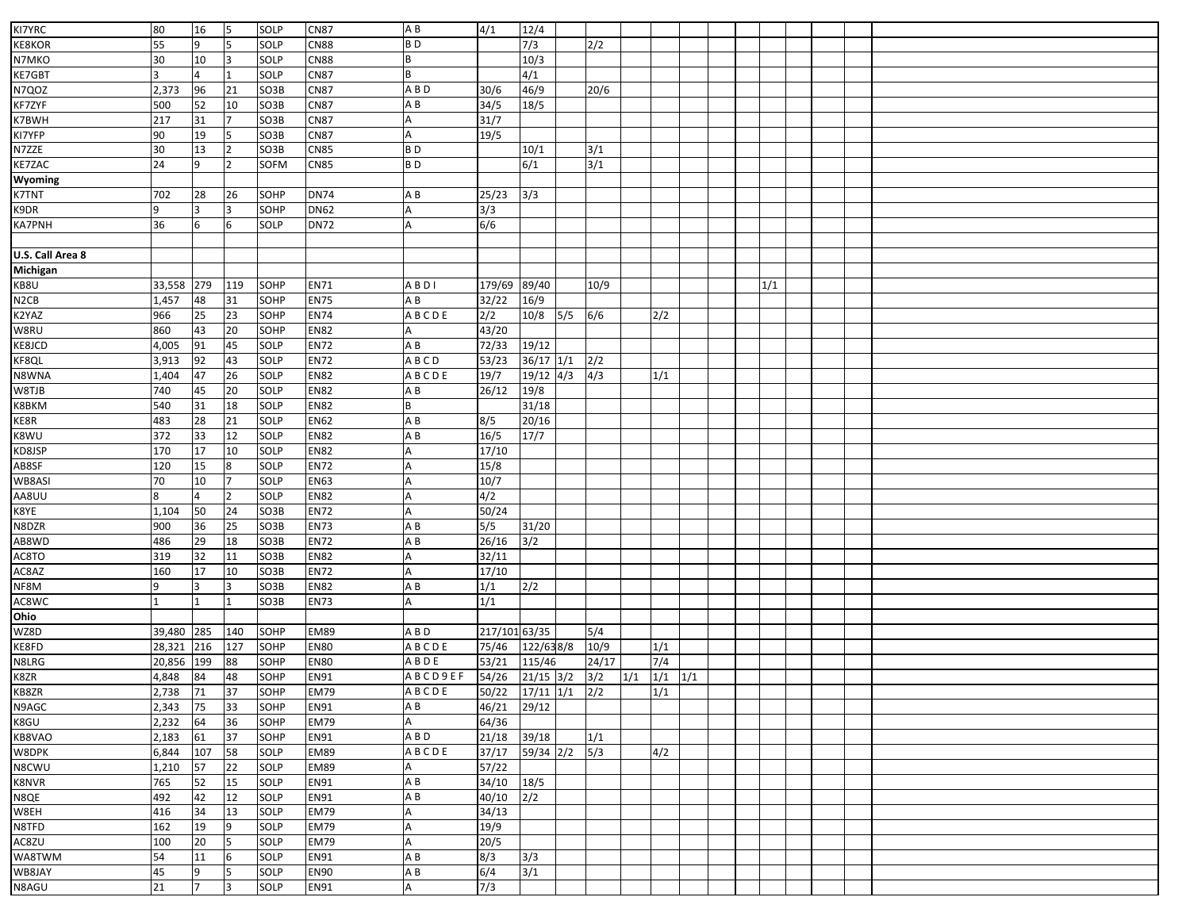| KI7YRC            | 80       | 16  | 5               | SOLP        | <b>CN87</b> | AB             | 4/1                         | 12/4             |     |       |     |             |  |     |  |  |
|-------------------|----------|-----|-----------------|-------------|-------------|----------------|-----------------------------|------------------|-----|-------|-----|-------------|--|-----|--|--|
|                   | 55       | 9   | 5               | SOLP        | <b>CN88</b> | <b>BD</b>      |                             | 7/3              |     |       |     |             |  |     |  |  |
| <b>KE8KOR</b>     |          |     |                 |             |             |                |                             |                  |     | 2/2   |     |             |  |     |  |  |
| N7MKO             | 30       | 10  | Iз              | <b>SOLP</b> | <b>CN88</b> | B              |                             | 10/3             |     |       |     |             |  |     |  |  |
| KE7GBT            |          | 4   | 1               | SOLP        | <b>CN87</b> | B              |                             | 4/1              |     |       |     |             |  |     |  |  |
| N7QOZ             | 2,373    | 96  | 21              | SO3B        | <b>CN87</b> | ABD            | 30/6                        | 46/9             |     | 20/6  |     |             |  |     |  |  |
| KF7ZYF            | 500      | 52  | 10              | SO3B        | <b>CN87</b> | AB             | 34/5                        | 18/5             |     |       |     |             |  |     |  |  |
| K7BWH             | 217      | 31  | 17              | SO3B        | <b>CN87</b> |                | 31/7                        |                  |     |       |     |             |  |     |  |  |
| KI7YFP            | 90       | 19  | 5               | SO3B        | <b>CN87</b> | A              | 19/5                        |                  |     |       |     |             |  |     |  |  |
| N7ZZE             | 30       | 13  | $\overline{2}$  | SO3B        | <b>CN85</b> | B <sub>D</sub> |                             | 10/1             |     | 3/1   |     |             |  |     |  |  |
| <b>KE7ZAC</b>     | 24       | 9   | $\overline{2}$  | SOFM        | <b>CN85</b> | B <sub>D</sub> |                             | 6/1              |     | 3/1   |     |             |  |     |  |  |
| Wyoming           |          |     |                 |             |             |                |                             |                  |     |       |     |             |  |     |  |  |
| <b>K7TNT</b>      | 702      | 28  | 26              | SOHP        | <b>DN74</b> | A B            | 25/23                       | 3/3              |     |       |     |             |  |     |  |  |
| K9DR              | 9        | 3   | l3              | SOHP        | <b>DN62</b> |                | 3/3                         |                  |     |       |     |             |  |     |  |  |
| <b>KA7PNH</b>     | 36       | 6   | 6               | SOLP        | <b>DN72</b> |                | 6/6                         |                  |     |       |     |             |  |     |  |  |
|                   |          |     |                 |             |             |                |                             |                  |     |       |     |             |  |     |  |  |
| U.S. Call Area 8  |          |     |                 |             |             |                |                             |                  |     |       |     |             |  |     |  |  |
| Michigan          |          |     |                 |             |             |                |                             |                  |     |       |     |             |  |     |  |  |
| KB8U              | 33,558   | 279 | 119             | SOHP        | <b>EN71</b> | ABDI           | 179/69                      | 89/40            |     | 10/9  |     |             |  | 1/1 |  |  |
| N <sub>2</sub> CB | 1,457    | 48  | 31              | SOHP        | <b>EN75</b> | A B            | 32/22                       | 16/9             |     |       |     |             |  |     |  |  |
| K2YAZ             | 966      | 25  | $\overline{23}$ | SOHP        | <b>EN74</b> | ABCDE          | 2/2                         | 10/8             | 5/5 | 6/6   |     | 2/2         |  |     |  |  |
| W8RU              | 860      | 43  | 20              | SOHP        | <b>EN82</b> |                | 43/20                       |                  |     |       |     |             |  |     |  |  |
| KE8JCD            | 4,005    | 91  | 45              | SOLP        | <b>EN72</b> | AB             | 72/33                       | 19/12            |     |       |     |             |  |     |  |  |
| KF8QL             | 3,913    | 92  | 43              | SOLP        | <b>EN72</b> | ABCD           | 53/23                       | $36/17$ $1/1$    |     | 2/2   |     |             |  |     |  |  |
| N8WNA             | 1,404    | 47  | 26              | SOLP        | <b>EN82</b> | ABCDE          | 19/7                        | $19/12$ 4/3      |     | 4/3   |     | 1/1         |  |     |  |  |
| W8TJB             | 740      | 45  | 20              | SOLP        | <b>EN82</b> | A B            | 26/12                       | 19/8             |     |       |     |             |  |     |  |  |
| K8BKM             | 540      | 31  | 18              | SOLP        | <b>EN82</b> | B              |                             | 31/18            |     |       |     |             |  |     |  |  |
| KE8R              | 483      | 28  | 21              | SOLP        | <b>EN62</b> | A B            | 8/5                         | 20/16            |     |       |     |             |  |     |  |  |
| K8WU              | 372      | 33  | 12              | SOLP        | <b>EN82</b> | A B            | 16/5                        | 17/7             |     |       |     |             |  |     |  |  |
|                   | 170      | 17  | 10              | SOLP        | <b>EN82</b> | Α              |                             |                  |     |       |     |             |  |     |  |  |
| KD8JSP            | 120      | 15  | 8               | SOLP        | <b>EN72</b> |                | 17/10<br>15/8               |                  |     |       |     |             |  |     |  |  |
| AB8SF             |          |     |                 |             |             |                |                             |                  |     |       |     |             |  |     |  |  |
| WB8ASI            | 70       | 10  | 17              | SOLP        | <b>EN63</b> |                | 10/7                        |                  |     |       |     |             |  |     |  |  |
| AA8UU             | 8        |     | 2               | SOLP        | <b>EN82</b> | A              | 4/2                         |                  |     |       |     |             |  |     |  |  |
| K8YE              | 1,104    | 50  | 24              | SO3B        | <b>EN72</b> |                | 50/24                       |                  |     |       |     |             |  |     |  |  |
| N8DZR             | 900      | 36  | 25              | SO3B        | <b>EN73</b> | AB             | 5/5                         | 31/20            |     |       |     |             |  |     |  |  |
| AB8WD             | 486      | 29  | 18              | SO3B        | <b>EN72</b> | AB             | 26/16                       | 3/2              |     |       |     |             |  |     |  |  |
| AC8TO             | 319      | 32  | 11              | SO3B        | <b>EN82</b> |                | 32/11                       |                  |     |       |     |             |  |     |  |  |
| AC8AZ             | 160      | 17  | 10              | SO3B        | <b>EN72</b> |                | 17/10                       |                  |     |       |     |             |  |     |  |  |
| NF8M              | 9        | 3   | 3               | SO3B        | <b>EN82</b> | A B            | 1/1                         | $\overline{2/2}$ |     |       |     |             |  |     |  |  |
| AC8WC             |          | 1   | 11              | SO3B        | <b>EN73</b> |                | 1/1                         |                  |     |       |     |             |  |     |  |  |
| Ohio              |          |     |                 |             |             |                |                             |                  |     |       |     |             |  |     |  |  |
| WZ8D              | 39,480   | 285 | 140             | SOHP        | <b>EM89</b> | A B D          | 217/101 63/35               |                  |     | 5/4   |     |             |  |     |  |  |
| KE8FD             | 28,321   | 216 | 127             | SOHP        | <b>EN80</b> | ABCDE          | 75/46                       | 122/638/8        |     | 10/9  |     | 1/1         |  |     |  |  |
| N8LRG             | 20,856   | 199 | 88              | SOHP        | <b>EN80</b> | ABDE           | 53/21                       | 115/46           |     | 24/17 |     | 7/4         |  |     |  |  |
| K8ZR              | 4,848    | 84  | 48              | SOHP        | EN91        | ABCD9EF        | 54/26                       | $21/15$ 3/2      |     | 3/2   | 1/1 | $1/1$ $1/1$ |  |     |  |  |
| KB8ZR             | 2,738 71 |     | 37              | SOHP        | <b>EM79</b> | ABCDE          | $50/22$ $17/11$ $1/1$ $2/2$ |                  |     |       |     | 1/1         |  |     |  |  |
| N9AGC             | 2,343    | 75  | 33              | SOHP        | EN91        | A B            | 46/21                       | 29/12            |     |       |     |             |  |     |  |  |
| K8GU              | 2,232    | 64  | 36              | SOHP        | <b>EM79</b> | A              | 64/36                       |                  |     |       |     |             |  |     |  |  |
| KB8VAO            | 2,183    | 61  | 37              | SOHP        | <b>EN91</b> | A B D          | 21/18                       | 39/18            |     | 1/1   |     |             |  |     |  |  |
| W8DPK             | 6,844    | 107 | 58              | SOLP        | <b>EM89</b> | ABCDE          | 37/17                       | 59/34 2/2        |     | 5/3   |     | 4/2         |  |     |  |  |
| N8CWU             | 1,210    | 57  | 22              | SOLP        | <b>EM89</b> | A              | 57/22                       |                  |     |       |     |             |  |     |  |  |
| <b>K8NVR</b>      | 765      | 52  | 15              | SOLP        | <b>EN91</b> | AB             | 34/10 18/5                  |                  |     |       |     |             |  |     |  |  |
| N8QE              | 492      | 42  | 12              | SOLP        | EN91        | A B            | 40/10                       | 2/2              |     |       |     |             |  |     |  |  |
| W8EH              | 416      | 34  | 13              | SOLP        | <b>EM79</b> | Α              | 34/13                       |                  |     |       |     |             |  |     |  |  |
| N8TFD             | 162      | 19  | 9               | SOLP        | <b>EM79</b> | A              | 19/9                        |                  |     |       |     |             |  |     |  |  |
| AC8ZU             | 100      | 20  | 5               | SOLP        | <b>EM79</b> | A              | 20/5                        |                  |     |       |     |             |  |     |  |  |
| WA8TWM            | 54       | 11  | 6               | SOLP        | EN91        | AB             | 8/3                         | 3/3              |     |       |     |             |  |     |  |  |
| WB8JAY            | 45       | 9   | I5              | SOLP        | <b>EN90</b> | AB             | 6/4                         | 3/1              |     |       |     |             |  |     |  |  |
| N8AGU             | 21       |     | 3               | SOLP        | <b>EN91</b> | Α              | 7/3                         |                  |     |       |     |             |  |     |  |  |
|                   |          |     |                 |             |             |                |                             |                  |     |       |     |             |  |     |  |  |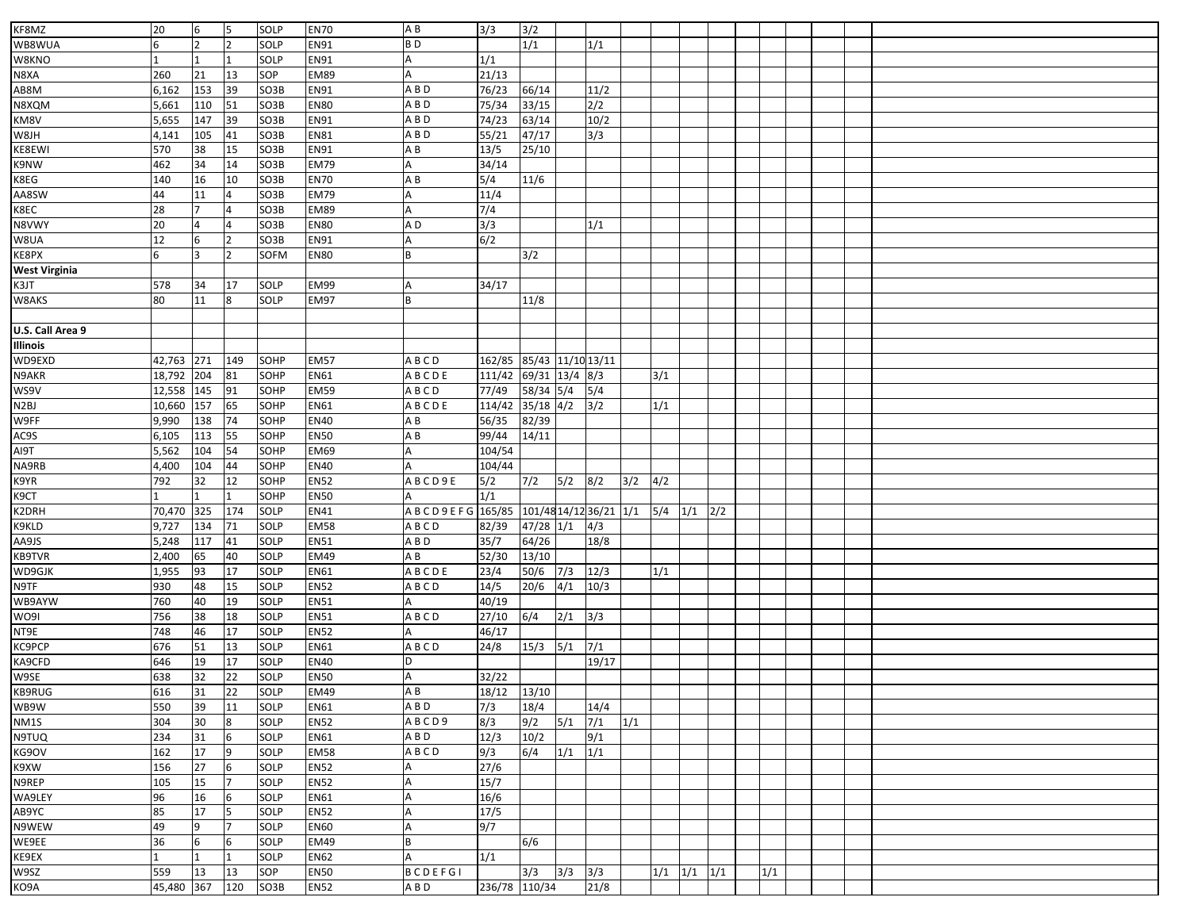| KF8MZ                | 20           | 6            | 5              | SOLP              | <b>EN70</b> | AB                     | 3/3                      | 3/2         |             |                        |             |     |                   |     |     |  |  |
|----------------------|--------------|--------------|----------------|-------------------|-------------|------------------------|--------------------------|-------------|-------------|------------------------|-------------|-----|-------------------|-----|-----|--|--|
| WB8WUA               |              |              | $\overline{2}$ | SOLP              | <b>EN91</b> | BD                     |                          | 1/1         |             | 1/1                    |             |     |                   |     |     |  |  |
| W8KNO                |              |              | 1              | SOLP              | EN91        |                        | 1/1                      |             |             |                        |             |     |                   |     |     |  |  |
| N8XA                 | 260          | 21           | 13             | SOP               | <b>EM89</b> |                        | 21/13                    |             |             |                        |             |     |                   |     |     |  |  |
| AB8M                 | 6,162        | 153          | 39             | SO <sub>3</sub> B | EN91        | A B D                  | 76/23                    | 66/14       |             | 11/2                   |             |     |                   |     |     |  |  |
| N8XQM                | 5,661        | 110          | 51             | SO3B              | <b>EN80</b> | A B D                  | 75/34                    | 33/15       |             | 2/2                    |             |     |                   |     |     |  |  |
| KM8V                 | 5,655        | 147          | 39             | SO3B              | <b>EN91</b> | ABD                    | 74/23                    | 63/14       |             | 10/2                   |             |     |                   |     |     |  |  |
| W8JH                 | 4,141        | 105          | 41             | SO3B              | <b>EN81</b> | A B D                  | 55/21                    | 47/17       |             | 3/3                    |             |     |                   |     |     |  |  |
| KE8EWI               | 570          | 38           | 15             | SO3B              | <b>EN91</b> | A B                    | 13/5                     | 25/10       |             |                        |             |     |                   |     |     |  |  |
| K9NW                 | 462          | 34           | 14             | SO3B              | <b>EM79</b> |                        | 34/14                    |             |             |                        |             |     |                   |     |     |  |  |
| K8EG                 | 140          | 16           | 10             | SO3B              | <b>EN70</b> | ΑB                     | 5/4                      | 11/6        |             |                        |             |     |                   |     |     |  |  |
| AA8SW                | 44           | 11           | 4              | SO3B              | <b>EM79</b> |                        | 11/4                     |             |             |                        |             |     |                   |     |     |  |  |
| K8EC                 | 28           |              | 4              | SO3B              | <b>EM89</b> |                        | 7/4                      |             |             |                        |             |     |                   |     |     |  |  |
| N8VWY                | 20           |              |                | SO3B              | <b>EN80</b> | A D                    | 3/3                      |             |             | 1/1                    |             |     |                   |     |     |  |  |
| W8UA                 | 12           | 6            | $\overline{2}$ | SO3B              | EN91        |                        | 6/2                      |             |             |                        |             |     |                   |     |     |  |  |
| KE8PX                | 6            |              | $\overline{2}$ | SOFM              | <b>EN80</b> |                        |                          | 3/2         |             |                        |             |     |                   |     |     |  |  |
| <b>West Virginia</b> |              |              |                |                   |             |                        |                          |             |             |                        |             |     |                   |     |     |  |  |
| K3JT                 | 578          | 34           | 17             | SOLP              | <b>EM99</b> |                        | 34/17                    |             |             |                        |             |     |                   |     |     |  |  |
| W8AKS                | 80           | 11           | 8              | SOLP              | <b>EM97</b> |                        |                          | 11/8        |             |                        |             |     |                   |     |     |  |  |
|                      |              |              |                |                   |             |                        |                          |             |             |                        |             |     |                   |     |     |  |  |
| U.S. Call Area 9     |              |              |                |                   |             |                        |                          |             |             |                        |             |     |                   |     |     |  |  |
| Illinois             |              |              |                |                   |             |                        |                          |             |             |                        |             |     |                   |     |     |  |  |
| WD9EXD               | 42,763       | 271          | 149            | SOHP              | <b>EM57</b> | ABCD                   | 162/85 85/43 11/10 13/11 |             |             |                        |             |     |                   |     |     |  |  |
| N9AKR                | 18,792       | 204          | 81             | SOHP              | <b>EN61</b> | <b>ABCDE</b>           | 111/42 69/31 13/4 8/3    |             |             |                        |             | 3/1 |                   |     |     |  |  |
| WS9V                 | 12,558       | 145          | 91             | SOHP              | <b>EM59</b> | ABCD                   | 77/49                    | 58/34 5/4   |             | 5/4                    |             |     |                   |     |     |  |  |
| N2BJ                 | 10,660       | 157          | 65             | SOHP              | <b>EN61</b> | ABCDE                  | 114/42 35/18 4/2 3/2     |             |             |                        |             | 1/1 |                   |     |     |  |  |
| W9FF                 | 9,990        | 138          | 74             | SOHP              | <b>EN40</b> | A B                    | 56/35                    | 82/39       |             |                        |             |     |                   |     |     |  |  |
| AC9S                 | 6,105        | 113          | 55             | SOHP              | <b>EN50</b> | ΑB                     | 99/44                    | 14/11       |             |                        |             |     |                   |     |     |  |  |
| AI9T                 | 5,562        | 104          | 54             | SOHP              | <b>EM69</b> |                        | 104/54                   |             |             |                        |             |     |                   |     |     |  |  |
| NA9RB                | 4,400        | 104          | 44             | SOHP              | <b>EN40</b> |                        | 104/44                   |             |             |                        |             |     |                   |     |     |  |  |
| K9YR                 | 792          | 32           | 12             | SOHP              | <b>EN52</b> | ABCD9E                 | 5/2                      | 7/2         | 5/2         | 8/2                    | $3/2$ $4/2$ |     |                   |     |     |  |  |
| K9CT                 |              |              | $\mathbf{1}$   | SOHP              | <b>EN50</b> |                        | 1/1                      |             |             |                        |             |     |                   |     |     |  |  |
| K2DRH                | 70,470       | 325          | 174            | SOLP              | <b>EN41</b> | A B C D 9 E F G 165/85 |                          |             |             | 101/48 14/12 36/21 1/1 |             | 5/4 | 1/1               | 2/2 |     |  |  |
| K9KLD                | 9,727        | 134          | $71\,$         | SOLP              | <b>EM58</b> | ABCD                   | 82/39                    | $47/28$ 1/1 |             | 4/3                    |             |     |                   |     |     |  |  |
| AA9JS                | 5,248        | 117          | 41             | SOLP              | <b>EN51</b> | A B D                  | 35/7                     | 64/26       |             | 18/8                   |             |     |                   |     |     |  |  |
| KB9TVR               | 2,400        | 65           | 40             | SOLP              | <b>EM49</b> | A B                    | 52/30                    | 13/10       |             |                        |             |     |                   |     |     |  |  |
| WD9GJK               | 1,955        | 93           | 17             | SOLP              | <b>EN61</b> | <b>ABCDE</b>           | 23/4                     | 50/6        | 7/3         | 12/3                   |             | 1/1 |                   |     |     |  |  |
| N9TF                 | 930          | 48           | 15             | SOLP              | <b>EN52</b> | ABCD                   | 14/5                     | 20/6        | 4/1         | 10/3                   |             |     |                   |     |     |  |  |
| WB9AYW               | 760          | 40           | 19             | SOLP              | <b>EN51</b> |                        | 40/19                    |             |             |                        |             |     |                   |     |     |  |  |
| WO9I                 | 756          | 38           | 18             | SOLP              | <b>EN51</b> | ABCD                   | 27/10                    | 6/4         | 2/1         | 3/3                    |             |     |                   |     |     |  |  |
| NT9E                 | 748          | 46           | 17             | SOLP              | <b>EN52</b> |                        | 46/17                    |             |             |                        |             |     |                   |     |     |  |  |
| KC9PCP               | 676          | 51           | 13             | SOLP              | <b>EN61</b> | ABCD                   | 24/8                     | 15/3        | 5/1         | 7/1                    |             |     |                   |     |     |  |  |
| KA9CFD               | 646          | 19           | 17             | SOLP              | <b>EN40</b> |                        |                          |             |             | 19/17                  |             |     |                   |     |     |  |  |
| W9SE                 | 638          | 32           | 22             | SOLP              | <b>EN50</b> |                        | 32/22                    |             |             |                        |             |     |                   |     |     |  |  |
| <b>KB9RUG</b>        | 616          | 31           | 22             | SOLP              | <b>EM49</b> | A B                    | $18/12$ $13/10$          |             |             |                        |             |     |                   |     |     |  |  |
| WB9W                 | 550          | 39           | 11             | SOLP              | <b>EN61</b> | A B D                  | 7/3                      | 18/4        |             | 14/4                   |             |     |                   |     |     |  |  |
| NM1S                 | 304          | 30           | 8              | SOLP              | <b>EN52</b> | ABCD9                  | 8/3                      | 9/2         | $5/1$ $7/1$ |                        | 1/1         |     |                   |     |     |  |  |
| N9TUQ                | 234          | 31           | 6              | SOLP              | <b>EN61</b> | A B D                  | 12/3                     | 10/2        |             | 9/1                    |             |     |                   |     |     |  |  |
| KG9OV                | 162          | 17           | 9              | SOLP              | <b>EM58</b> | ABCD                   | 9/3                      | 6/4         | $1/1$ $1/1$ |                        |             |     |                   |     |     |  |  |
| K9XW                 | 156          | 27           | 6              | SOLP              | <b>EN52</b> |                        | 27/6                     |             |             |                        |             |     |                   |     |     |  |  |
| N9REP                | 105          | 15           | $\overline{7}$ | SOLP              | <b>EN52</b> |                        | 15/7                     |             |             |                        |             |     |                   |     |     |  |  |
| WA9LEY               | 96           | 16           | 6              | SOLP              | <b>EN61</b> |                        | 16/6                     |             |             |                        |             |     |                   |     |     |  |  |
| AB9YC                | 85           | 17           | 5              | SOLP              | <b>EN52</b> |                        | 17/5                     |             |             |                        |             |     |                   |     |     |  |  |
| N9WEW                | 49           | 9            | $\overline{7}$ | SOLP              | <b>EN60</b> |                        | 9/7                      |             |             |                        |             |     |                   |     |     |  |  |
| WE9EE                | 36           | 6            | 6              | SOLP              | <b>EM49</b> |                        |                          | 6/6         |             |                        |             |     |                   |     |     |  |  |
| KE9EX                | $\mathbf{1}$ | $\mathbf{1}$ | $\mathbf{1}$   | SOLP              | <b>EN62</b> | A                      | 1/1                      |             |             |                        |             |     |                   |     |     |  |  |
| W9SZ                 | 559          | 13           | 13             | SOP               | <b>EN50</b> | <b>BCDEFGI</b>         |                          | 3/3         | $3/3$ $3/3$ |                        |             |     | $1/1$ $1/1$ $1/1$ |     | 1/1 |  |  |
| KO9A                 | 45,480 367   |              | 120            | SO3B              | <b>EN52</b> | A B D                  | 236/78 110/34            |             |             | 21/8                   |             |     |                   |     |     |  |  |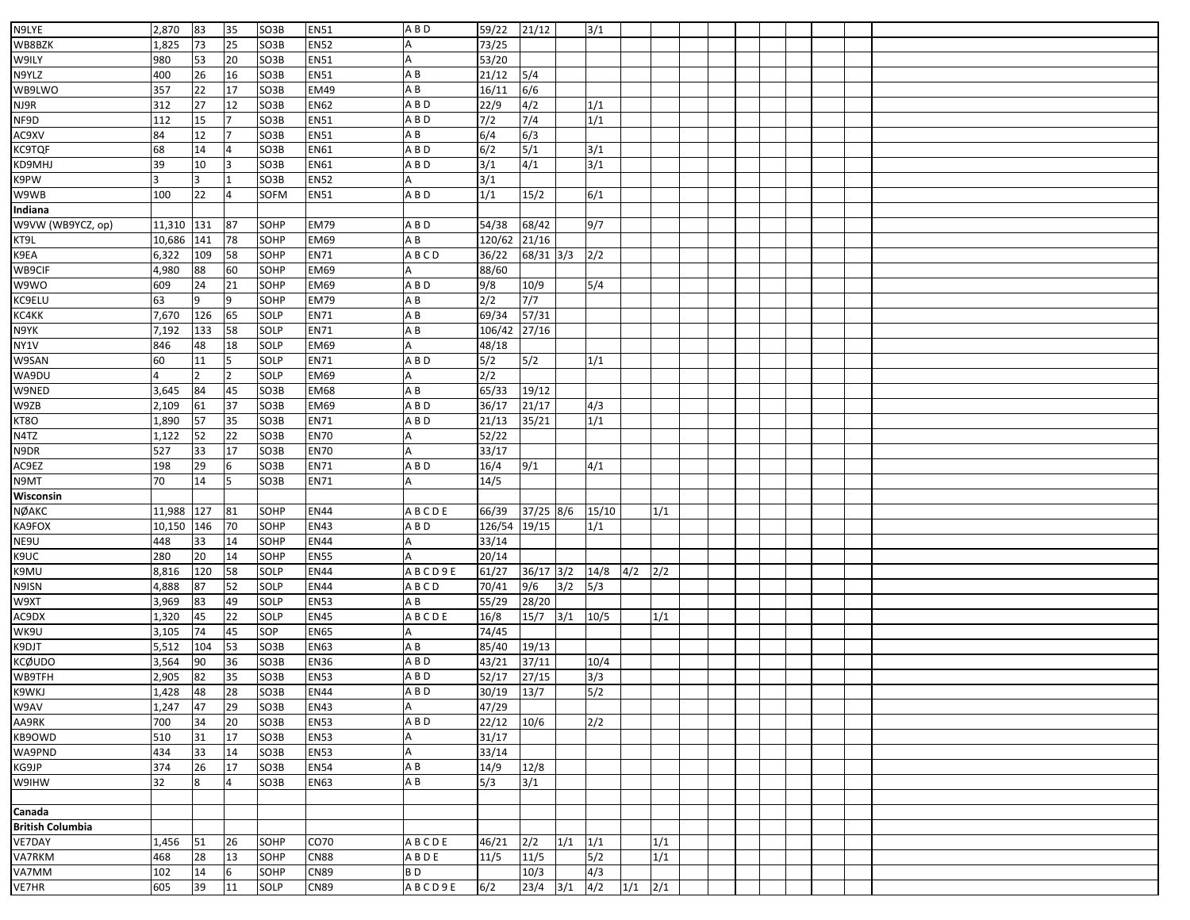| N9LYE                   | 2,870  | 83  | 35             | SO3B              | <b>EN51</b> | A B D           | 59/22                   | 21/12         |             | 3/1   |             |     |  |  |  |  |
|-------------------------|--------|-----|----------------|-------------------|-------------|-----------------|-------------------------|---------------|-------------|-------|-------------|-----|--|--|--|--|
|                         |        |     |                |                   |             |                 |                         |               |             |       |             |     |  |  |  |  |
| WB8BZK                  | 1,825  | 73  | 25             | SO3B              | <b>EN52</b> |                 | 73/25                   |               |             |       |             |     |  |  |  |  |
| W9ILY                   | 980    | 53  | 20             | SO3B              | <b>EN51</b> |                 | 53/20                   |               |             |       |             |     |  |  |  |  |
| N9YLZ                   | 400    | 26  | 16             | SO3B              | <b>EN51</b> | ΑB              | 21/12                   | 5/4           |             |       |             |     |  |  |  |  |
| WB9LWO                  | 357    | 22  | 17             | SO3B              | <b>EM49</b> | A B             | 16/11                   | 6/6           |             |       |             |     |  |  |  |  |
| NJ9R                    | 312    | 27  | 12             | SO3B              | <b>EN62</b> | A B D           | 22/9                    | 4/2           |             | 1/1   |             |     |  |  |  |  |
| NF9D                    | 112    | 15  | $\overline{7}$ | SO3B              | <b>EN51</b> | A B D           | $7/2$                   | 7/4           |             | 1/1   |             |     |  |  |  |  |
| AC9XV                   | 84     | 12  |                | SO3B              | <b>EN51</b> | A B             | 6/4                     | 6/3           |             |       |             |     |  |  |  |  |
| <b>KC9TQF</b>           | 68     | 14  | 4              | SO3B              | <b>EN61</b> | A B D           | 6/2                     | 5/1           |             | 3/1   |             |     |  |  |  |  |
| KD9MHJ                  | 39     | 10  | 3              | SO3B              | <b>EN61</b> | A B D           | 3/1                     | 4/1           |             | 3/1   |             |     |  |  |  |  |
| K9PW                    |        |     |                | SO3B              | <b>EN52</b> |                 | 3/1                     |               |             |       |             |     |  |  |  |  |
| W9WB                    | 100    | 22  | 4              | <b>SOFM</b>       | <b>EN51</b> | A B D           | 1/1                     | 15/2          |             | 6/1   |             |     |  |  |  |  |
| Indiana                 |        |     |                |                   |             |                 |                         |               |             |       |             |     |  |  |  |  |
| W9VW (WB9YCZ, op)       | 11,310 | 131 | 87             | SOHP              | <b>EM79</b> | A B D           | 54/38                   | 68/42         |             | 9/7   |             |     |  |  |  |  |
| KT9L                    | 10,686 | 141 | 78             | SOHP              | <b>EM69</b> | $\overline{AB}$ | 120/62 21/16            |               |             |       |             |     |  |  |  |  |
| K9EA                    | 6,322  | 109 | 58             | SOHP              | EN71        | ABCD            | 36/22                   | $68/31$ 3/3   |             | 2/2   |             |     |  |  |  |  |
| WB9CIF                  | 4,980  | 88  | 60             | SOHP              | <b>EM69</b> |                 | 88/60                   |               |             |       |             |     |  |  |  |  |
| W9WO                    | 609    | 24  | 21             | SOHP              | <b>EM69</b> | A B D           | 9/8                     | 10/9          |             | 5/4   |             |     |  |  |  |  |
|                         | 63     | q   | 9              |                   |             |                 | 2/2                     | 7/7           |             |       |             |     |  |  |  |  |
| KC9ELU                  |        |     |                | SOHP              | <b>EM79</b> | ΑB              |                         |               |             |       |             |     |  |  |  |  |
| KC4KK                   | 7,670  | 126 | 65             | SOLP              | <b>EN71</b> | A B             | 69/34                   | 57/31         |             |       |             |     |  |  |  |  |
| N9YK                    | 7,192  | 133 | 58             | SOLP              | <b>EN71</b> | A B             | 106/42 27/16            |               |             |       |             |     |  |  |  |  |
| NY1V                    | 846    | 48  | 18             | SOLP              | <b>EM69</b> |                 | 48/18                   |               |             |       |             |     |  |  |  |  |
| W9SAN                   | 60     | 11  | 5              | SOLP              | <b>EN71</b> | A B D           | 5/2                     | 5/2           |             | 1/1   |             |     |  |  |  |  |
| WA9DU                   |        |     | $\overline{2}$ | SOLP              | <b>EM69</b> |                 | 2/2                     |               |             |       |             |     |  |  |  |  |
| W9NED                   | 3,645  | 84  | 45             | SO3B              | <b>EM68</b> | ΑB              | 65/33                   | 19/12         |             |       |             |     |  |  |  |  |
| W9ZB                    | 2,109  | 61  | 37             | SO3B              | <b>EM69</b> | A B D           | 36/17                   | 21/17         |             | 4/3   |             |     |  |  |  |  |
| KT8O                    | 1,890  | 57  | 35             | SO3B              | <b>EN71</b> | A B D           | 21/13                   | 35/21         |             | 1/1   |             |     |  |  |  |  |
| N4TZ                    | 1,122  | 52  | 22             | SO3B              | <b>EN70</b> |                 | 52/22                   |               |             |       |             |     |  |  |  |  |
| N9DR                    | 527    | 33  | 17             | SO3B              | <b>EN70</b> |                 | 33/17                   |               |             |       |             |     |  |  |  |  |
| AC9EZ                   | 198    | 29  | 6              | SO3B              | <b>EN71</b> | A B D           | 16/4                    | 9/1           |             | 4/1   |             |     |  |  |  |  |
| N9MT                    | 70     | 14  | 5              | SO3B              | <b>EN71</b> |                 | 14/5                    |               |             |       |             |     |  |  |  |  |
| Wisconsin               |        |     |                |                   |             |                 |                         |               |             |       |             |     |  |  |  |  |
| NØAKC                   | 11,988 | 127 | 81             | SOHP              | <b>EN44</b> | <b>ABCDE</b>    | 66/39                   | 37/25 8/6     |             | 15/10 |             | 1/1 |  |  |  |  |
| KA9FOX                  | 10,150 | 146 | 70             | SOHP              | <b>EN43</b> | A B D           | 126/54                  | 19/15         |             | 1/1   |             |     |  |  |  |  |
| NE9U                    | 448    | 33  | 14             | SOHP              | <b>EN44</b> |                 | 33/14                   |               |             |       |             |     |  |  |  |  |
| K9UC                    | 280    | 20  | 14             | SOHP              | <b>EN55</b> |                 | 20/14                   |               |             |       |             |     |  |  |  |  |
| K9MU                    | 8,816  | 120 | 58             | SOLP              | <b>EN44</b> | ABCD9E          | 61/27                   | $36/17$ $3/2$ |             | 14/8  | $4/2$ $2/2$ |     |  |  |  |  |
|                         | 4,888  |     | 52             | SOLP              | <b>EN44</b> |                 |                         | 9/6           | 3/2         | 5/3   |             |     |  |  |  |  |
| N9ISN                   |        | 87  |                |                   |             | A B C D<br>A B  | 70/41                   |               |             |       |             |     |  |  |  |  |
| W9XT                    | 3,969  | 83  | 49             | SOLP              | <b>EN53</b> |                 | 55/29                   | 28/20         |             |       |             |     |  |  |  |  |
| AC9DX                   | 1,320  | 45  | 22             | SOLP              | <b>EN45</b> | ABCDE           | 16/8                    | 15/7          | 3/1         | 10/5  |             | 1/1 |  |  |  |  |
| WK9U                    | 3,105  | 74  | 45             | SOP               | <b>EN65</b> |                 | 74/45                   |               |             |       |             |     |  |  |  |  |
| K9DJT                   | 5,512  | 104 | 53             | SO <sub>3</sub> B | <b>EN63</b> | A B             | 85/40                   | 19/13         |             |       |             |     |  |  |  |  |
| <b>KCØUDO</b>           | 3,564  | 90  | 36             | SO3B              | <b>EN36</b> | A B D           | 43/21                   | 37/11         |             | 10/4  |             |     |  |  |  |  |
| WB9TFH                  | 2,905  | 82  | 35             | SO3B              | <b>EN53</b> | ABD             | 52/17                   | 27/15         |             | 3/3   |             |     |  |  |  |  |
| <b>K9WKJ</b>            | 1,428  | 48  | 28             | SO3B              | <b>EN44</b> | ABD             | 30/19 13/7              |               |             | 5/2   |             |     |  |  |  |  |
| W9AV                    | 1,247  | 47  | 29             | SO3B              | <b>EN43</b> | A               | 47/29                   |               |             |       |             |     |  |  |  |  |
| AA9RK                   | 700    | 34  | 20             | SO3B              | <b>EN53</b> | A B D           | $\overline{22/12}$ 10/6 |               |             | 2/2   |             |     |  |  |  |  |
| KB9OWD                  | 510    | 31  | 17             | SO3B              | <b>EN53</b> |                 | 31/17                   |               |             |       |             |     |  |  |  |  |
| WA9PND                  | 434    | 33  | 14             | SO3B              | <b>EN53</b> |                 | 33/14                   |               |             |       |             |     |  |  |  |  |
| KG9JP                   | 374    | 26  | 17             | SO3B              | <b>EN54</b> | ΑB              | 14/9                    | 12/8          |             |       |             |     |  |  |  |  |
| W9IHW                   | 32     | 8   | 4              | SO3B              | <b>EN63</b> | ΑB              | 5/3                     | 3/1           |             |       |             |     |  |  |  |  |
|                         |        |     |                |                   |             |                 |                         |               |             |       |             |     |  |  |  |  |
| Canada                  |        |     |                |                   |             |                 |                         |               |             |       |             |     |  |  |  |  |
| <b>British Columbia</b> |        |     |                |                   |             |                 |                         |               |             |       |             |     |  |  |  |  |
| VE7DAY                  | 1,456  | 51  | 26             | SOHP              | CO70        | <b>ABCDE</b>    | 46/21                   | 2/2           | $1/1$ $1/1$ |       |             | 1/1 |  |  |  |  |
| VA7RKM                  | 468    | 28  | 13             | SOHP              | <b>CN88</b> |                 | 11/5                    | 11/5          |             | 5/2   |             | 1/1 |  |  |  |  |
|                         |        |     |                |                   |             | ABDE            |                         |               |             |       |             |     |  |  |  |  |
| VA7MM                   | 102    | 14  | 6              | SOHP              | <b>CN89</b> | B D             |                         | 10/3          |             | 4/3   |             |     |  |  |  |  |
| <b>VE7HR</b>            | 605    | 39  | 11             | SOLP              | <b>CN89</b> | ABCD9E          | 6/2                     | $23/4$ $3/1$  |             | 4/2   | $1/1$ $2/1$ |     |  |  |  |  |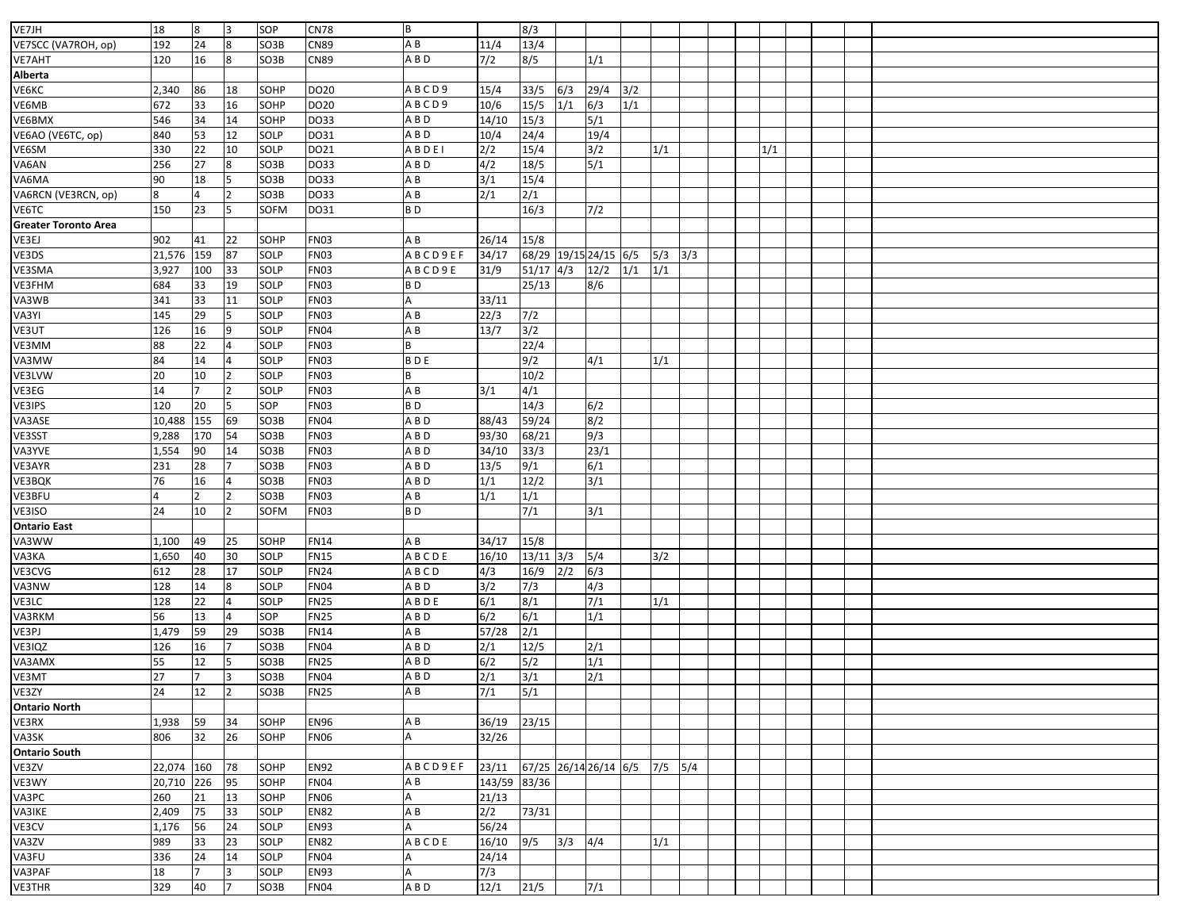| VE7JH                       | 18                       | 8              | l3             | SOP          | <b>CN78</b>                | B              |                      | 8/3              |             |                 |     |             |  |     |  |  |  |  |
|-----------------------------|--------------------------|----------------|----------------|--------------|----------------------------|----------------|----------------------|------------------|-------------|-----------------|-----|-------------|--|-----|--|--|--|--|
| VE7SCC (VA7ROH, op)         | 192                      | 24             | $\overline{8}$ | SO3B         | CN89                       | A B            | 11/4                 | 13/4             |             |                 |     |             |  |     |  |  |  |  |
| <b>VE7AHT</b>               | 120                      | 16             | 8              | SO3B         | CN89                       | A B D          | $7/2$                | 8/5              |             | 1/1             |     |             |  |     |  |  |  |  |
| Alberta                     |                          |                |                |              |                            |                |                      |                  |             |                 |     |             |  |     |  |  |  |  |
| VE6KC                       | 2,340                    | 86             | 18             | SOHP         | DO20                       | ABCD9          | 15/4                 | 33/5             | 6/3         | 29/4            | 3/2 |             |  |     |  |  |  |  |
| /E6MB                       | 672                      | 33             | 16             | SOHP         | DO20                       | ABCD9          | 10/6                 | $15/5$           | 1/1         | 6/3             | 1/1 |             |  |     |  |  |  |  |
| VE6BMX                      | 546                      | 34             | 14             | SOHP         | DO33                       | A B D          | 14/10                | 15/3             |             | $5/1$           |     |             |  |     |  |  |  |  |
| VE6AO (VE6TC, op)           | 840                      | 53             | 12             | SOLP         | DO31                       | A B D          | 10/4                 | 24/4             |             | 19/4            |     |             |  |     |  |  |  |  |
| /E6SM                       | 330                      | 22             | 10             | SOLP         | DO21                       | ABDEI          | 2/2                  | 15/4             |             | 3/2             |     | 1/1         |  | 1/1 |  |  |  |  |
| VA6AN                       | 256                      | 27             | 8              | SO3B         | DO33                       | A B D          | 4/2                  | 18/5             |             | 5/1             |     |             |  |     |  |  |  |  |
| VA6MA                       | 90                       | 18             |                | SO3B         | DO33                       | ΑB             | 3/1                  | 15/4             |             |                 |     |             |  |     |  |  |  |  |
| VA6RCN (VE3RCN, op)         | 8                        | 4              | $\overline{2}$ | SO3B         | DO33                       | A B            | 2/1                  | 2/1              |             |                 |     |             |  |     |  |  |  |  |
| VE6TC                       | 150                      | 23             | 5              | <b>SOFM</b>  | DO31                       | B <sub>D</sub> |                      | 16/3             |             | 7/2             |     |             |  |     |  |  |  |  |
| <b>Greater Toronto Area</b> |                          |                |                |              |                            |                |                      |                  |             |                 |     |             |  |     |  |  |  |  |
| /E3EJ                       | 902                      | 41             | 22             | SOHP         | FN03                       | A B            | 26/14                | 15/8             |             |                 |     |             |  |     |  |  |  |  |
| VE3DS                       | 21,576                   | 159            | 87             | SOLP         | <b>FN03</b>                | ABCD9EF        | 34/17                | 68/29            |             | 19/15 24/15 6/5 |     | $5/3$ $3/3$ |  |     |  |  |  |  |
| VE3SMA                      | 3,927                    | 100            | 33             | SOLP         | <b>FN03</b>                | ABCD9E         | 31/9                 | $51/17$ 4/3      |             | 12/2            | 1/1 | 1/1         |  |     |  |  |  |  |
| VE3FHM                      | 684                      | 33             | 19             | SOLP         | <b>FN03</b>                | B <sub>D</sub> |                      | 25/13            |             | 8/6             |     |             |  |     |  |  |  |  |
| VA3WB                       | 341                      | 33             | 11             | SOLP         | FN03                       |                | 33/11                |                  |             |                 |     |             |  |     |  |  |  |  |
| VA3YI                       | 145                      | 29             |                | SOLP         | <b>FN03</b>                | A B            | 22/3                 | $7/2$            |             |                 |     |             |  |     |  |  |  |  |
| VE3UT                       | 126                      | 16             | 9              | SOLP         | <b>FN04</b>                | A B            | 13/7                 | 3/2              |             |                 |     |             |  |     |  |  |  |  |
| VE3MM                       | 88                       | 22             |                | SOLP         | FN03                       |                |                      | 22/4             |             |                 |     |             |  |     |  |  |  |  |
| VA3MW                       | 84                       | 14             |                | SOLP         | <b>FN03</b>                | <b>BDE</b>     |                      | 9/2              |             | 4/1             |     | 1/1         |  |     |  |  |  |  |
| VE3LVW                      | 20                       | 10             | $\overline{2}$ | SOLP         | <b>FN03</b>                |                |                      | 10/2             |             |                 |     |             |  |     |  |  |  |  |
| VE3EG                       | 14                       | $\overline{7}$ | $\overline{2}$ | SOLP         | FN03                       | AB             | 3/1                  | 4/1              |             |                 |     |             |  |     |  |  |  |  |
| VE3IPS                      | 120                      | 20             | 5              | SOP          | <b>FN03</b>                | B <sub>D</sub> |                      | 14/3             |             | 6/2             |     |             |  |     |  |  |  |  |
| VA3ASE                      | 10,488                   | 155            | 69             | SO3B         | <b>FN04</b>                | A B D          | 88/43                | 59/24            |             | 8/2             |     |             |  |     |  |  |  |  |
| VE3SST                      | 9,288                    | 170            | 54             | SO3B         | <b>FN03</b>                | A B D          | 93/30                | 68/21            |             | 9/3             |     |             |  |     |  |  |  |  |
| VA3YVE                      | 1,554                    | 90             | 14             | SO3B         | <b>FN03</b>                | A B D          | 34/10                | 33/3             |             | 23/1            |     |             |  |     |  |  |  |  |
| VE3AYR                      | 231                      | 28             |                | SO3B         | <b>FN03</b>                | A B D          | 13/5                 | 9/1              |             | 6/1             |     |             |  |     |  |  |  |  |
| VE3BQK                      | 76                       | 16             |                | SO3B         | <b>FN03</b>                | A B D          | 1/1                  | 12/2             |             | 3/1             |     |             |  |     |  |  |  |  |
| VE3BFU                      | $\overline{4}$           |                |                | SO3B         | <b>FN03</b>                | AB             | 1/1                  | 1/1              |             |                 |     |             |  |     |  |  |  |  |
| /E3ISO                      | 24                       | 10             | $\overline{2}$ | <b>SOFM</b>  | FN03                       | BD             |                      | 7/1              |             | 3/1             |     |             |  |     |  |  |  |  |
| <b>Ontario East</b>         |                          |                |                |              |                            |                |                      |                  |             |                 |     |             |  |     |  |  |  |  |
| VA3WW                       | 1,100                    | 49             | 25             | SOHP         | <b>FN14</b>                | ΑB             | 34/17                | 15/8             |             |                 |     |             |  |     |  |  |  |  |
| VA3KA                       | 1,650                    | 40             | 30             | SOLP         | <b>FN15</b>                | <b>ABCDE</b>   | 16/10                | 13/11            | 3/3         | 5/4             |     | 3/2         |  |     |  |  |  |  |
| VE3CVG                      | 612                      | 28             | 17             | SOLP         | <b>FN24</b>                | ABCD           | 4/3                  | 16/9             | 2/2         | 6/3             |     |             |  |     |  |  |  |  |
| VA3NW                       | 128                      | 14             | 8              | SOLP         | <b>FN04</b>                | A B D          | 3/2                  | 7/3              |             | 4/3             |     |             |  |     |  |  |  |  |
| VE3LC                       | 128                      | 22             | $\overline{4}$ | SOLP         | <b>FN25</b>                | ABDE           | 6/1                  | 8/1              |             | 7/1             |     | 1/1         |  |     |  |  |  |  |
| VA3RKM                      | 56                       | 13             |                | SOP          | <b>FN25</b>                | A B D          | 6/2                  | 6/1              |             | 1/1             |     |             |  |     |  |  |  |  |
| VE3PJ                       | 1,479                    | 59             | 29             | SO3B         | <b>FN14</b>                | AB             | 57/28                | $\overline{2/1}$ |             |                 |     |             |  |     |  |  |  |  |
| VE3IQZ                      | 126                      | 16             | 7              | SO3B         | <b>FN04</b>                | ABD            | 2/1                  | 12/5             |             | 2/1             |     |             |  |     |  |  |  |  |
| VA3AMX                      | 55                       | 12             |                | SO3B         | <b>FN25</b>                | A B D          | 6/2                  | 5/2              |             | 1/1             |     |             |  |     |  |  |  |  |
| VE3MT                       | 27                       |                | lЗ             | SO3B         | <b>FN04</b>                | A B D          | 2/1                  | 3/1              |             | 2/1             |     |             |  |     |  |  |  |  |
| VE3ZY                       | 24                       | 12             | $\overline{2}$ | SO3B         | <b>FN25</b>                | AB             | 7/1                  | 5/1              |             |                 |     |             |  |     |  |  |  |  |
| <b>Ontario North</b>        |                          |                |                |              |                            |                |                      |                  |             |                 |     |             |  |     |  |  |  |  |
| VE3RX                       | 1,938                    | 59             | 34             | SOHP         | <b>EN96</b>                | A B            | 36/19 23/15          |                  |             |                 |     |             |  |     |  |  |  |  |
| VA3SK                       | 806                      | 32             | 26             | SOHP         | <b>FN06</b>                |                | 32/26                |                  |             |                 |     |             |  |     |  |  |  |  |
| <b>Ontario South</b>        |                          |                |                |              |                            |                |                      |                  |             |                 |     |             |  |     |  |  |  |  |
| VE3ZV                       |                          |                | 78             | SOHP         | <b>EN92</b>                | <b>ABCD9EF</b> |                      |                  |             |                 |     |             |  |     |  |  |  |  |
| VE3WY                       | 22,074 160<br>20,710 226 |                | 95             | SOHP         | <b>FN04</b>                | A B            | 143/59 83/36         |                  |             |                 |     |             |  |     |  |  |  |  |
| VA3PC                       | 260                      | 21             | 13             | SOHP         | FN06                       |                | 21/13                |                  |             |                 |     |             |  |     |  |  |  |  |
|                             |                          |                |                |              |                            | A B            |                      |                  |             |                 |     |             |  |     |  |  |  |  |
| VA3IKE                      | 2,409<br>1,176           | 75<br>56       | 33<br>24       | SOLP<br>SOLP | <b>EN82</b><br><b>EN93</b> |                | $2/2$ 73/31<br>56/24 |                  |             |                 |     |             |  |     |  |  |  |  |
| VE3CV                       | 989                      |                |                |              |                            |                |                      |                  |             |                 |     |             |  |     |  |  |  |  |
| VA3ZV                       |                          | 33             | 23             | SOLP         | <b>EN82</b>                | ABCDE          | 16/10 9/5            |                  | $3/3$ $4/4$ |                 |     | 1/1         |  |     |  |  |  |  |
| VA3FU                       | 336                      | 24             | 14             | SOLP         | <b>FN04</b>                |                | 24/14                |                  |             |                 |     |             |  |     |  |  |  |  |
| VA3PAF                      | 18                       | 17             | 3<br>7         | SOLP         | <b>EN93</b>                |                | 7/3                  |                  |             |                 |     |             |  |     |  |  |  |  |
| <b>VE3THR</b>               | 329                      | 40             |                | SO3B         | <b>FN04</b>                | A B D          | $12/1$ $21/5$        |                  |             | 7/1             |     |             |  |     |  |  |  |  |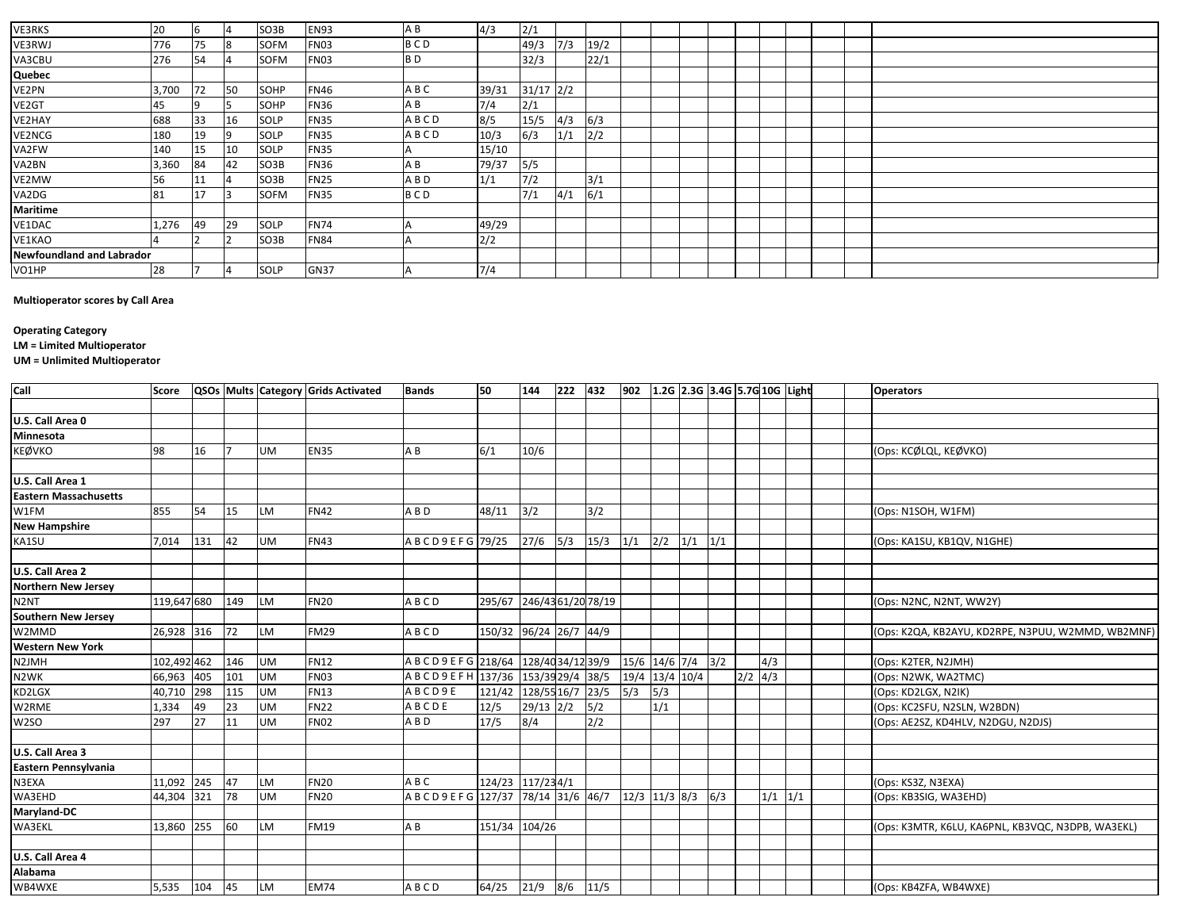| <b>VE3RKS</b>                    |       | <b>6</b> |     | SO3B        | <b>EN93</b> |                | 4/3   |               |     |      |  |  |  |  |  |  |
|----------------------------------|-------|----------|-----|-------------|-------------|----------------|-------|---------------|-----|------|--|--|--|--|--|--|
|                                  | 20    |          | 14  |             |             | A B            |       | 2/1           |     |      |  |  |  |  |  |  |
| VE3RWJ                           | 776   | 75       | 18  | <b>SOFM</b> | <b>FN03</b> | <b>BCD</b>     |       | 49/3          | 7/3 | 19/2 |  |  |  |  |  |  |
| VA3CBU                           | 276   | 54       | 4   | <b>SOFM</b> | <b>FN03</b> | B <sub>D</sub> |       | 32/3          |     | 22/1 |  |  |  |  |  |  |
| Quebec                           |       |          |     |             |             |                |       |               |     |      |  |  |  |  |  |  |
| VE2PN                            | 3,700 | 72       | 50  | SOHP        | <b>FN46</b> | A B C          | 39/31 | $31/17$ $2/2$ |     |      |  |  |  |  |  |  |
| VE2GT                            | 45    | 19       | כו  | SOHP        | <b>FN36</b> | A B            | 7/4   | 2/1           |     |      |  |  |  |  |  |  |
| VE2HAY                           | 688   | 33       | 16  | SOLP        | <b>FN35</b> | ABCD           | 8/5   | 15/5          | 4/3 | 6/3  |  |  |  |  |  |  |
| VE2NCG                           | 180   | 19       | 19  | SOLP        | <b>FN35</b> | ABCD           | 10/3  | 6/3           | 1/1 | 2/2  |  |  |  |  |  |  |
| VA2FW                            | 140   | 15       | 10  | SOLP        | <b>FN35</b> |                | 15/10 |               |     |      |  |  |  |  |  |  |
| VA2BN                            | 3,360 | 84       | 42  | SO3B        | <b>FN36</b> | AB             | 79/37 | 5/5           |     |      |  |  |  |  |  |  |
| VE2MW                            | 56    | 11       | 4   | SO3B        | <b>FN25</b> | A B D          | 1/1   | 7/2           |     | 3/1  |  |  |  |  |  |  |
| VA2DG                            | 81    | 17       | 13. | <b>SOFM</b> | <b>FN35</b> | <b>BCD</b>     |       | 7/1           | 4/1 | 6/1  |  |  |  |  |  |  |
| <b>Maritime</b>                  |       |          |     |             |             |                |       |               |     |      |  |  |  |  |  |  |
| VE1DAC                           | 1,276 | 49       | 29  | SOLP        | <b>FN74</b> |                | 49/29 |               |     |      |  |  |  |  |  |  |
| VE1KAO                           |       |          |     | SO3B        | <b>FN84</b> |                | 2/2   |               |     |      |  |  |  |  |  |  |
| <b>Newfoundland and Labrador</b> |       |          |     |             |             |                |       |               |     |      |  |  |  |  |  |  |
| VO1HP                            | 28    |          | 14  | <b>SOLP</b> | <b>GN37</b> |                | 7/4   |               |     |      |  |  |  |  |  |  |

## **Multioperator scores by Call Area**

## **Operating Category**

**LM = Limited Multioperator**

**UM = Unlimited Multioperator**

| Call                         | <b>Score</b> |     |     |           | QSOs Mults Category Grids Activated | <b>Bands</b>                             | 50                     | 144              | 222 | 432  | 902 1.2G 2.3G 3.4G 5.7G 10G Light |     |     |     |           |             |  | <b>Operators</b>                                  |
|------------------------------|--------------|-----|-----|-----------|-------------------------------------|------------------------------------------|------------------------|------------------|-----|------|-----------------------------------|-----|-----|-----|-----------|-------------|--|---------------------------------------------------|
|                              |              |     |     |           |                                     |                                          |                        |                  |     |      |                                   |     |     |     |           |             |  |                                                   |
| U.S. Call Area 0             |              |     |     |           |                                     |                                          |                        |                  |     |      |                                   |     |     |     |           |             |  |                                                   |
| Minnesota                    |              |     |     |           |                                     |                                          |                        |                  |     |      |                                   |     |     |     |           |             |  |                                                   |
| <b>KEØVKO</b>                | 98           | 16  |     | <b>UM</b> | <b>EN35</b>                         | A B                                      | 6/1                    | 10/6             |     |      |                                   |     |     |     |           |             |  | (Ops: KCØLQL, KEØVKO)                             |
|                              |              |     |     |           |                                     |                                          |                        |                  |     |      |                                   |     |     |     |           |             |  |                                                   |
| U.S. Call Area 1             |              |     |     |           |                                     |                                          |                        |                  |     |      |                                   |     |     |     |           |             |  |                                                   |
| <b>Eastern Massachusetts</b> |              |     |     |           |                                     |                                          |                        |                  |     |      |                                   |     |     |     |           |             |  |                                                   |
| W1FM                         | 855          | 54  | 15  | <b>LM</b> | <b>FN42</b>                         | ABD                                      | 48/11                  | 3/2              |     | 3/2  |                                   |     |     |     |           |             |  | (Ops: N1SOH, W1FM)                                |
| <b>New Hampshire</b>         |              |     |     |           |                                     |                                          |                        |                  |     |      |                                   |     |     |     |           |             |  |                                                   |
| KA1SU                        | 7,014        | 131 | 42  | <b>UM</b> | <b>FN43</b>                         | ABCD9EFG 79/25                           |                        | $27/6$ 5/3       |     | 15/3 | 1/1                               | 2/2 | 1/1 | 1/1 |           |             |  | (Ops: KA1SU, KB1QV, N1GHE)                        |
|                              |              |     |     |           |                                     |                                          |                        |                  |     |      |                                   |     |     |     |           |             |  |                                                   |
| U.S. Call Area 2             |              |     |     |           |                                     |                                          |                        |                  |     |      |                                   |     |     |     |           |             |  |                                                   |
| <b>Northern New Jersey</b>   |              |     |     |           |                                     |                                          |                        |                  |     |      |                                   |     |     |     |           |             |  |                                                   |
| N <sub>2</sub> NT            | 119,647 680  |     | 149 | <b>LM</b> | <b>FN20</b>                         | ABCD                                     | 295/67                 | 246/4361/2078/19 |     |      |                                   |     |     |     |           |             |  | (Ops: N2NC, N2NT, WW2Y)                           |
| <b>Southern New Jersey</b>   |              |     |     |           |                                     |                                          |                        |                  |     |      |                                   |     |     |     |           |             |  |                                                   |
| W2MMD                        | 26,928 316   |     | 172 | <b>LM</b> | <b>FM29</b>                         | ABCD                                     | 150/32 96/24 26/7 44/9 |                  |     |      |                                   |     |     |     |           |             |  | (Ops: K2QA, KB2AYU, KD2RPE, N3PUU, W2MMD, WB2MNF) |
| <b>Western New York</b>      |              |     |     |           |                                     |                                          |                        |                  |     |      |                                   |     |     |     |           |             |  |                                                   |
| N2JMH                        | 102,492 462  |     | 146 | <b>UM</b> | <b>FN12</b>                         | A B C D 9 E F G 218/64 228/40 34/12 39/9 |                        |                  |     |      | 15/6 14/6 7/4                     |     |     | 3/2 |           | 4/3         |  | (Ops: K2TER, N2JMH)                               |
| N <sub>2</sub> WK            | 66,963       | 405 | 101 | <b>UM</b> | <b>FN03</b>                         | ABCD9EFH 137/36 153/39 29/4 38/5         |                        |                  |     |      | 19/4 13/4 10/4                    |     |     |     | $2/2$ 4/3 |             |  | (Ops: N2WK, WA2TMC)                               |
| KD2LGX                       | 40,710       | 298 | 115 | <b>UM</b> | <b>FN13</b>                         | ABCD9E                                   | 121/42                 | 128/55 16/7 23/5 |     |      | 5/3                               | 5/3 |     |     |           |             |  | (Ops: KD2LGX, N2IK)                               |
| W2RME                        | 1,334        | 49  | 23  | <b>UM</b> | <b>FN22</b>                         | ABCDE                                    | 12/5                   | $29/13$ $2/2$    |     | 5/2  |                                   | 1/1 |     |     |           |             |  | (Ops: KC2SFU, N2SLN, W2BDN)                       |
| W2SO                         | 297          | 27  | 11  | <b>UM</b> | <b>FN02</b>                         | ABD                                      | 17/5                   | 8/4              |     | 2/2  |                                   |     |     |     |           |             |  | (Ops: AE2SZ, KD4HLV, N2DGU, N2DJS)                |
|                              |              |     |     |           |                                     |                                          |                        |                  |     |      |                                   |     |     |     |           |             |  |                                                   |
| U.S. Call Area 3             |              |     |     |           |                                     |                                          |                        |                  |     |      |                                   |     |     |     |           |             |  |                                                   |
| Eastern Pennsylvania         |              |     |     |           |                                     |                                          |                        |                  |     |      |                                   |     |     |     |           |             |  |                                                   |
| N3EXA                        | 11,092 245   |     | 47  | <b>LM</b> | <b>FN20</b>                         | A B C                                    | 124/23 117/234/1       |                  |     |      |                                   |     |     |     |           |             |  | (Ops: KS3Z, N3EXA)                                |
| WA3EHD                       | 44,304       | 321 | 78  | <b>UM</b> | <b>FN20</b>                         | ABCD9EFG 127/37 78/14 31/6 46/7          |                        |                  |     |      | $12/3$ 11/3 8/3                   |     |     | 6/3 |           | $1/1$ $1/1$ |  | (Ops: KB3SIG, WA3EHD)                             |
| Maryland-DC                  |              |     |     |           |                                     |                                          |                        |                  |     |      |                                   |     |     |     |           |             |  |                                                   |
| <b>WA3EKL</b>                | 13,860       | 255 | 60  | <b>LM</b> | <b>FM19</b>                         | AB                                       | 151/34                 | 104/26           |     |      |                                   |     |     |     |           |             |  | (Ops: K3MTR, K6LU, KA6PNL, KB3VQC, N3DPB, WA3EKL) |
|                              |              |     |     |           |                                     |                                          |                        |                  |     |      |                                   |     |     |     |           |             |  |                                                   |
| U.S. Call Area 4             |              |     |     |           |                                     |                                          |                        |                  |     |      |                                   |     |     |     |           |             |  |                                                   |
| Alabama                      |              |     |     |           |                                     |                                          |                        |                  |     |      |                                   |     |     |     |           |             |  |                                                   |
| WB4WXE                       | 5,535        | 104 | 45  | <b>LM</b> | <b>EM74</b>                         | ABCD                                     | 64/25                  | $21/9$ 8/6       |     | 11/5 |                                   |     |     |     |           |             |  | (Ops: KB4ZFA, WB4WXE)                             |
|                              |              |     |     |           |                                     |                                          |                        |                  |     |      |                                   |     |     |     |           |             |  |                                                   |